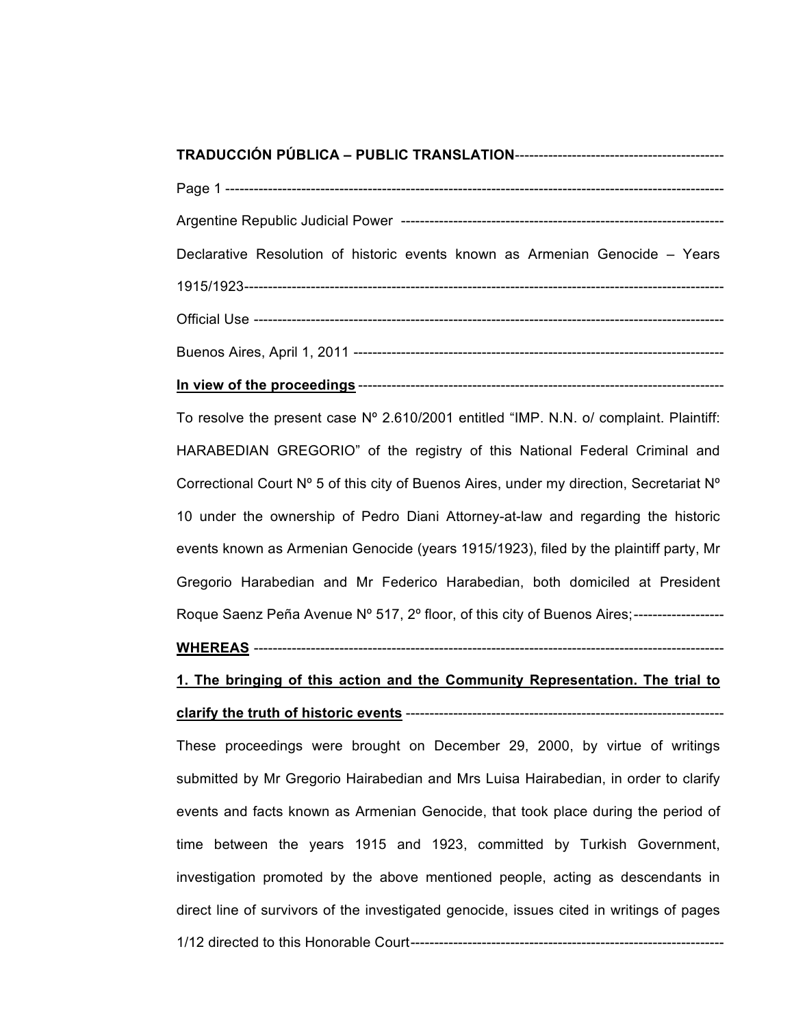| Declarative Resolution of historic events known as Armenian Genocide – Years              |  |  |
|-------------------------------------------------------------------------------------------|--|--|
|                                                                                           |  |  |
|                                                                                           |  |  |
|                                                                                           |  |  |
|                                                                                           |  |  |
| To resolve the present case Nº 2.610/2001 entitled "IMP. N.N. o/ complaint. Plaintiff:    |  |  |
| HARABEDIAN GREGORIO" of the registry of this National Federal Criminal and                |  |  |
| Correctional Court N° 5 of this city of Buenos Aires, under my direction, Secretariat N°  |  |  |
| 10 under the ownership of Pedro Diani Attorney-at-law and regarding the historic          |  |  |
| events known as Armenian Genocide (years 1915/1923), filed by the plaintiff party, Mr     |  |  |
| Gregorio Harabedian and Mr Federico Harabedian, both domiciled at President               |  |  |
| Roque Saenz Peña Avenue Nº 517, 2º floor, of this city of Buenos Aires;------------------ |  |  |
|                                                                                           |  |  |

# **1. The bringing of this action and the Community Representation. The trial to clarify the truth of historic events** -------------------------------------------------------------------

These proceedings were brought on December 29, 2000, by virtue of writings submitted by Mr Gregorio Hairabedian and Mrs Luisa Hairabedian, in order to clarify events and facts known as Armenian Genocide, that took place during the period of time between the years 1915 and 1923, committed by Turkish Government, investigation promoted by the above mentioned people, acting as descendants in direct line of survivors of the investigated genocide, issues cited in writings of pages 1/12 directed to this Honorable Court------------------------------------------------------------------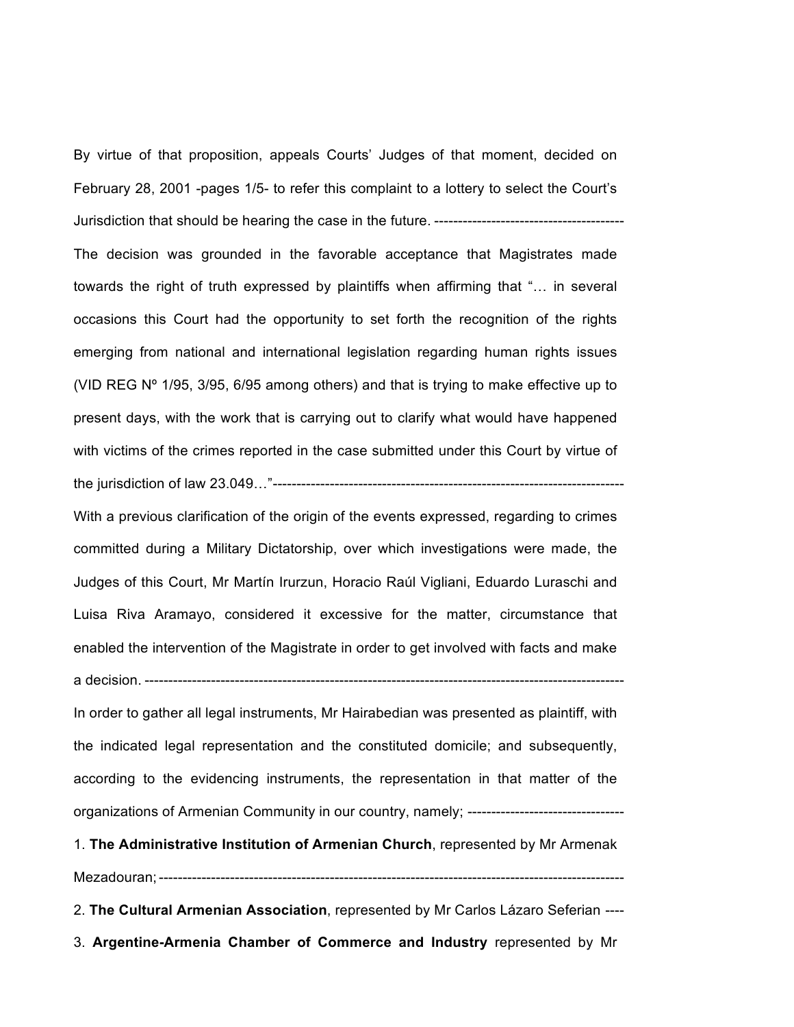By virtue of that proposition, appeals Courts' Judges of that moment, decided on February 28, 2001 -pages 1/5- to refer this complaint to a lottery to select the Court's Jurisdiction that should be hearing the case in the future. ---------------------------------------- The decision was grounded in the favorable acceptance that Magistrates made towards the right of truth expressed by plaintiffs when affirming that "… in several occasions this Court had the opportunity to set forth the recognition of the rights emerging from national and international legislation regarding human rights issues (VID REG Nº 1/95, 3/95, 6/95 among others) and that is trying to make effective up to present days, with the work that is carrying out to clarify what would have happened with victims of the crimes reported in the case submitted under this Court by virtue of the jurisdiction of law 23.049…"--------------------------------------------------------------------------

With a previous clarification of the origin of the events expressed, regarding to crimes committed during a Military Dictatorship, over which investigations were made, the Judges of this Court, Mr Martín Irurzun, Horacio Raúl Vigliani, Eduardo Luraschi and Luisa Riva Aramayo, considered it excessive for the matter, circumstance that enabled the intervention of the Magistrate in order to get involved with facts and make a decision. -----------------------------------------------------------------------------------------------------

In order to gather all legal instruments, Mr Hairabedian was presented as plaintiff, with the indicated legal representation and the constituted domicile; and subsequently, according to the evidencing instruments, the representation in that matter of the organizations of Armenian Community in our country, namely; ---------------------------------

1. **The Administrative Institution of Armenian Church**, represented by Mr Armenak Mezadouran;--------------------------------------------------------------------------------------------------

2. **The Cultural Armenian Association**, represented by Mr Carlos Lázaro Seferian ----

3. **Argentine-Armenia Chamber of Commerce and Industry** represented by Mr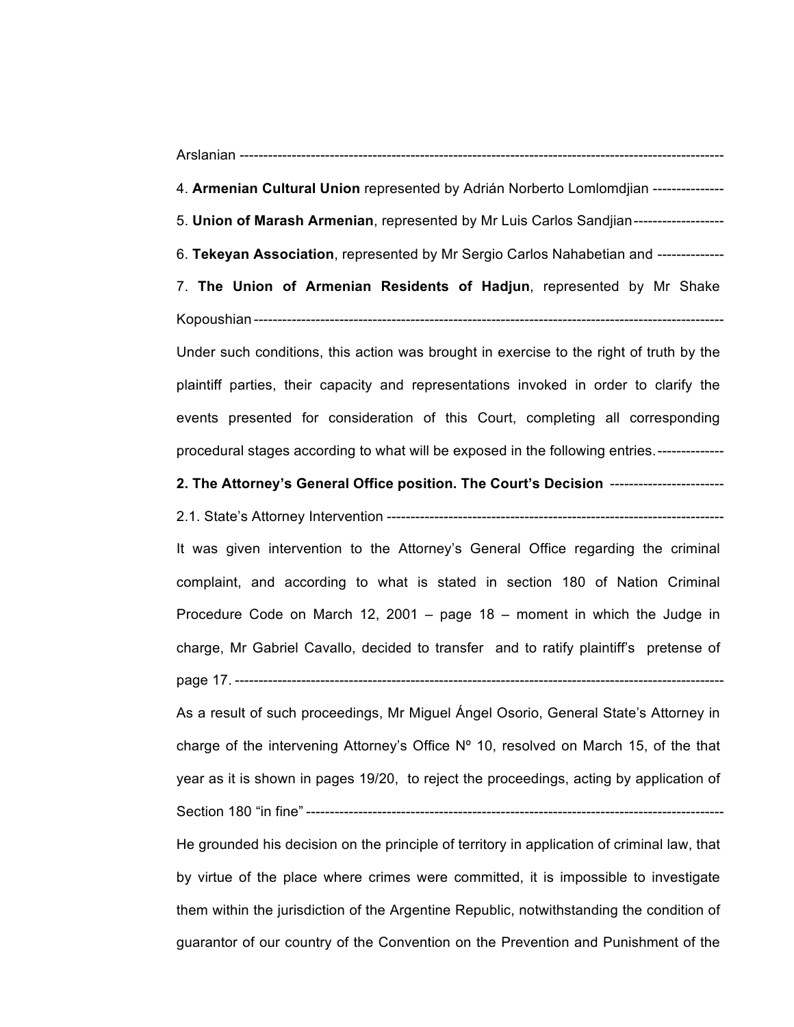| Arslanian |  |
|-----------|--|
|-----------|--|

- 4. **Armenian Cultural Union** represented by Adrián Norberto Lomlomdjian ---------------
- 5. **Union of Marash Armenian**, represented by Mr Luis Carlos Sandjian-------------------
- 6. **Tekeyan Association**, represented by Mr Sergio Carlos Nahabetian and --------------

7. **The Union of Armenian Residents of Hadjun**, represented by Mr Shake Kopoushian ----------------

Under such conditions, this action was brought in exercise to the right of truth by the plaintiff parties, their capacity and representations invoked in order to clarify the events presented for consideration of this Court, completing all corresponding procedural stages according to what will be exposed in the following entries.--------------

#### **2. The Attorney's General Office position. The Court's Decision** ------------------------

2.1. State's Attorney Intervention -----------------------------------------------------------------------

It was given intervention to the Attorney's General Office regarding the criminal complaint, and according to what is stated in section 180 of Nation Criminal Procedure Code on March 12, 2001 – page 18 – moment in which the Judge in charge, Mr Gabriel Cavallo, decided to transfer and to ratify plaintiff's pretense of page 17. -------------------------------------------------------------------------------------------------------

As a result of such proceedings, Mr Miguel Ángel Osorio, General State's Attorney in charge of the intervening Attorney's Office  $N^{\circ}$  10, resolved on March 15, of the that year as it is shown in pages 19/20, to reject the proceedings, acting by application of Section 180 "in fine" ----------------------------------------------------------------------------------------

He grounded his decision on the principle of territory in application of criminal law, that by virtue of the place where crimes were committed, it is impossible to investigate them within the jurisdiction of the Argentine Republic, notwithstanding the condition of guarantor of our country of the Convention on the Prevention and Punishment of the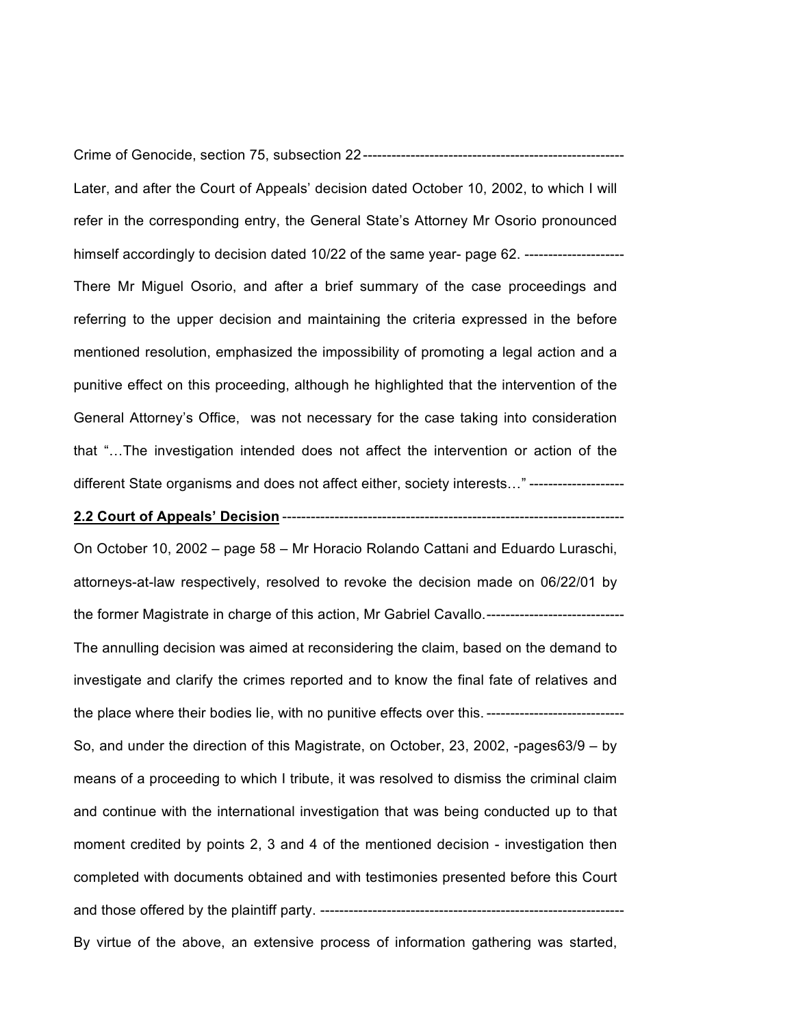Crime of Genocide, section 75, subsection 22-------------------------------------------------------

Later, and after the Court of Appeals' decision dated October 10, 2002, to which I will refer in the corresponding entry, the General State's Attorney Mr Osorio pronounced himself accordingly to decision dated 10/22 of the same year- page 62. ----------------------There Mr Miguel Osorio, and after a brief summary of the case proceedings and referring to the upper decision and maintaining the criteria expressed in the before mentioned resolution, emphasized the impossibility of promoting a legal action and a punitive effect on this proceeding, although he highlighted that the intervention of the General Attorney's Office, was not necessary for the case taking into consideration that "…The investigation intended does not affect the intervention or action of the different State organisms and does not affect either, society interests..." --------------------

# **2.2 Court of Appeals' Decision** ------------------------------------------------------------------------

On October 10, 2002 – page 58 – Mr Horacio Rolando Cattani and Eduardo Luraschi, attorneys-at-law respectively, resolved to revoke the decision made on 06/22/01 by the former Magistrate in charge of this action, Mr Gabriel Cavallo.----------------------------- The annulling decision was aimed at reconsidering the claim, based on the demand to investigate and clarify the crimes reported and to know the final fate of relatives and the place where their bodies lie, with no punitive effects over this. ------------------------------So, and under the direction of this Magistrate, on October, 23, 2002, -pages63/9 – by means of a proceeding to which I tribute, it was resolved to dismiss the criminal claim and continue with the international investigation that was being conducted up to that moment credited by points 2, 3 and 4 of the mentioned decision - investigation then completed with documents obtained and with testimonies presented before this Court and those offered by the plaintiff party. ----------------------------------------------------------------

By virtue of the above, an extensive process of information gathering was started,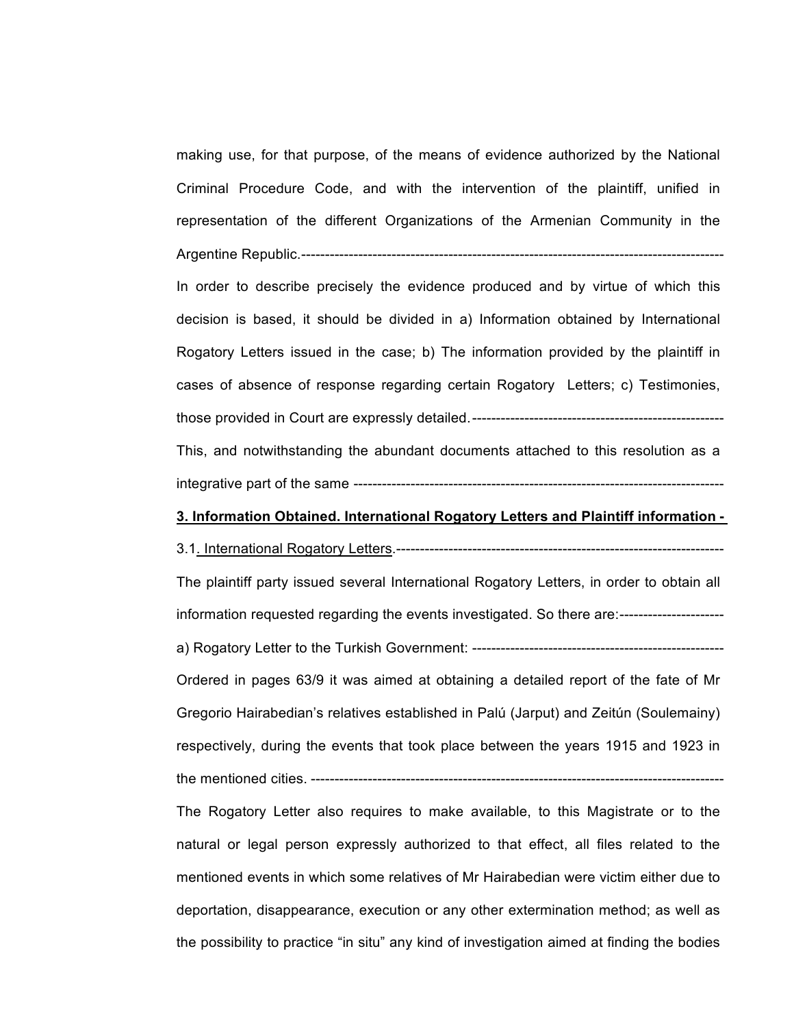making use, for that purpose, of the means of evidence authorized by the National Criminal Procedure Code, and with the intervention of the plaintiff, unified in representation of the different Organizations of the Armenian Community in the Argentine Republic.----------------------------------------------------------------------------------------- In order to describe precisely the evidence produced and by virtue of which this decision is based, it should be divided in a) Information obtained by International Rogatory Letters issued in the case; b) The information provided by the plaintiff in cases of absence of response regarding certain Rogatory Letters; c) Testimonies, those provided in Court are expressly detailed.----------------------------------------------------- This, and notwithstanding the abundant documents attached to this resolution as a integrative part of the same ------------------------------------------------------------------------------

### **3. Information Obtained. International Rogatory Letters and Plaintiff information -**

3.1. International Rogatory Letters.--------------------------------------------------------------------- The plaintiff party issued several International Rogatory Letters, in order to obtain all information requested regarding the events investigated. So there are:--------------------- a) Rogatory Letter to the Turkish Government: ----------------------------------------------------- Ordered in pages 63/9 it was aimed at obtaining a detailed report of the fate of Mr Gregorio Hairabedian's relatives established in Palú (Jarput) and Zeitún (Soulemainy) respectively, during the events that took place between the years 1915 and 1923 in the mentioned cities. ---------------------------------------------------------------------------------------

The Rogatory Letter also requires to make available, to this Magistrate or to the natural or legal person expressly authorized to that effect, all files related to the mentioned events in which some relatives of Mr Hairabedian were victim either due to deportation, disappearance, execution or any other extermination method; as well as the possibility to practice "in situ" any kind of investigation aimed at finding the bodies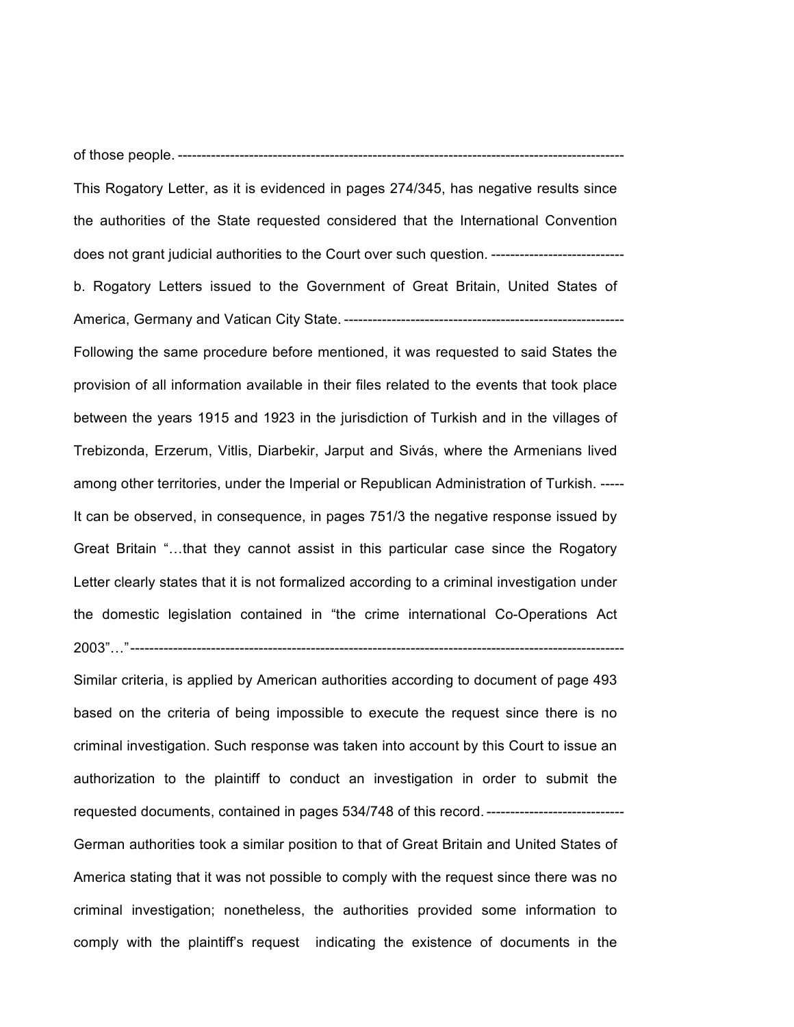of those people. ----------------------------------------------------------------------------------------------

This Rogatory Letter, as it is evidenced in pages 274/345, has negative results since the authorities of the State requested considered that the International Convention does not grant judicial authorities to the Court over such question. --------------------------- b. Rogatory Letters issued to the Government of Great Britain, United States of America, Germany and Vatican City State. ----------------------------------------------------------- Following the same procedure before mentioned, it was requested to said States the provision of all information available in their files related to the events that took place between the years 1915 and 1923 in the jurisdiction of Turkish and in the villages of Trebizonda, Erzerum, Vitlis, Diarbekir, Jarput and Sivás, where the Armenians lived among other territories, under the Imperial or Republican Administration of Turkish. ----- It can be observed, in consequence, in pages 751/3 the negative response issued by Great Britain "…that they cannot assist in this particular case since the Rogatory Letter clearly states that it is not formalized according to a criminal investigation under the domestic legislation contained in "the crime international Co-Operations Act 2003"…"--------------------------------------------------------------------------------------------------------

Similar criteria, is applied by American authorities according to document of page 493 based on the criteria of being impossible to execute the request since there is no criminal investigation. Such response was taken into account by this Court to issue an authorization to the plaintiff to conduct an investigation in order to submit the requested documents, contained in pages 534/748 of this record.----------------------------- German authorities took a similar position to that of Great Britain and United States of America stating that it was not possible to comply with the request since there was no criminal investigation; nonetheless, the authorities provided some information to comply with the plaintiff's request indicating the existence of documents in the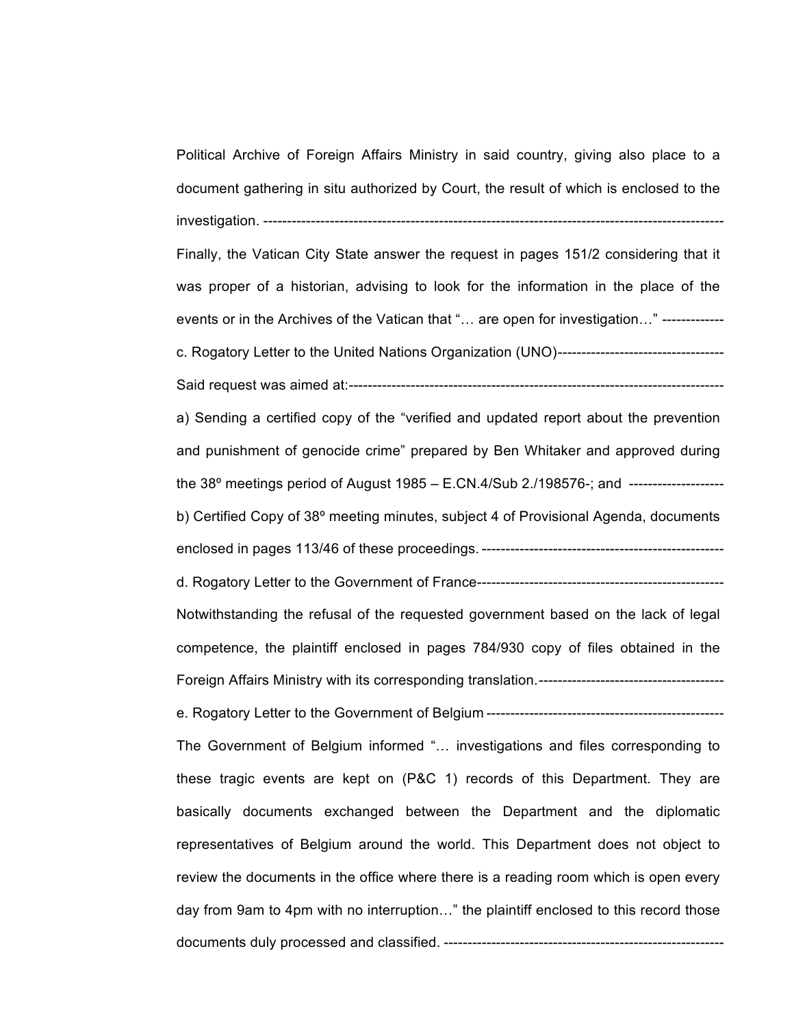Political Archive of Foreign Affairs Ministry in said country, giving also place to a document gathering in situ authorized by Court, the result of which is enclosed to the investigation. ------------------------------------------------------------------------------------------------- Finally, the Vatican City State answer the request in pages 151/2 considering that it was proper of a historian, advising to look for the information in the place of the events or in the Archives of the Vatican that "… are open for investigation…" ------------ c. Rogatory Letter to the United Nations Organization (UNO)----------------------------------- Said request was aimed at:------------------------------------------------------------------------------ a) Sending a certified copy of the "verified and updated report about the prevention and punishment of genocide crime" prepared by Ben Whitaker and approved during the 38º meetings period of August 1985 – E.CN.4/Sub 2./198576-; and ------------------- b) Certified Copy of 38º meeting minutes, subject 4 of Provisional Agenda, documents enclosed in pages 113/46 of these proceedings. -------------------------------------------------- d. Rogatory Letter to the Government of France---------------------------------------------------- Notwithstanding the refusal of the requested government based on the lack of legal competence, the plaintiff enclosed in pages 784/930 copy of files obtained in the Foreign Affairs Ministry with its corresponding translation.-------------------------------------- e. Rogatory Letter to the Government of Belgium -------------------------------------------------- The Government of Belgium informed "… investigations and files corresponding to these tragic events are kept on (P&C 1) records of this Department. They are basically documents exchanged between the Department and the diplomatic representatives of Belgium around the world. This Department does not object to review the documents in the office where there is a reading room which is open every day from 9am to 4pm with no interruption…" the plaintiff enclosed to this record those documents duly processed and classified. -----------------------------------------------------------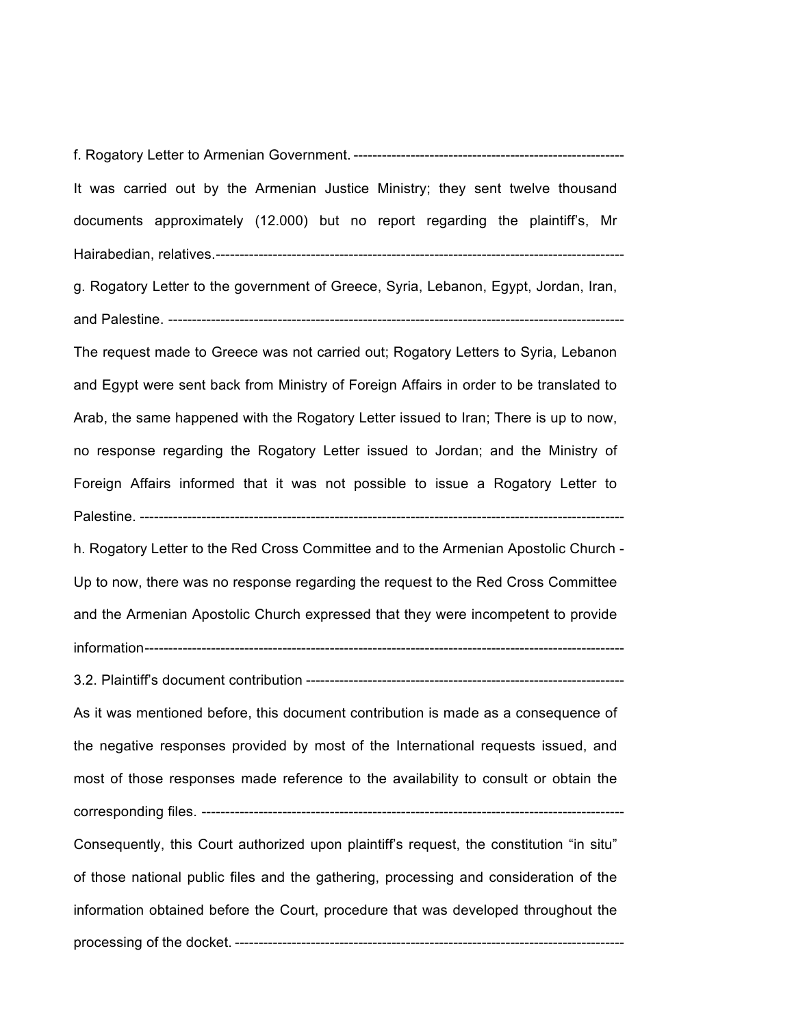f. Rogatory Letter to Armenian Government. ---------------------------------------------------------

It was carried out by the Armenian Justice Ministry; they sent twelve thousand documents approximately (12.000) but no report regarding the plaintiff's, Mr Hairabedian, relatives.--------------------------------------------------------------------------------------

g. Rogatory Letter to the government of Greece, Syria, Lebanon, Egypt, Jordan, Iran, and Palestine. ------------------------------------------------------------------------------------------------

The request made to Greece was not carried out; Rogatory Letters to Syria, Lebanon and Egypt were sent back from Ministry of Foreign Affairs in order to be translated to Arab, the same happened with the Rogatory Letter issued to Iran; There is up to now, no response regarding the Rogatory Letter issued to Jordan; and the Ministry of Foreign Affairs informed that it was not possible to issue a Rogatory Letter to Palestine. ------------------------------------------------------------------------------------------------------

h. Rogatory Letter to the Red Cross Committee and to the Armenian Apostolic Church - Up to now, there was no response regarding the request to the Red Cross Committee and the Armenian Apostolic Church expressed that they were incompetent to provide information-----------------------------------------------------------------------------------------------------

3.2. Plaintiff's document contribution -------------------------------------------------------------------

As it was mentioned before, this document contribution is made as a consequence of the negative responses provided by most of the International requests issued, and most of those responses made reference to the availability to consult or obtain the corresponding files. -----------------------------------------------------------------------------------------

Consequently, this Court authorized upon plaintiff's request, the constitution "in situ" of those national public files and the gathering, processing and consideration of the information obtained before the Court, procedure that was developed throughout the processing of the docket. ----------------------------------------------------------------------------------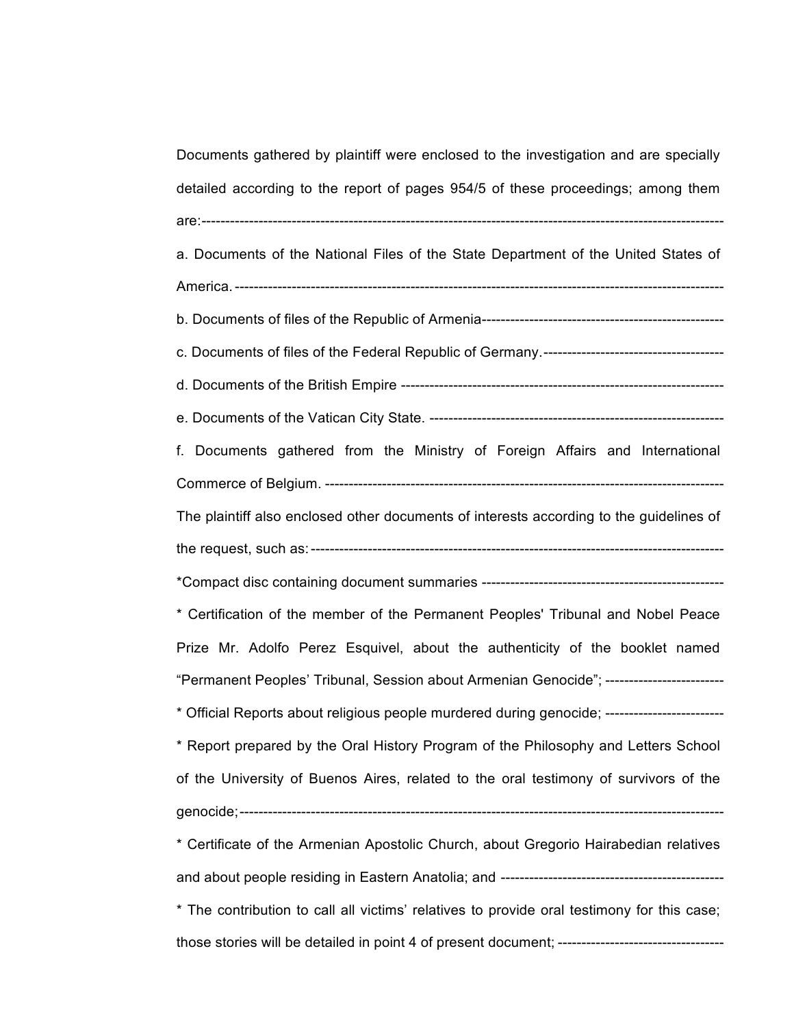| Documents gathered by plaintiff were enclosed to the investigation and are specially               |  |  |
|----------------------------------------------------------------------------------------------------|--|--|
| detailed according to the report of pages 954/5 of these proceedings; among them                   |  |  |
|                                                                                                    |  |  |
| a. Documents of the National Files of the State Department of the United States of                 |  |  |
|                                                                                                    |  |  |
|                                                                                                    |  |  |
|                                                                                                    |  |  |
|                                                                                                    |  |  |
|                                                                                                    |  |  |
| f. Documents gathered from the Ministry of Foreign Affairs and International                       |  |  |
|                                                                                                    |  |  |
| The plaintiff also enclosed other documents of interests according to the guidelines of            |  |  |
|                                                                                                    |  |  |
|                                                                                                    |  |  |
| * Certification of the member of the Permanent Peoples' Tribunal and Nobel Peace                   |  |  |
| Prize Mr. Adolfo Perez Esquivel, about the authenticity of the booklet named                       |  |  |
| "Permanent Peoples' Tribunal, Session about Armenian Genocide"; -----------------------            |  |  |
| * Official Reports about religious people murdered during genocide; -------------------------      |  |  |
| * Report prepared by the Oral History Program of the Philosophy and Letters School                 |  |  |
| of the University of Buenos Aires, related to the oral testimony of survivors of the               |  |  |
|                                                                                                    |  |  |
| * Certificate of the Armenian Apostolic Church, about Gregorio Hairabedian relatives               |  |  |
|                                                                                                    |  |  |
| * The contribution to call all victims' relatives to provide oral testimony for this case;         |  |  |
| those stories will be detailed in point 4 of present document; ----------------------------------- |  |  |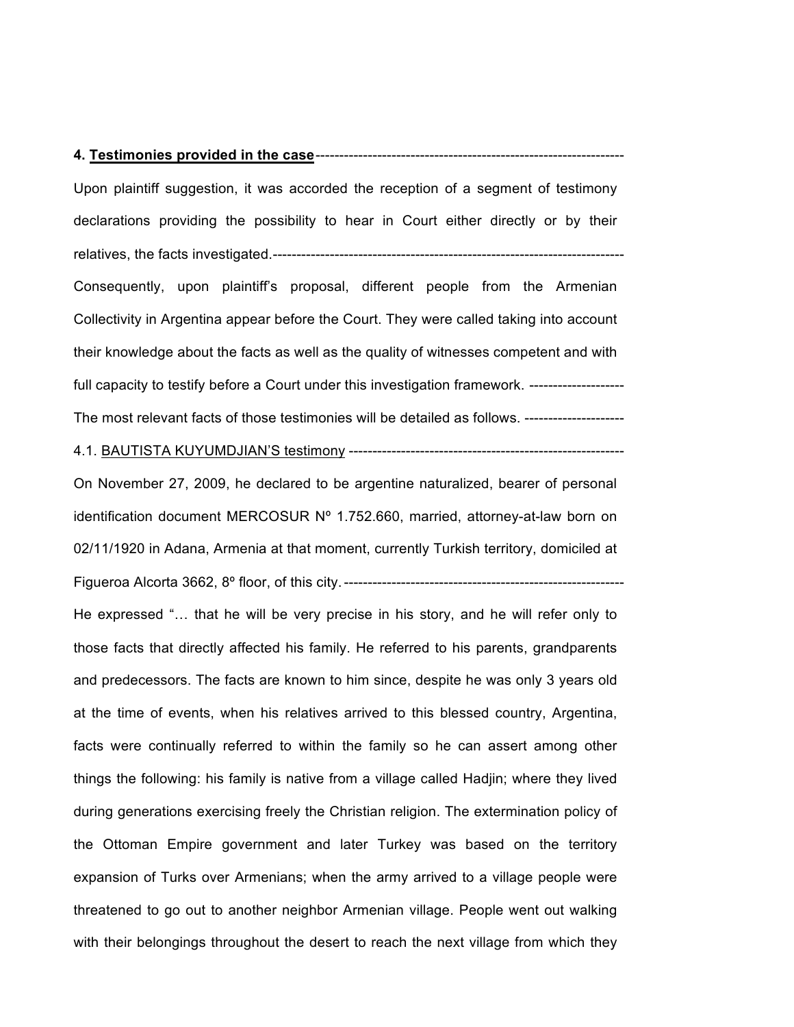#### **4. Testimonies provided in the case**-----------------------------------------------------------------

Upon plaintiff suggestion, it was accorded the reception of a segment of testimony declarations providing the possibility to hear in Court either directly or by their relatives, the facts investigated.--------------------------------------------------------------------------

Consequently, upon plaintiff's proposal, different people from the Armenian Collectivity in Argentina appear before the Court. They were called taking into account their knowledge about the facts as well as the quality of witnesses competent and with full capacity to testify before a Court under this investigation framework. --------------------The most relevant facts of those testimonies will be detailed as follows. --------------------

4.1. BAUTISTA KUYUMDJIAN'S testimony ----------------------------------------------------------

On November 27, 2009, he declared to be argentine naturalized, bearer of personal identification document MERCOSUR Nº 1.752.660, married, attorney-at-law born on 02/11/1920 in Adana, Armenia at that moment, currently Turkish territory, domiciled at Figueroa Alcorta 3662, 8º floor, of this city.-----------------------------------------------------------

He expressed "… that he will be very precise in his story, and he will refer only to those facts that directly affected his family. He referred to his parents, grandparents and predecessors. The facts are known to him since, despite he was only 3 years old at the time of events, when his relatives arrived to this blessed country, Argentina, facts were continually referred to within the family so he can assert among other things the following: his family is native from a village called Hadjin; where they lived during generations exercising freely the Christian religion. The extermination policy of the Ottoman Empire government and later Turkey was based on the territory expansion of Turks over Armenians; when the army arrived to a village people were threatened to go out to another neighbor Armenian village. People went out walking with their belongings throughout the desert to reach the next village from which they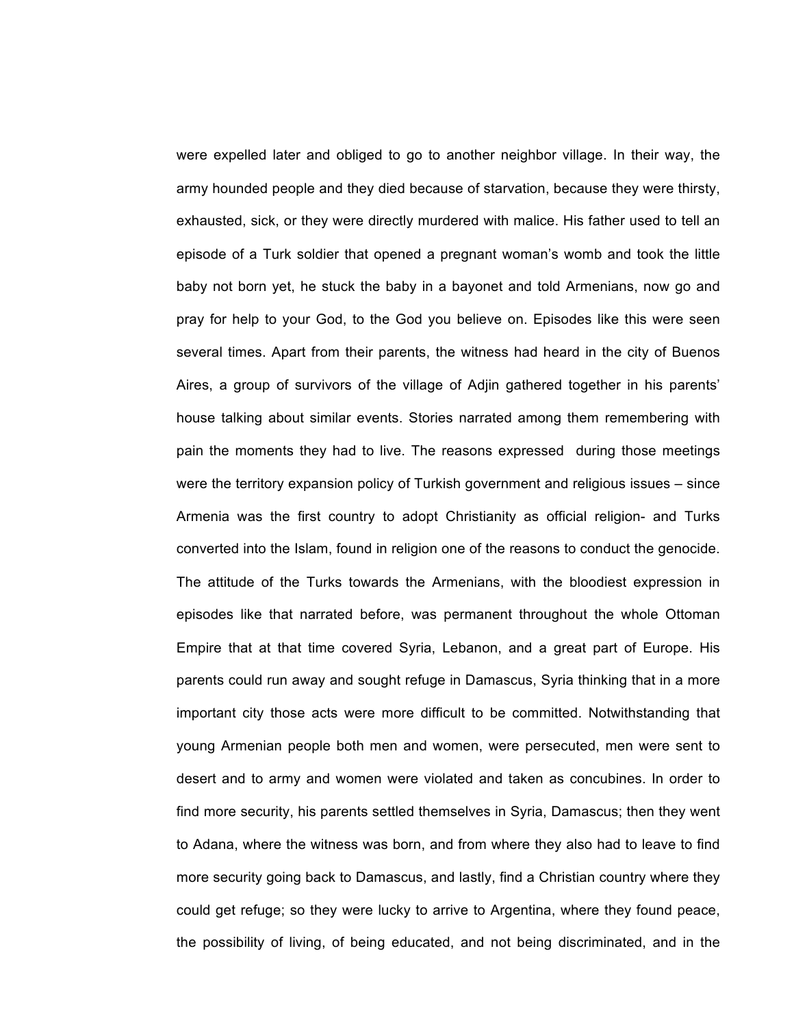were expelled later and obliged to go to another neighbor village. In their way, the army hounded people and they died because of starvation, because they were thirsty, exhausted, sick, or they were directly murdered with malice. His father used to tell an episode of a Turk soldier that opened a pregnant woman's womb and took the little baby not born yet, he stuck the baby in a bayonet and told Armenians, now go and pray for help to your God, to the God you believe on. Episodes like this were seen several times. Apart from their parents, the witness had heard in the city of Buenos Aires, a group of survivors of the village of Adjin gathered together in his parents' house talking about similar events. Stories narrated among them remembering with pain the moments they had to live. The reasons expressed during those meetings were the territory expansion policy of Turkish government and religious issues – since Armenia was the first country to adopt Christianity as official religion- and Turks converted into the Islam, found in religion one of the reasons to conduct the genocide. The attitude of the Turks towards the Armenians, with the bloodiest expression in episodes like that narrated before, was permanent throughout the whole Ottoman Empire that at that time covered Syria, Lebanon, and a great part of Europe. His parents could run away and sought refuge in Damascus, Syria thinking that in a more important city those acts were more difficult to be committed. Notwithstanding that young Armenian people both men and women, were persecuted, men were sent to desert and to army and women were violated and taken as concubines. In order to find more security, his parents settled themselves in Syria, Damascus; then they went to Adana, where the witness was born, and from where they also had to leave to find more security going back to Damascus, and lastly, find a Christian country where they could get refuge; so they were lucky to arrive to Argentina, where they found peace, the possibility of living, of being educated, and not being discriminated, and in the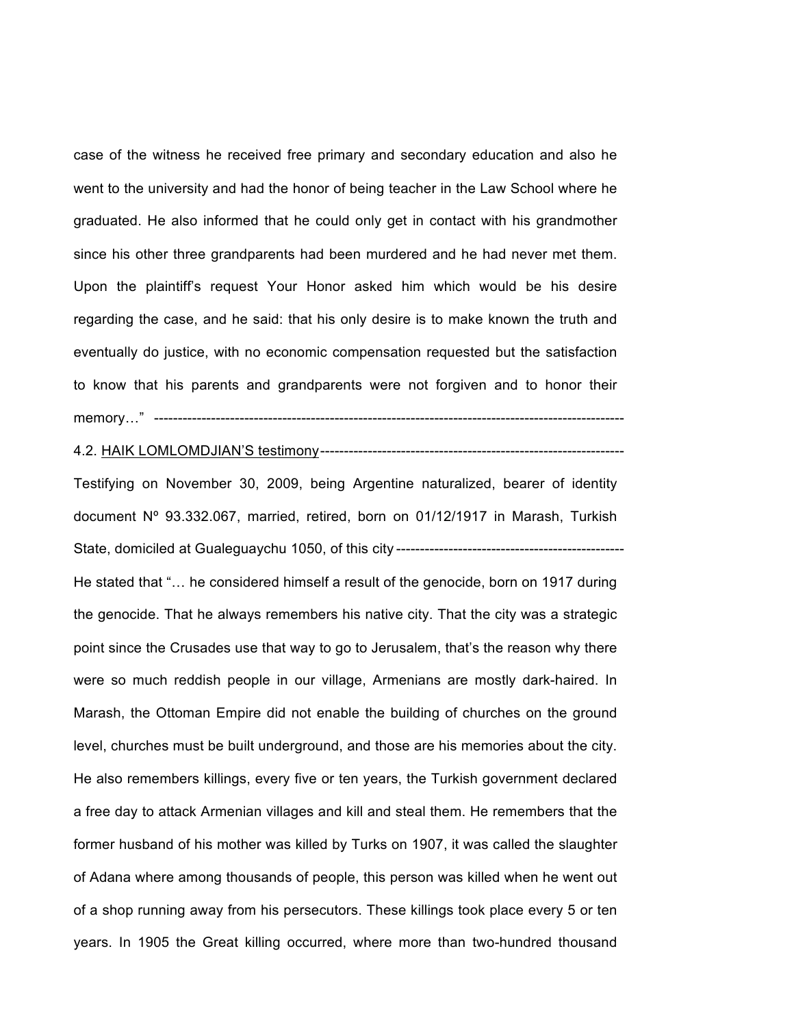case of the witness he received free primary and secondary education and also he went to the university and had the honor of being teacher in the Law School where he graduated. He also informed that he could only get in contact with his grandmother since his other three grandparents had been murdered and he had never met them. Upon the plaintiff's request Your Honor asked him which would be his desire regarding the case, and he said: that his only desire is to make known the truth and eventually do justice, with no economic compensation requested but the satisfaction to know that his parents and grandparents were not forgiven and to honor their memory…" ---------------------------------------------------------------------------------------------------

4.2. HAIK LOMLOMDJIAN'S testimony----------------------------------------------------------------

Testifying on November 30, 2009, being Argentine naturalized, bearer of identity document Nº 93.332.067, married, retired, born on 01/12/1917 in Marash, Turkish State, domiciled at Gualeguaychu 1050, of this city ------------------------------------------------

He stated that "… he considered himself a result of the genocide, born on 1917 during the genocide. That he always remembers his native city. That the city was a strategic point since the Crusades use that way to go to Jerusalem, that's the reason why there were so much reddish people in our village, Armenians are mostly dark-haired. In Marash, the Ottoman Empire did not enable the building of churches on the ground level, churches must be built underground, and those are his memories about the city. He also remembers killings, every five or ten years, the Turkish government declared a free day to attack Armenian villages and kill and steal them. He remembers that the former husband of his mother was killed by Turks on 1907, it was called the slaughter of Adana where among thousands of people, this person was killed when he went out of a shop running away from his persecutors. These killings took place every 5 or ten years. In 1905 the Great killing occurred, where more than two-hundred thousand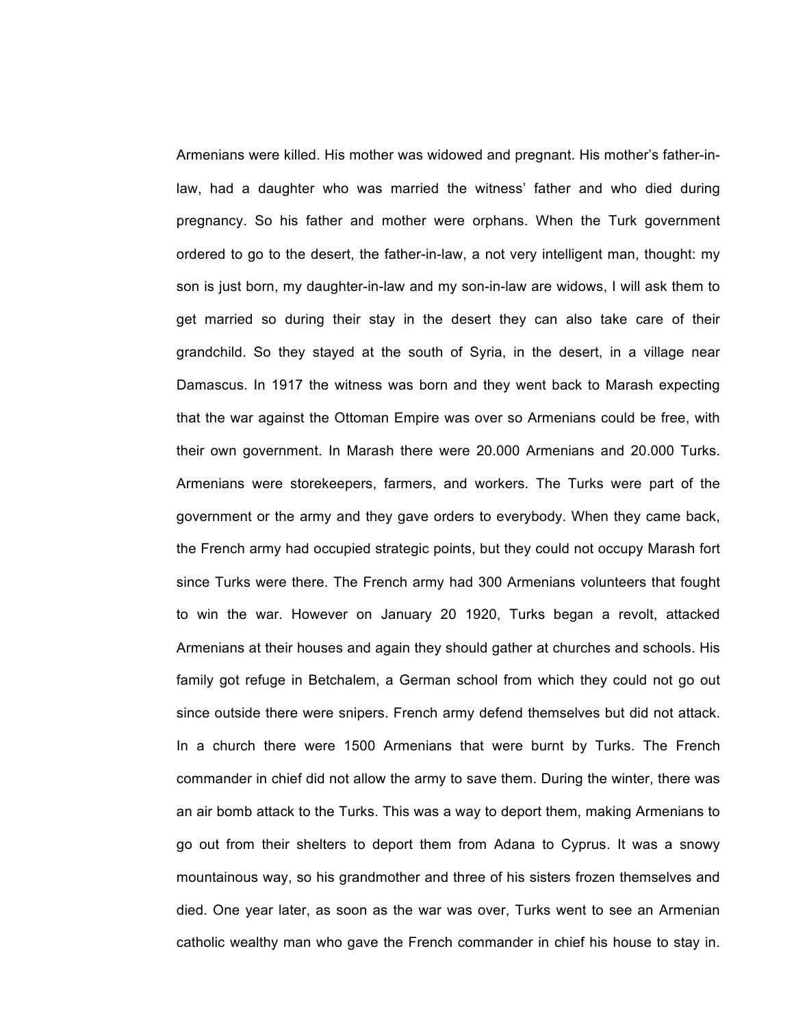Armenians were killed. His mother was widowed and pregnant. His mother's father-inlaw, had a daughter who was married the witness' father and who died during pregnancy. So his father and mother were orphans. When the Turk government ordered to go to the desert, the father-in-law, a not very intelligent man, thought: my son is just born, my daughter-in-law and my son-in-law are widows, I will ask them to get married so during their stay in the desert they can also take care of their grandchild. So they stayed at the south of Syria, in the desert, in a village near Damascus. In 1917 the witness was born and they went back to Marash expecting that the war against the Ottoman Empire was over so Armenians could be free, with their own government. In Marash there were 20.000 Armenians and 20.000 Turks. Armenians were storekeepers, farmers, and workers. The Turks were part of the government or the army and they gave orders to everybody. When they came back, the French army had occupied strategic points, but they could not occupy Marash fort since Turks were there. The French army had 300 Armenians volunteers that fought to win the war. However on January 20 1920, Turks began a revolt, attacked Armenians at their houses and again they should gather at churches and schools. His family got refuge in Betchalem, a German school from which they could not go out since outside there were snipers. French army defend themselves but did not attack. In a church there were 1500 Armenians that were burnt by Turks. The French commander in chief did not allow the army to save them. During the winter, there was an air bomb attack to the Turks. This was a way to deport them, making Armenians to go out from their shelters to deport them from Adana to Cyprus. It was a snowy mountainous way, so his grandmother and three of his sisters frozen themselves and died. One year later, as soon as the war was over, Turks went to see an Armenian catholic wealthy man who gave the French commander in chief his house to stay in.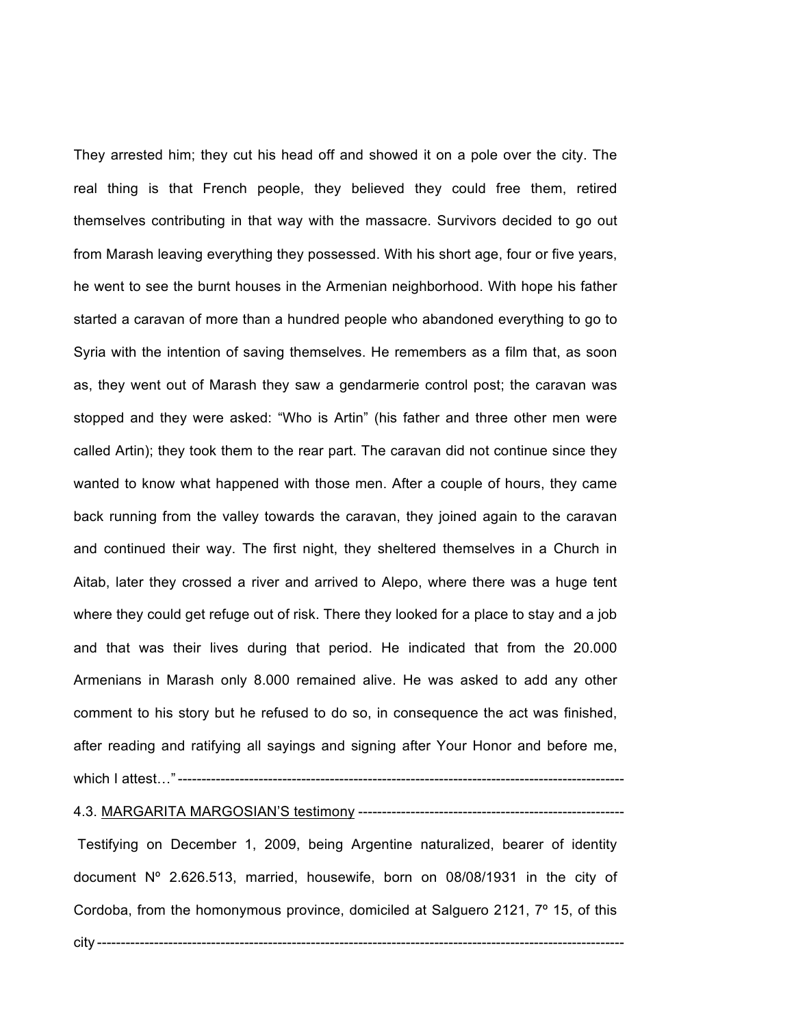They arrested him; they cut his head off and showed it on a pole over the city. The real thing is that French people, they believed they could free them, retired themselves contributing in that way with the massacre. Survivors decided to go out from Marash leaving everything they possessed. With his short age, four or five years, he went to see the burnt houses in the Armenian neighborhood. With hope his father started a caravan of more than a hundred people who abandoned everything to go to Syria with the intention of saving themselves. He remembers as a film that, as soon as, they went out of Marash they saw a gendarmerie control post; the caravan was stopped and they were asked: "Who is Artin" (his father and three other men were called Artin); they took them to the rear part. The caravan did not continue since they wanted to know what happened with those men. After a couple of hours, they came back running from the valley towards the caravan, they joined again to the caravan and continued their way. The first night, they sheltered themselves in a Church in Aitab, later they crossed a river and arrived to Alepo, where there was a huge tent where they could get refuge out of risk. There they looked for a place to stay and a job and that was their lives during that period. He indicated that from the 20.000 Armenians in Marash only 8.000 remained alive. He was asked to add any other comment to his story but he refused to do so, in consequence the act was finished, after reading and ratifying all sayings and signing after Your Honor and before me, which I attest…"----------------------------------------------------------------------------------------------

# 4.3. MARGARITA MARGOSIAN'S testimony --------------------------------------------------------

Testifying on December 1, 2009, being Argentine naturalized, bearer of identity document Nº 2.626.513, married, housewife, born on 08/08/1931 in the city of Cordoba, from the homonymous province, domiciled at Salguero 2121, 7º 15, of this

city ---------------------------------------------------------------------------------------------------------------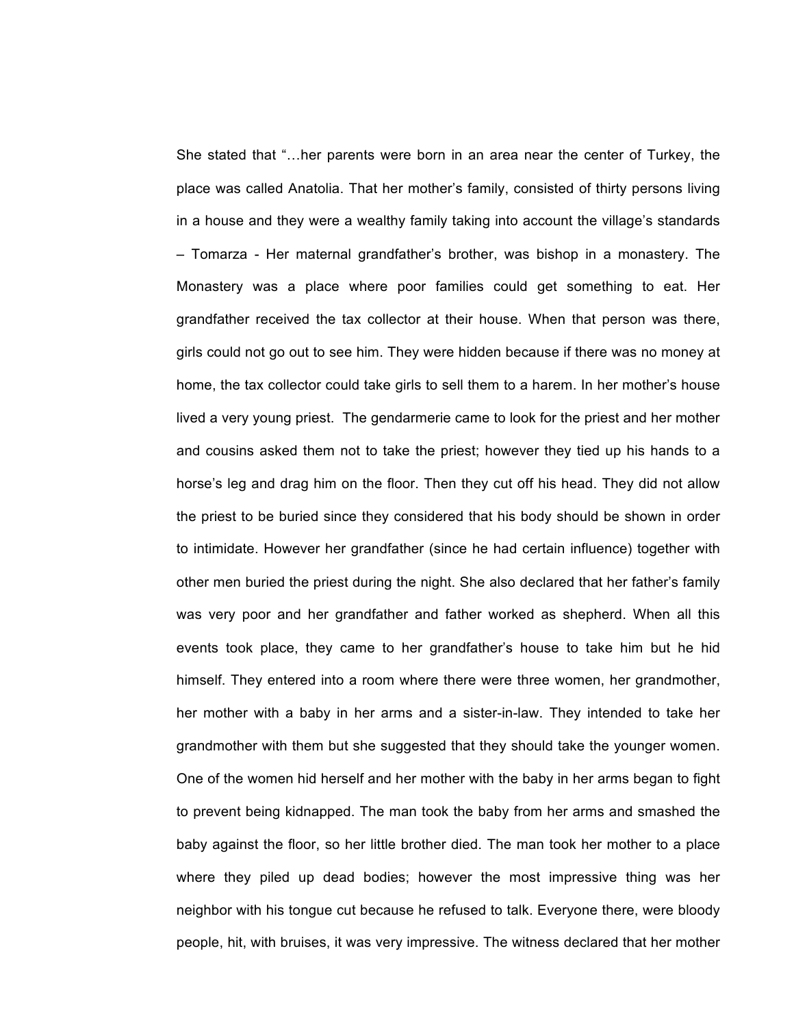She stated that "…her parents were born in an area near the center of Turkey, the place was called Anatolia. That her mother's family, consisted of thirty persons living in a house and they were a wealthy family taking into account the village's standards – Tomarza - Her maternal grandfather's brother, was bishop in a monastery. The Monastery was a place where poor families could get something to eat. Her grandfather received the tax collector at their house. When that person was there, girls could not go out to see him. They were hidden because if there was no money at home, the tax collector could take girls to sell them to a harem. In her mother's house lived a very young priest. The gendarmerie came to look for the priest and her mother and cousins asked them not to take the priest; however they tied up his hands to a horse's leg and drag him on the floor. Then they cut off his head. They did not allow the priest to be buried since they considered that his body should be shown in order to intimidate. However her grandfather (since he had certain influence) together with other men buried the priest during the night. She also declared that her father's family was very poor and her grandfather and father worked as shepherd. When all this events took place, they came to her grandfather's house to take him but he hid himself. They entered into a room where there were three women, her grandmother, her mother with a baby in her arms and a sister-in-law. They intended to take her grandmother with them but she suggested that they should take the younger women. One of the women hid herself and her mother with the baby in her arms began to fight to prevent being kidnapped. The man took the baby from her arms and smashed the baby against the floor, so her little brother died. The man took her mother to a place where they piled up dead bodies; however the most impressive thing was her neighbor with his tongue cut because he refused to talk. Everyone there, were bloody people, hit, with bruises, it was very impressive. The witness declared that her mother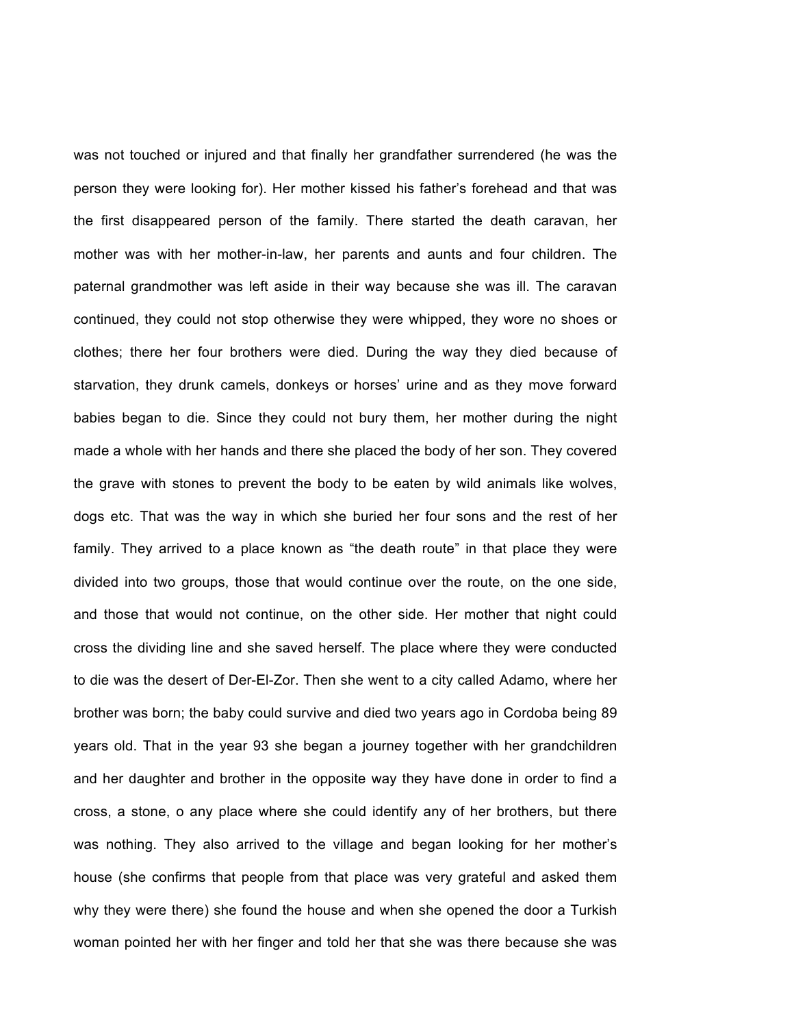was not touched or injured and that finally her grandfather surrendered (he was the person they were looking for). Her mother kissed his father's forehead and that was the first disappeared person of the family. There started the death caravan, her mother was with her mother-in-law, her parents and aunts and four children. The paternal grandmother was left aside in their way because she was ill. The caravan continued, they could not stop otherwise they were whipped, they wore no shoes or clothes; there her four brothers were died. During the way they died because of starvation, they drunk camels, donkeys or horses' urine and as they move forward babies began to die. Since they could not bury them, her mother during the night made a whole with her hands and there she placed the body of her son. They covered the grave with stones to prevent the body to be eaten by wild animals like wolves, dogs etc. That was the way in which she buried her four sons and the rest of her family. They arrived to a place known as "the death route" in that place they were divided into two groups, those that would continue over the route, on the one side, and those that would not continue, on the other side. Her mother that night could cross the dividing line and she saved herself. The place where they were conducted to die was the desert of Der-El-Zor. Then she went to a city called Adamo, where her brother was born; the baby could survive and died two years ago in Cordoba being 89 years old. That in the year 93 she began a journey together with her grandchildren and her daughter and brother in the opposite way they have done in order to find a cross, a stone, o any place where she could identify any of her brothers, but there was nothing. They also arrived to the village and began looking for her mother's house (she confirms that people from that place was very grateful and asked them why they were there) she found the house and when she opened the door a Turkish woman pointed her with her finger and told her that she was there because she was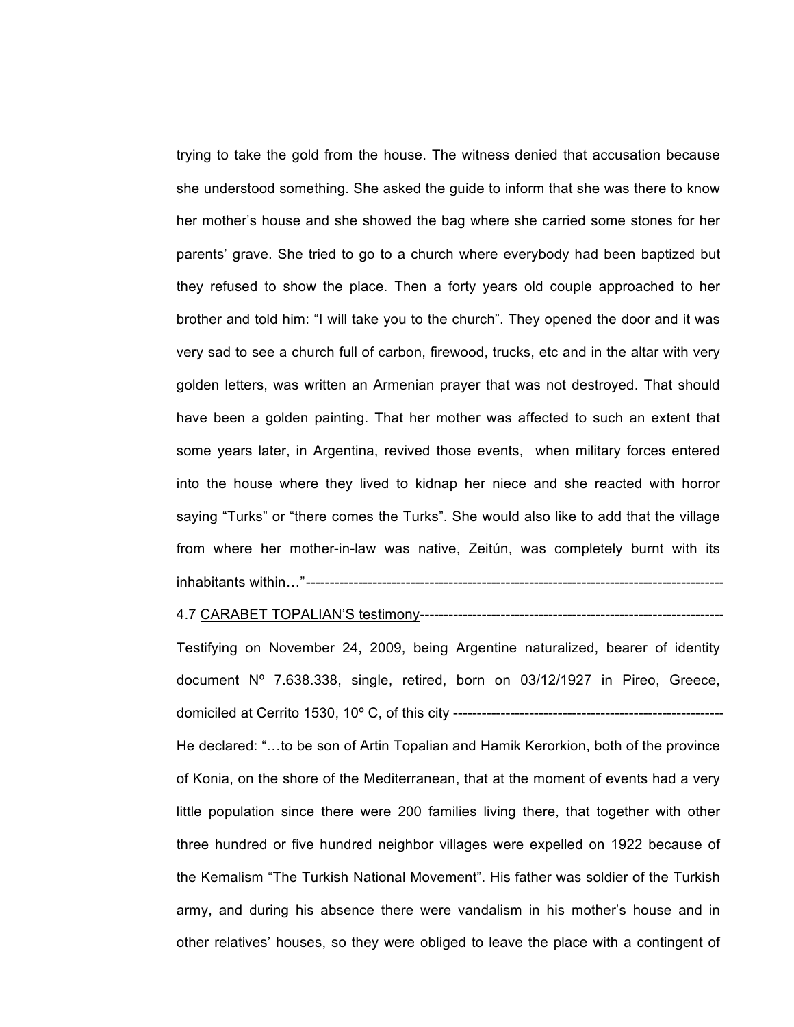trying to take the gold from the house. The witness denied that accusation because she understood something. She asked the guide to inform that she was there to know her mother's house and she showed the bag where she carried some stones for her parents' grave. She tried to go to a church where everybody had been baptized but they refused to show the place. Then a forty years old couple approached to her brother and told him: "I will take you to the church". They opened the door and it was very sad to see a church full of carbon, firewood, trucks, etc and in the altar with very golden letters, was written an Armenian prayer that was not destroyed. That should have been a golden painting. That her mother was affected to such an extent that some years later, in Argentina, revived those events, when military forces entered into the house where they lived to kidnap her niece and she reacted with horror saying "Turks" or "there comes the Turks". She would also like to add that the village from where her mother-in-law was native, Zeitún, was completely burnt with its inhabitants within…"----------------------------------------------------------------------------------------

#### 4.7 CARABET TOPALIAN'S testimony----------------------------------------------------------------

Testifying on November 24, 2009, being Argentine naturalized, bearer of identity document Nº 7.638.338, single, retired, born on 03/12/1927 in Pireo, Greece, domiciled at Cerrito 1530, 10º C, of this city --------------------------------------------------------- He declared: "…to be son of Artin Topalian and Hamik Kerorkion, both of the province of Konia, on the shore of the Mediterranean, that at the moment of events had a very little population since there were 200 families living there, that together with other three hundred or five hundred neighbor villages were expelled on 1922 because of the Kemalism "The Turkish National Movement". His father was soldier of the Turkish army, and during his absence there were vandalism in his mother's house and in other relatives' houses, so they were obliged to leave the place with a contingent of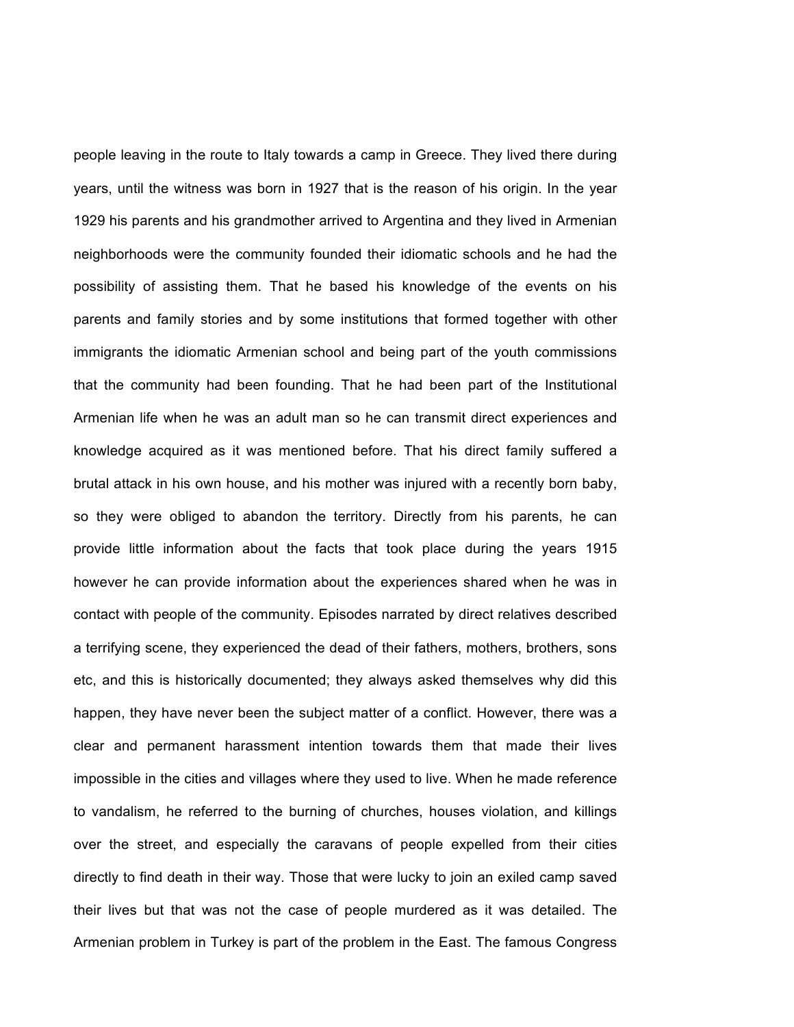people leaving in the route to Italy towards a camp in Greece. They lived there during years, until the witness was born in 1927 that is the reason of his origin. In the year 1929 his parents and his grandmother arrived to Argentina and they lived in Armenian neighborhoods were the community founded their idiomatic schools and he had the possibility of assisting them. That he based his knowledge of the events on his parents and family stories and by some institutions that formed together with other immigrants the idiomatic Armenian school and being part of the youth commissions that the community had been founding. That he had been part of the Institutional Armenian life when he was an adult man so he can transmit direct experiences and knowledge acquired as it was mentioned before. That his direct family suffered a brutal attack in his own house, and his mother was injured with a recently born baby, so they were obliged to abandon the territory. Directly from his parents, he can provide little information about the facts that took place during the years 1915 however he can provide information about the experiences shared when he was in contact with people of the community. Episodes narrated by direct relatives described a terrifying scene, they experienced the dead of their fathers, mothers, brothers, sons etc, and this is historically documented; they always asked themselves why did this happen, they have never been the subject matter of a conflict. However, there was a clear and permanent harassment intention towards them that made their lives impossible in the cities and villages where they used to live. When he made reference to vandalism, he referred to the burning of churches, houses violation, and killings over the street, and especially the caravans of people expelled from their cities directly to find death in their way. Those that were lucky to join an exiled camp saved their lives but that was not the case of people murdered as it was detailed. The Armenian problem in Turkey is part of the problem in the East. The famous Congress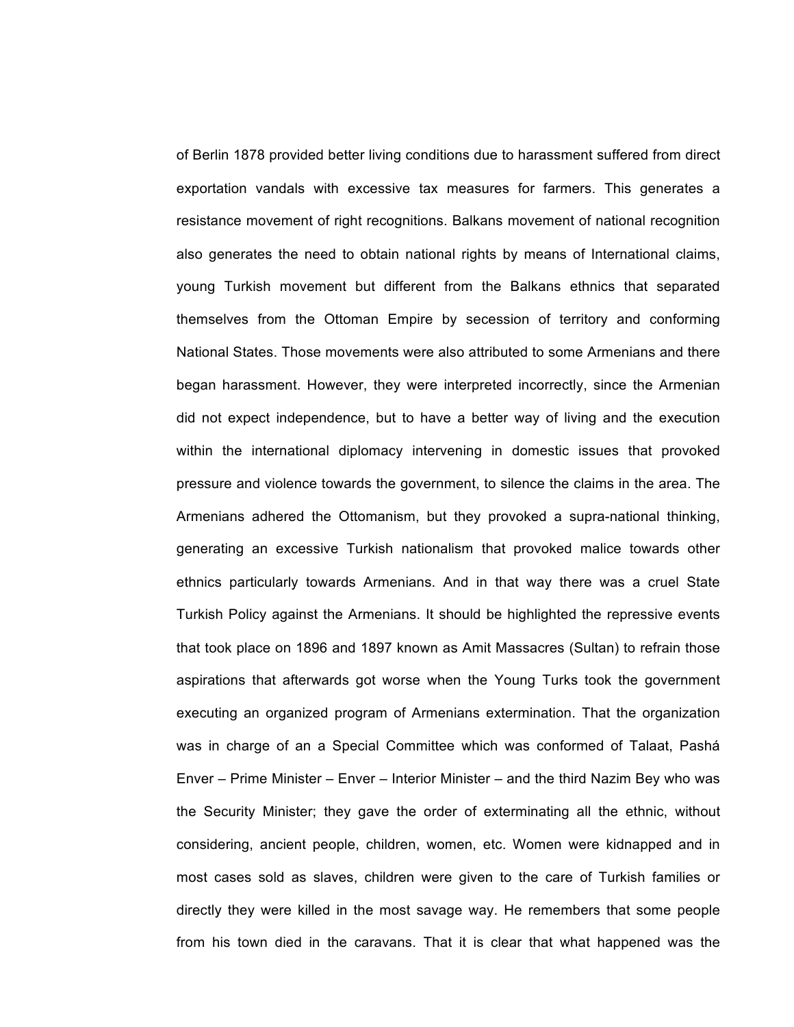of Berlin 1878 provided better living conditions due to harassment suffered from direct exportation vandals with excessive tax measures for farmers. This generates a resistance movement of right recognitions. Balkans movement of national recognition also generates the need to obtain national rights by means of International claims, young Turkish movement but different from the Balkans ethnics that separated themselves from the Ottoman Empire by secession of territory and conforming National States. Those movements were also attributed to some Armenians and there began harassment. However, they were interpreted incorrectly, since the Armenian did not expect independence, but to have a better way of living and the execution within the international diplomacy intervening in domestic issues that provoked pressure and violence towards the government, to silence the claims in the area. The Armenians adhered the Ottomanism, but they provoked a supra-national thinking, generating an excessive Turkish nationalism that provoked malice towards other ethnics particularly towards Armenians. And in that way there was a cruel State Turkish Policy against the Armenians. It should be highlighted the repressive events that took place on 1896 and 1897 known as Amit Massacres (Sultan) to refrain those aspirations that afterwards got worse when the Young Turks took the government executing an organized program of Armenians extermination. That the organization was in charge of an a Special Committee which was conformed of Talaat, Pashá Enver – Prime Minister – Enver – Interior Minister – and the third Nazim Bey who was the Security Minister; they gave the order of exterminating all the ethnic, without considering, ancient people, children, women, etc. Women were kidnapped and in most cases sold as slaves, children were given to the care of Turkish families or directly they were killed in the most savage way. He remembers that some people from his town died in the caravans. That it is clear that what happened was the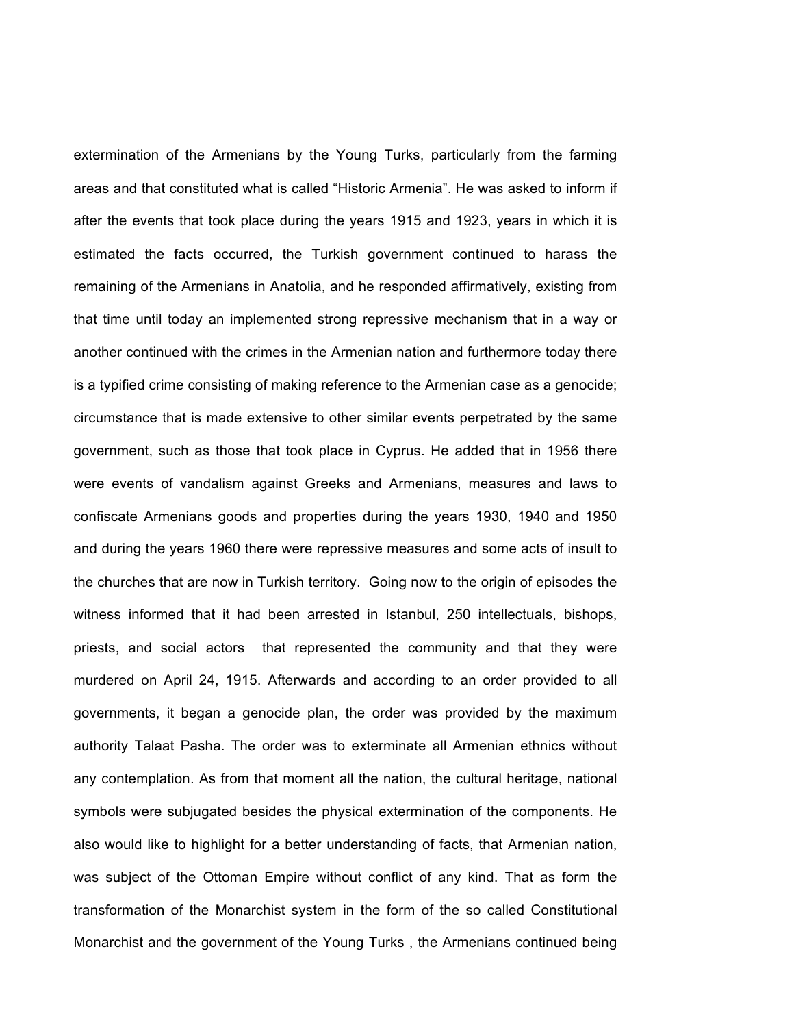extermination of the Armenians by the Young Turks, particularly from the farming areas and that constituted what is called "Historic Armenia". He was asked to inform if after the events that took place during the years 1915 and 1923, years in which it is estimated the facts occurred, the Turkish government continued to harass the remaining of the Armenians in Anatolia, and he responded affirmatively, existing from that time until today an implemented strong repressive mechanism that in a way or another continued with the crimes in the Armenian nation and furthermore today there is a typified crime consisting of making reference to the Armenian case as a genocide; circumstance that is made extensive to other similar events perpetrated by the same government, such as those that took place in Cyprus. He added that in 1956 there were events of vandalism against Greeks and Armenians, measures and laws to confiscate Armenians goods and properties during the years 1930, 1940 and 1950 and during the years 1960 there were repressive measures and some acts of insult to the churches that are now in Turkish territory. Going now to the origin of episodes the witness informed that it had been arrested in Istanbul, 250 intellectuals, bishops, priests, and social actors that represented the community and that they were murdered on April 24, 1915. Afterwards and according to an order provided to all governments, it began a genocide plan, the order was provided by the maximum authority Talaat Pasha. The order was to exterminate all Armenian ethnics without any contemplation. As from that moment all the nation, the cultural heritage, national symbols were subjugated besides the physical extermination of the components. He also would like to highlight for a better understanding of facts, that Armenian nation, was subject of the Ottoman Empire without conflict of any kind. That as form the transformation of the Monarchist system in the form of the so called Constitutional Monarchist and the government of the Young Turks , the Armenians continued being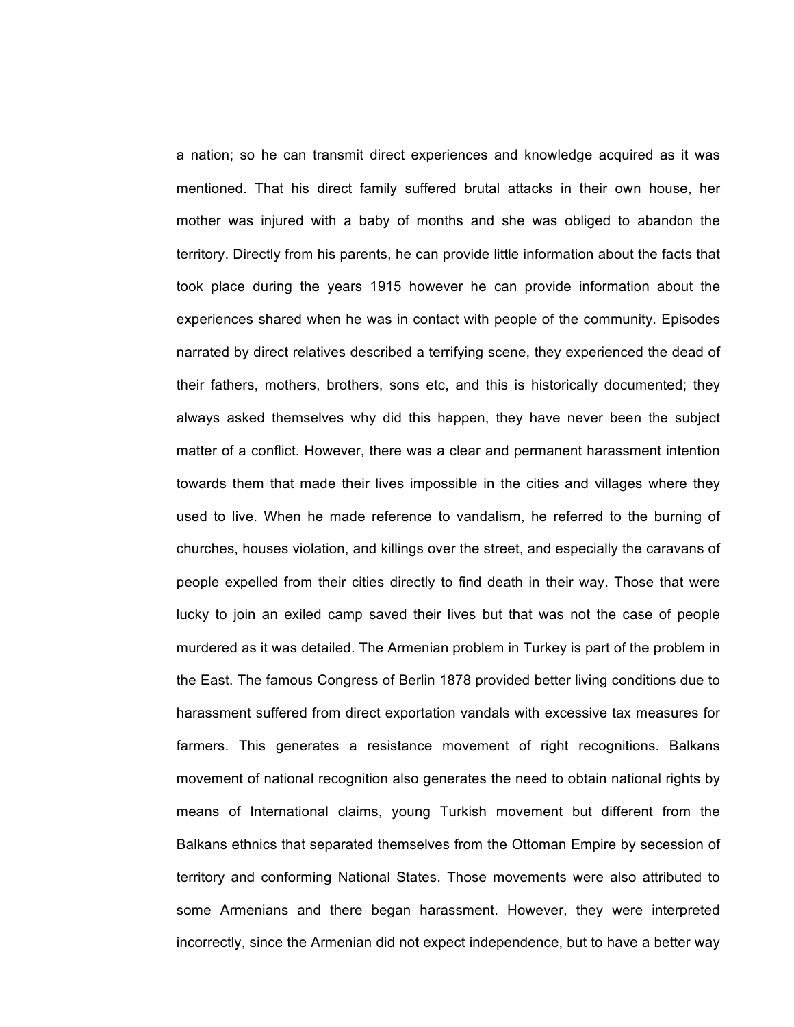a nation; so he can transmit direct experiences and knowledge acquired as it was mentioned. That his direct family suffered brutal attacks in their own house, her mother was injured with a baby of months and she was obliged to abandon the territory. Directly from his parents, he can provide little information about the facts that took place during the years 1915 however he can provide information about the experiences shared when he was in contact with people of the community. Episodes narrated by direct relatives described a terrifying scene, they experienced the dead of their fathers, mothers, brothers, sons etc, and this is historically documented; they always asked themselves why did this happen, they have never been the subject matter of a conflict. However, there was a clear and permanent harassment intention towards them that made their lives impossible in the cities and villages where they used to live. When he made reference to vandalism, he referred to the burning of churches, houses violation, and killings over the street, and especially the caravans of people expelled from their cities directly to find death in their way. Those that were lucky to join an exiled camp saved their lives but that was not the case of people murdered as it was detailed. The Armenian problem in Turkey is part of the problem in the East. The famous Congress of Berlin 1878 provided better living conditions due to harassment suffered from direct exportation vandals with excessive tax measures for farmers. This generates a resistance movement of right recognitions. Balkans movement of national recognition also generates the need to obtain national rights by means of International claims, young Turkish movement but different from the Balkans ethnics that separated themselves from the Ottoman Empire by secession of territory and conforming National States. Those movements were also attributed to some Armenians and there began harassment. However, they were interpreted incorrectly, since the Armenian did not expect independence, but to have a better way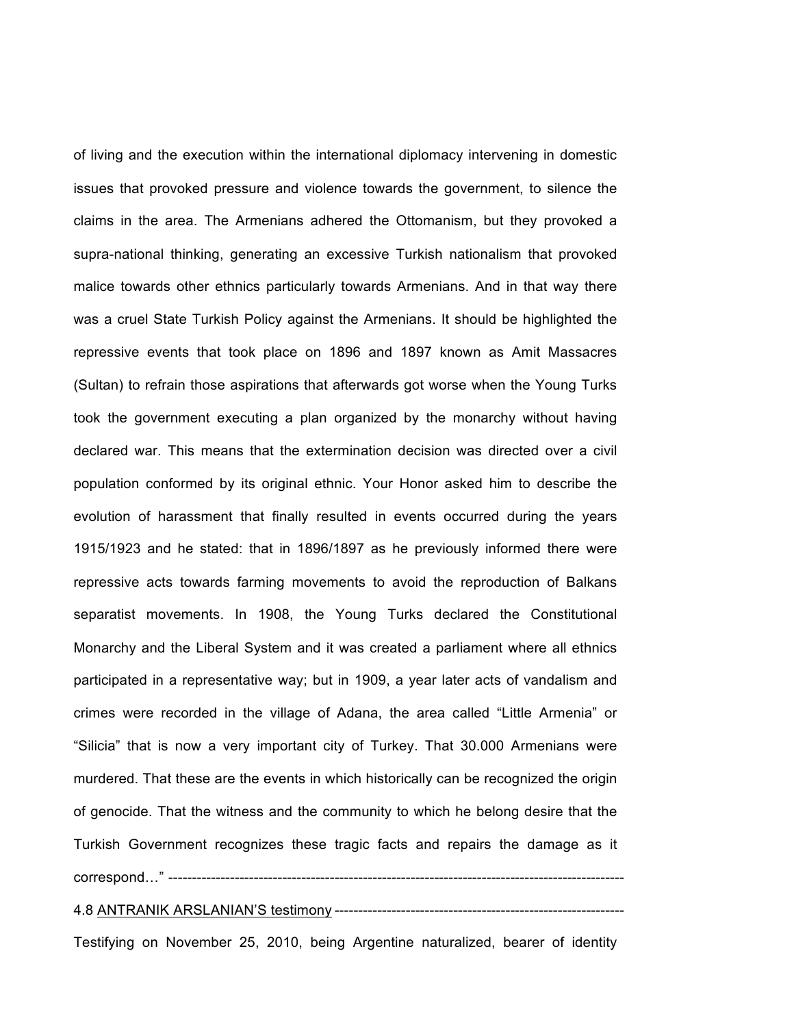of living and the execution within the international diplomacy intervening in domestic issues that provoked pressure and violence towards the government, to silence the claims in the area. The Armenians adhered the Ottomanism, but they provoked a supra-national thinking, generating an excessive Turkish nationalism that provoked malice towards other ethnics particularly towards Armenians. And in that way there was a cruel State Turkish Policy against the Armenians. It should be highlighted the repressive events that took place on 1896 and 1897 known as Amit Massacres (Sultan) to refrain those aspirations that afterwards got worse when the Young Turks took the government executing a plan organized by the monarchy without having declared war. This means that the extermination decision was directed over a civil population conformed by its original ethnic. Your Honor asked him to describe the evolution of harassment that finally resulted in events occurred during the years 1915/1923 and he stated: that in 1896/1897 as he previously informed there were repressive acts towards farming movements to avoid the reproduction of Balkans separatist movements. In 1908, the Young Turks declared the Constitutional Monarchy and the Liberal System and it was created a parliament where all ethnics participated in a representative way; but in 1909, a year later acts of vandalism and crimes were recorded in the village of Adana, the area called "Little Armenia" or "Silicia" that is now a very important city of Turkey. That 30.000 Armenians were murdered. That these are the events in which historically can be recognized the origin of genocide. That the witness and the community to which he belong desire that the Turkish Government recognizes these tragic facts and repairs the damage as it correspond…" ------------------------------------------------------------------------------------------------

### 4.8 ANTRANIK ARSLANIAN'S testimony -------------------------------------------------------------

Testifying on November 25, 2010, being Argentine naturalized, bearer of identity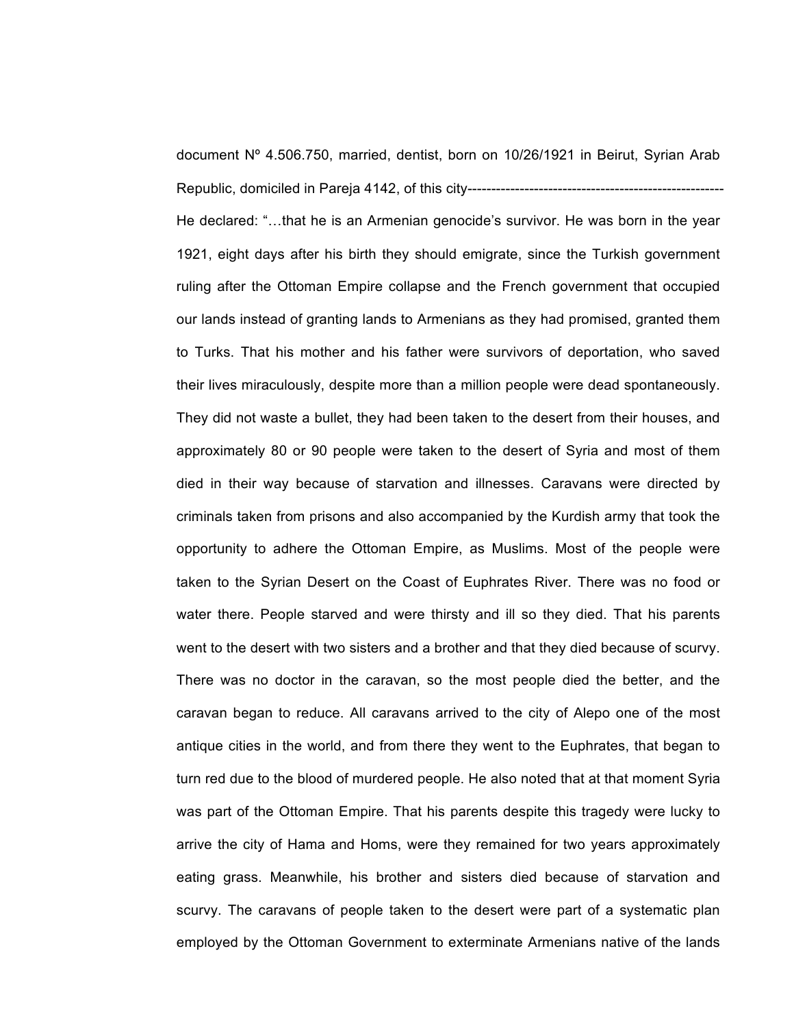document Nº 4.506.750, married, dentist, born on 10/26/1921 in Beirut, Syrian Arab Republic, domiciled in Pareja 4142, of this city------------------------------------------------------ He declared: "…that he is an Armenian genocide's survivor. He was born in the year 1921, eight days after his birth they should emigrate, since the Turkish government ruling after the Ottoman Empire collapse and the French government that occupied our lands instead of granting lands to Armenians as they had promised, granted them to Turks. That his mother and his father were survivors of deportation, who saved their lives miraculously, despite more than a million people were dead spontaneously. They did not waste a bullet, they had been taken to the desert from their houses, and approximately 80 or 90 people were taken to the desert of Syria and most of them died in their way because of starvation and illnesses. Caravans were directed by criminals taken from prisons and also accompanied by the Kurdish army that took the opportunity to adhere the Ottoman Empire, as Muslims. Most of the people were taken to the Syrian Desert on the Coast of Euphrates River. There was no food or water there. People starved and were thirsty and ill so they died. That his parents went to the desert with two sisters and a brother and that they died because of scurvy. There was no doctor in the caravan, so the most people died the better, and the caravan began to reduce. All caravans arrived to the city of Alepo one of the most antique cities in the world, and from there they went to the Euphrates, that began to turn red due to the blood of murdered people. He also noted that at that moment Syria was part of the Ottoman Empire. That his parents despite this tragedy were lucky to arrive the city of Hama and Homs, were they remained for two years approximately eating grass. Meanwhile, his brother and sisters died because of starvation and scurvy. The caravans of people taken to the desert were part of a systematic plan employed by the Ottoman Government to exterminate Armenians native of the lands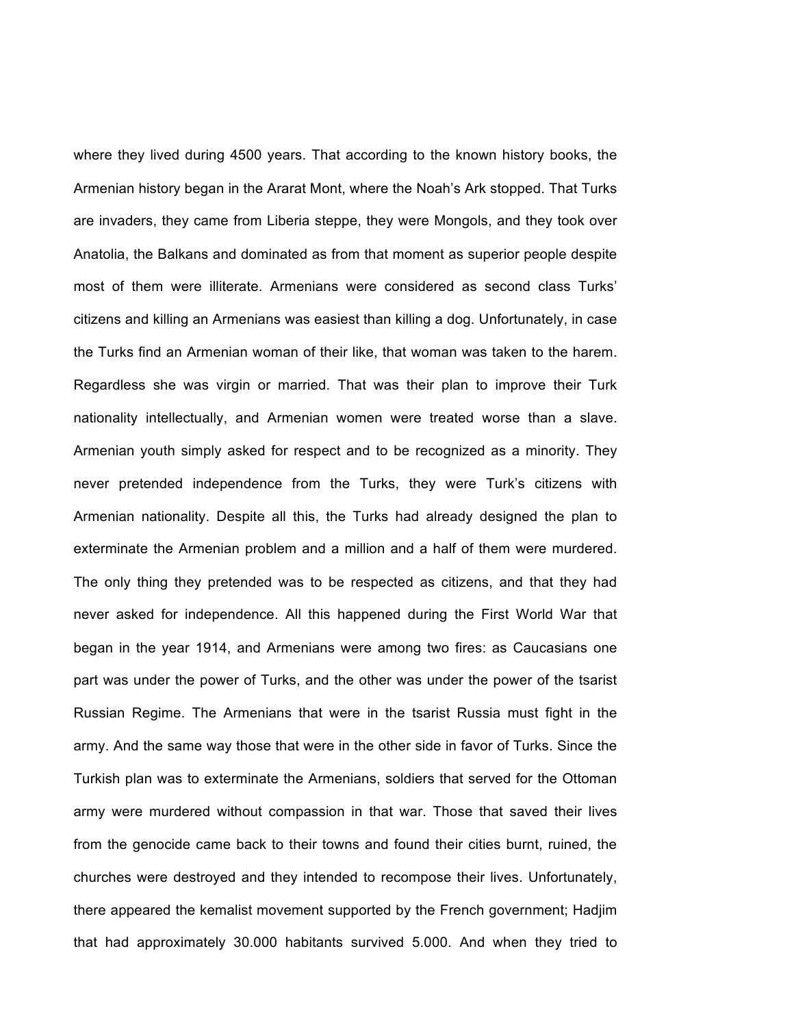where they lived during 4500 years. That according to the known history books, the Armenian history began in the Ararat Mont, where the Noah's Ark stopped. That Turks are invaders, they came from Liberia steppe, they were Mongols, and they took over Anatolia, the Balkans and dominated as from that moment as superior people despite most of them were illiterate. Armenians were considered as second class Turks' citizens and killing an Armenians was easiest than killing a dog. Unfortunately, in case the Turks find an Armenian woman of their like, that woman was taken to the harem. Regardless she was virgin or married. That was their plan to improve their Turk nationality intellectually, and Armenian women were treated worse than a slave. Armenian youth simply asked for respect and to be recognized as a minority. They never pretended independence from the Turks, they were Turk's citizens with Armenian nationality. Despite all this, the Turks had already designed the plan to exterminate the Armenian problem and a million and a half of them were murdered. The only thing they pretended was to be respected as citizens, and that they had never asked for independence. All this happened during the First World War that began in the year 1914, and Armenians were among two fires: as Caucasians one part was under the power of Turks, and the other was under the power of the tsarist Russian Regime. The Armenians that were in the tsarist Russia must fight in the army. And the same way those that were in the other side in favor of Turks. Since the Turkish plan was to exterminate the Armenians, soldiers that served for the Ottoman army were murdered without compassion in that war. Those that saved their lives from the genocide came back to their towns and found their cities burnt, ruined, the churches were destroyed and they intended to recompose their lives. Unfortunately, there appeared the kemalist movement supported by the French government; Hadjim that had approximately 30.000 habitants survived 5.000. And when they tried to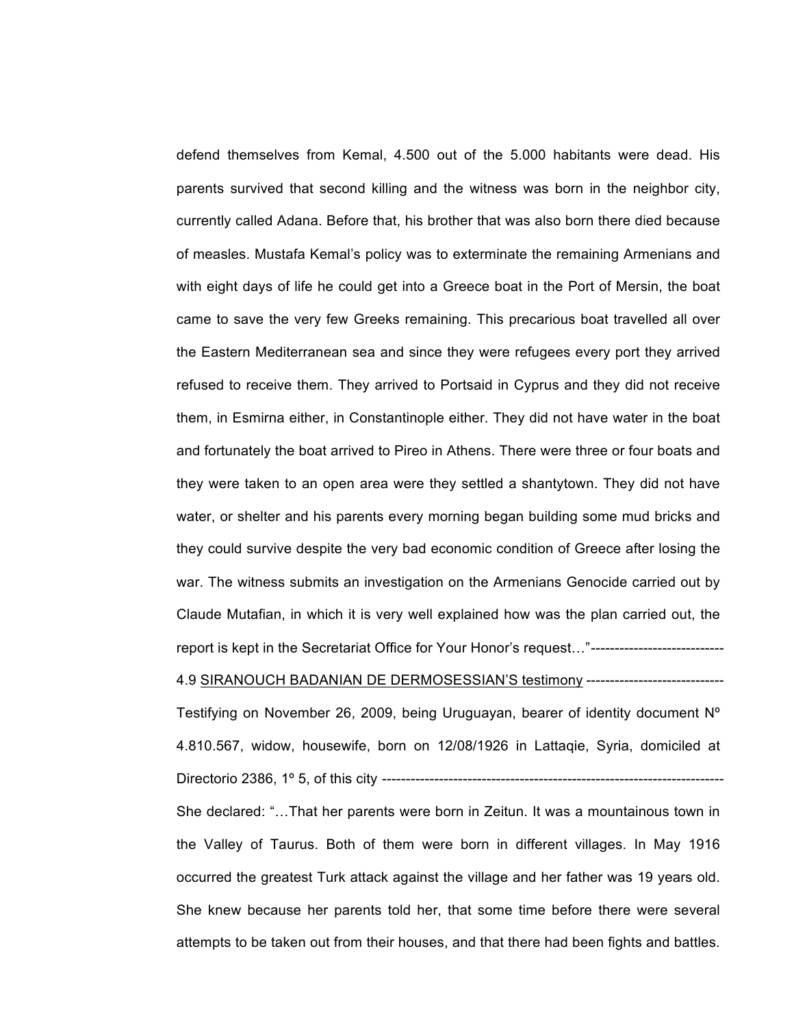defend themselves from Kemal, 4.500 out of the 5.000 habitants were dead. His parents survived that second killing and the witness was born in the neighbor city, currently called Adana. Before that, his brother that was also born there died because of measles. Mustafa Kemal's policy was to exterminate the remaining Armenians and with eight days of life he could get into a Greece boat in the Port of Mersin, the boat came to save the very few Greeks remaining. This precarious boat travelled all over the Eastern Mediterranean sea and since they were refugees every port they arrived refused to receive them. They arrived to Portsaid in Cyprus and they did not receive them, in Esmirna either, in Constantinople either. They did not have water in the boat and fortunately the boat arrived to Pireo in Athens. There were three or four boats and they were taken to an open area were they settled a shantytown. They did not have water, or shelter and his parents every morning began building some mud bricks and they could survive despite the very bad economic condition of Greece after losing the war. The witness submits an investigation on the Armenians Genocide carried out by Claude Mutafian, in which it is very well explained how was the plan carried out, the report is kept in the Secretariat Office for Your Honor's request…"---------------------------- 4.9 SIRANOUCH BADANIAN DE DERMOSESSIAN'S testimony ----------------------------- Testifying on November 26, 2009, being Uruguayan, bearer of identity document Nº 4.810.567, widow, housewife, born on 12/08/1926 in Lattaqie, Syria, domiciled at Directorio 2386, 1º 5, of this city ------------------------------------------------------------------------

She declared: "…That her parents were born in Zeitun. It was a mountainous town in the Valley of Taurus. Both of them were born in different villages. In May 1916 occurred the greatest Turk attack against the village and her father was 19 years old. She knew because her parents told her, that some time before there were several attempts to be taken out from their houses, and that there had been fights and battles.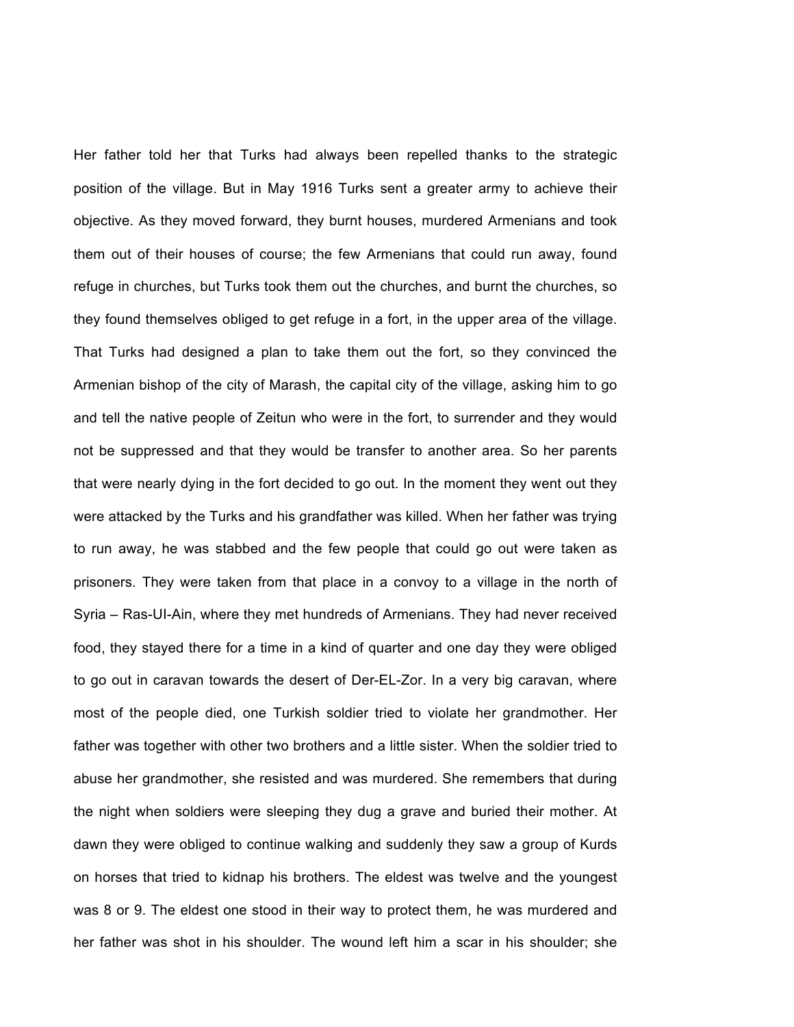Her father told her that Turks had always been repelled thanks to the strategic position of the village. But in May 1916 Turks sent a greater army to achieve their objective. As they moved forward, they burnt houses, murdered Armenians and took them out of their houses of course; the few Armenians that could run away, found refuge in churches, but Turks took them out the churches, and burnt the churches, so they found themselves obliged to get refuge in a fort, in the upper area of the village. That Turks had designed a plan to take them out the fort, so they convinced the Armenian bishop of the city of Marash, the capital city of the village, asking him to go and tell the native people of Zeitun who were in the fort, to surrender and they would not be suppressed and that they would be transfer to another area. So her parents that were nearly dying in the fort decided to go out. In the moment they went out they were attacked by the Turks and his grandfather was killed. When her father was trying to run away, he was stabbed and the few people that could go out were taken as prisoners. They were taken from that place in a convoy to a village in the north of Syria – Ras-UI-Ain, where they met hundreds of Armenians. They had never received food, they stayed there for a time in a kind of quarter and one day they were obliged to go out in caravan towards the desert of Der-EL-Zor. In a very big caravan, where most of the people died, one Turkish soldier tried to violate her grandmother. Her father was together with other two brothers and a little sister. When the soldier tried to abuse her grandmother, she resisted and was murdered. She remembers that during the night when soldiers were sleeping they dug a grave and buried their mother. At dawn they were obliged to continue walking and suddenly they saw a group of Kurds on horses that tried to kidnap his brothers. The eldest was twelve and the youngest was 8 or 9. The eldest one stood in their way to protect them, he was murdered and her father was shot in his shoulder. The wound left him a scar in his shoulder; she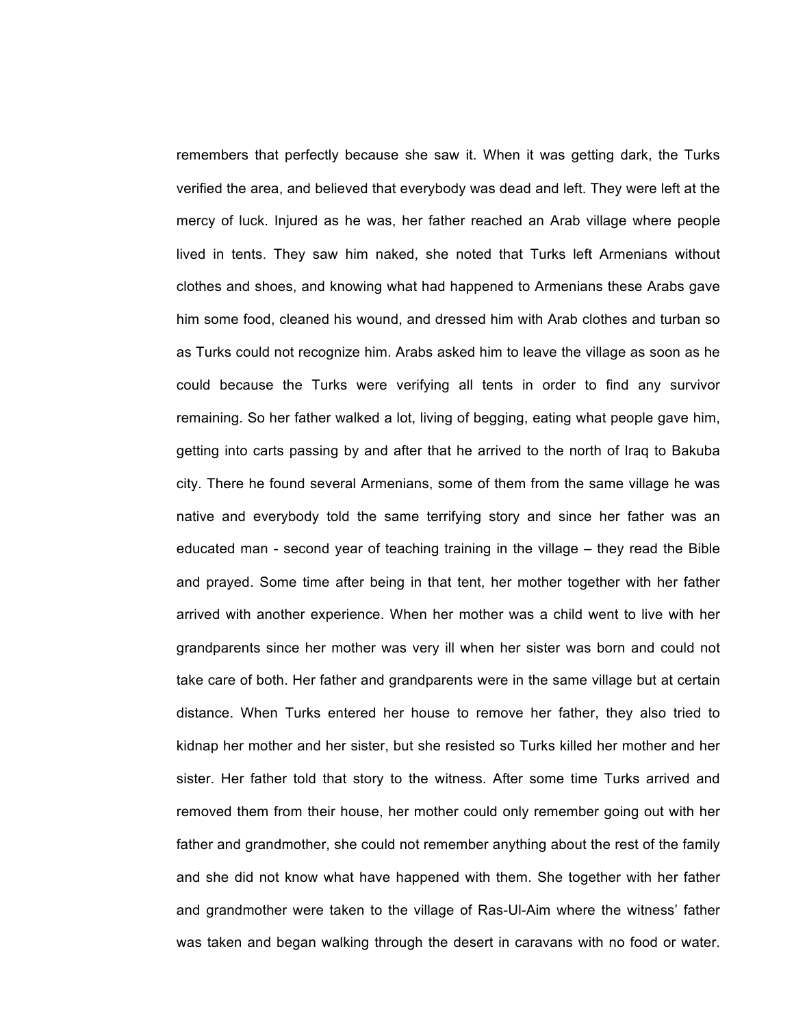remembers that perfectly because she saw it. When it was getting dark, the Turks verified the area, and believed that everybody was dead and left. They were left at the mercy of luck. Injured as he was, her father reached an Arab village where people lived in tents. They saw him naked, she noted that Turks left Armenians without clothes and shoes, and knowing what had happened to Armenians these Arabs gave him some food, cleaned his wound, and dressed him with Arab clothes and turban so as Turks could not recognize him. Arabs asked him to leave the village as soon as he could because the Turks were verifying all tents in order to find any survivor remaining. So her father walked a lot, living of begging, eating what people gave him, getting into carts passing by and after that he arrived to the north of Iraq to Bakuba city. There he found several Armenians, some of them from the same village he was native and everybody told the same terrifying story and since her father was an educated man - second year of teaching training in the village – they read the Bible and prayed. Some time after being in that tent, her mother together with her father arrived with another experience. When her mother was a child went to live with her grandparents since her mother was very ill when her sister was born and could not take care of both. Her father and grandparents were in the same village but at certain distance. When Turks entered her house to remove her father, they also tried to kidnap her mother and her sister, but she resisted so Turks killed her mother and her sister. Her father told that story to the witness. After some time Turks arrived and removed them from their house, her mother could only remember going out with her father and grandmother, she could not remember anything about the rest of the family and she did not know what have happened with them. She together with her father and grandmother were taken to the village of Ras-Ul-Aim where the witness' father was taken and began walking through the desert in caravans with no food or water.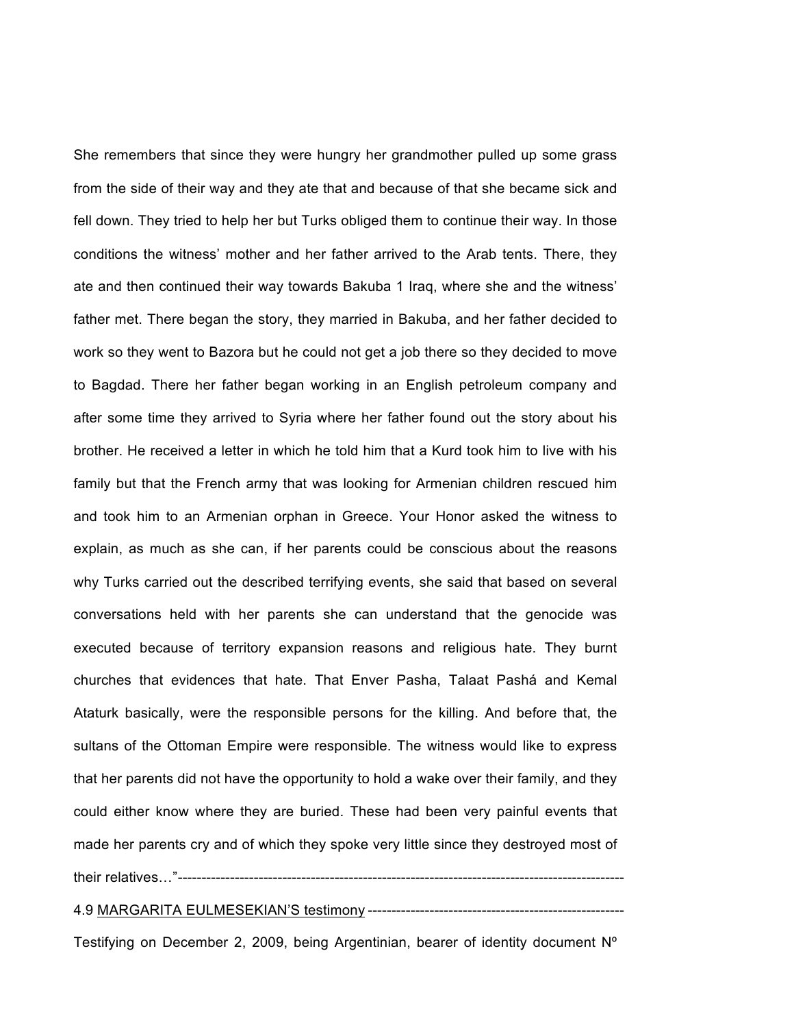She remembers that since they were hungry her grandmother pulled up some grass from the side of their way and they ate that and because of that she became sick and fell down. They tried to help her but Turks obliged them to continue their way. In those conditions the witness' mother and her father arrived to the Arab tents. There, they ate and then continued their way towards Bakuba 1 Iraq, where she and the witness' father met. There began the story, they married in Bakuba, and her father decided to work so they went to Bazora but he could not get a job there so they decided to move to Bagdad. There her father began working in an English petroleum company and after some time they arrived to Syria where her father found out the story about his brother. He received a letter in which he told him that a Kurd took him to live with his family but that the French army that was looking for Armenian children rescued him and took him to an Armenian orphan in Greece. Your Honor asked the witness to explain, as much as she can, if her parents could be conscious about the reasons why Turks carried out the described terrifying events, she said that based on several conversations held with her parents she can understand that the genocide was executed because of territory expansion reasons and religious hate. They burnt churches that evidences that hate. That Enver Pasha, Talaat Pashá and Kemal Ataturk basically, were the responsible persons for the killing. And before that, the sultans of the Ottoman Empire were responsible. The witness would like to express that her parents did not have the opportunity to hold a wake over their family, and they could either know where they are buried. These had been very painful events that made her parents cry and of which they spoke very little since they destroyed most of their relatives…"----------------------------------------------------------------------------------------------

## 4.9 MARGARITA EULMESEKIAN'S testimony ------------------------------------------------------

Testifying on December 2, 2009, being Argentinian, bearer of identity document Nº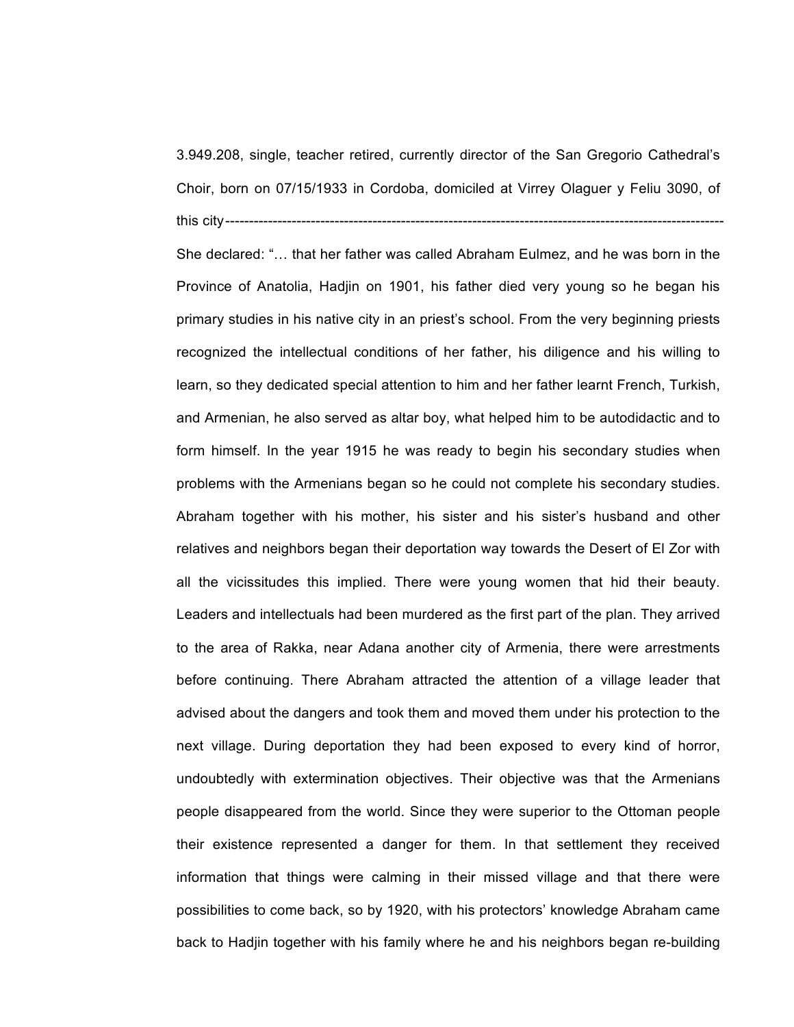3.949.208, single, teacher retired, currently director of the San Gregorio Cathedral's Choir, born on 07/15/1933 in Cordoba, domiciled at Virrey Olaguer y Feliu 3090, of this city---------------------------------------------------------------------------------------------------------

She declared: "… that her father was called Abraham Eulmez, and he was born in the Province of Anatolia, Hadjin on 1901, his father died very young so he began his primary studies in his native city in an priest's school. From the very beginning priests recognized the intellectual conditions of her father, his diligence and his willing to learn, so they dedicated special attention to him and her father learnt French, Turkish, and Armenian, he also served as altar boy, what helped him to be autodidactic and to form himself. In the year 1915 he was ready to begin his secondary studies when problems with the Armenians began so he could not complete his secondary studies. Abraham together with his mother, his sister and his sister's husband and other relatives and neighbors began their deportation way towards the Desert of El Zor with all the vicissitudes this implied. There were young women that hid their beauty. Leaders and intellectuals had been murdered as the first part of the plan. They arrived to the area of Rakka, near Adana another city of Armenia, there were arrestments before continuing. There Abraham attracted the attention of a village leader that advised about the dangers and took them and moved them under his protection to the next village. During deportation they had been exposed to every kind of horror, undoubtedly with extermination objectives. Their objective was that the Armenians people disappeared from the world. Since they were superior to the Ottoman people their existence represented a danger for them. In that settlement they received information that things were calming in their missed village and that there were possibilities to come back, so by 1920, with his protectors' knowledge Abraham came back to Hadjin together with his family where he and his neighbors began re-building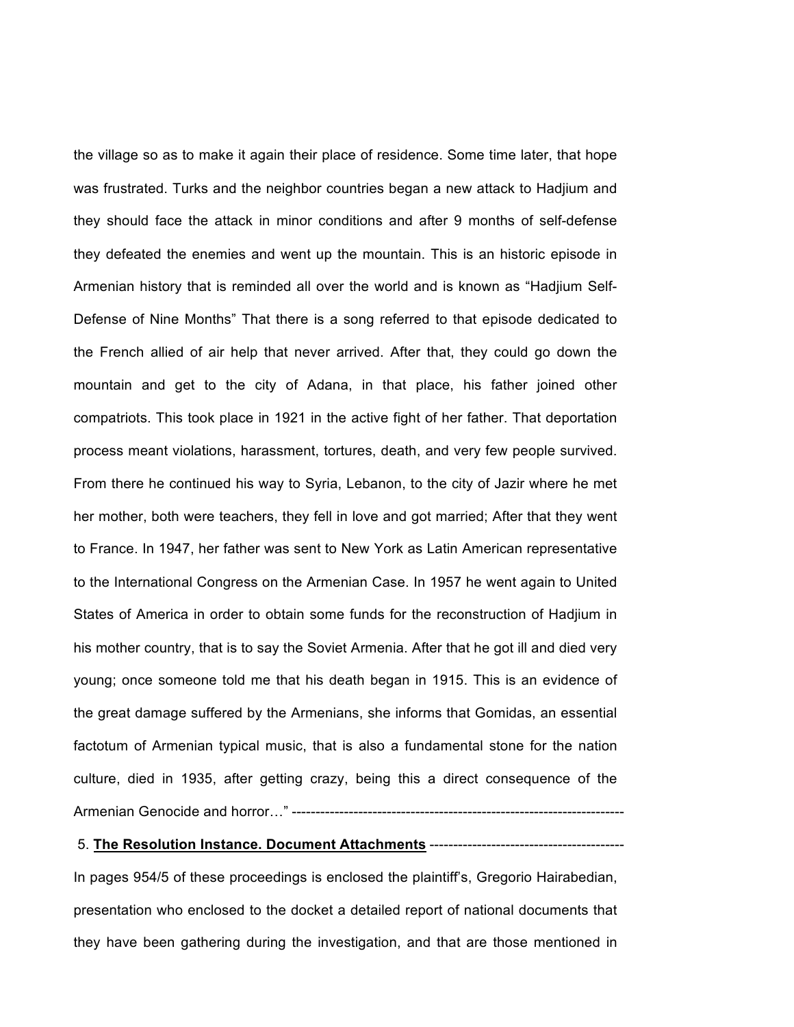the village so as to make it again their place of residence. Some time later, that hope was frustrated. Turks and the neighbor countries began a new attack to Hadjium and they should face the attack in minor conditions and after 9 months of self-defense they defeated the enemies and went up the mountain. This is an historic episode in Armenian history that is reminded all over the world and is known as "Hadjium Self-Defense of Nine Months" That there is a song referred to that episode dedicated to the French allied of air help that never arrived. After that, they could go down the mountain and get to the city of Adana, in that place, his father joined other compatriots. This took place in 1921 in the active fight of her father. That deportation process meant violations, harassment, tortures, death, and very few people survived. From there he continued his way to Syria, Lebanon, to the city of Jazir where he met her mother, both were teachers, they fell in love and got married; After that they went to France. In 1947, her father was sent to New York as Latin American representative to the International Congress on the Armenian Case. In 1957 he went again to United States of America in order to obtain some funds for the reconstruction of Hadjium in his mother country, that is to say the Soviet Armenia. After that he got ill and died very young; once someone told me that his death began in 1915. This is an evidence of the great damage suffered by the Armenians, she informs that Gomidas, an essential factotum of Armenian typical music, that is also a fundamental stone for the nation culture, died in 1935, after getting crazy, being this a direct consequence of the Armenian Genocide and horror…" ----------------------------------------------------------------------

### 5. **The Resolution Instance. Document Attachments** -----------------------------------------

In pages 954/5 of these proceedings is enclosed the plaintiff's, Gregorio Hairabedian, presentation who enclosed to the docket a detailed report of national documents that they have been gathering during the investigation, and that are those mentioned in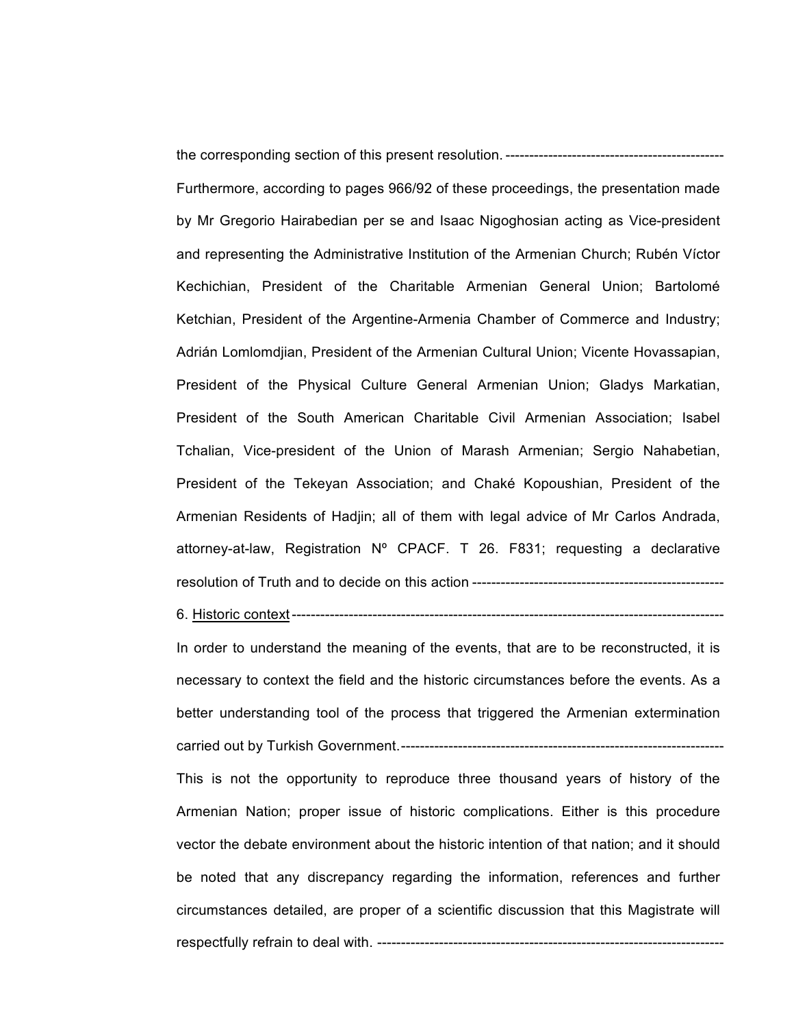the corresponding section of this present resolution.---------------------------------------------- Furthermore, according to pages 966/92 of these proceedings, the presentation made by Mr Gregorio Hairabedian per se and Isaac Nigoghosian acting as Vice-president and representing the Administrative Institution of the Armenian Church; Rubén Víctor Kechichian, President of the Charitable Armenian General Union; Bartolomé Ketchian, President of the Argentine-Armenia Chamber of Commerce and Industry; Adrián Lomlomdjian, President of the Armenian Cultural Union; Vicente Hovassapian, President of the Physical Culture General Armenian Union; Gladys Markatian, President of the South American Charitable Civil Armenian Association; Isabel Tchalian, Vice-president of the Union of Marash Armenian; Sergio Nahabetian, President of the Tekeyan Association; and Chaké Kopoushian, President of the Armenian Residents of Hadjin; all of them with legal advice of Mr Carlos Andrada, attorney-at-law, Registration Nº CPACF. T 26. F831; requesting a declarative resolution of Truth and to decide on this action -----------------------------------------------------

6. Historic context-------------------------------------------------------------------------------------------

In order to understand the meaning of the events, that are to be reconstructed, it is necessary to context the field and the historic circumstances before the events. As a better understanding tool of the process that triggered the Armenian extermination carried out by Turkish Government.--------------------------------------------------------------------

This is not the opportunity to reproduce three thousand years of history of the Armenian Nation; proper issue of historic complications. Either is this procedure vector the debate environment about the historic intention of that nation; and it should be noted that any discrepancy regarding the information, references and further circumstances detailed, are proper of a scientific discussion that this Magistrate will respectfully refrain to deal with. -------------------------------------------------------------------------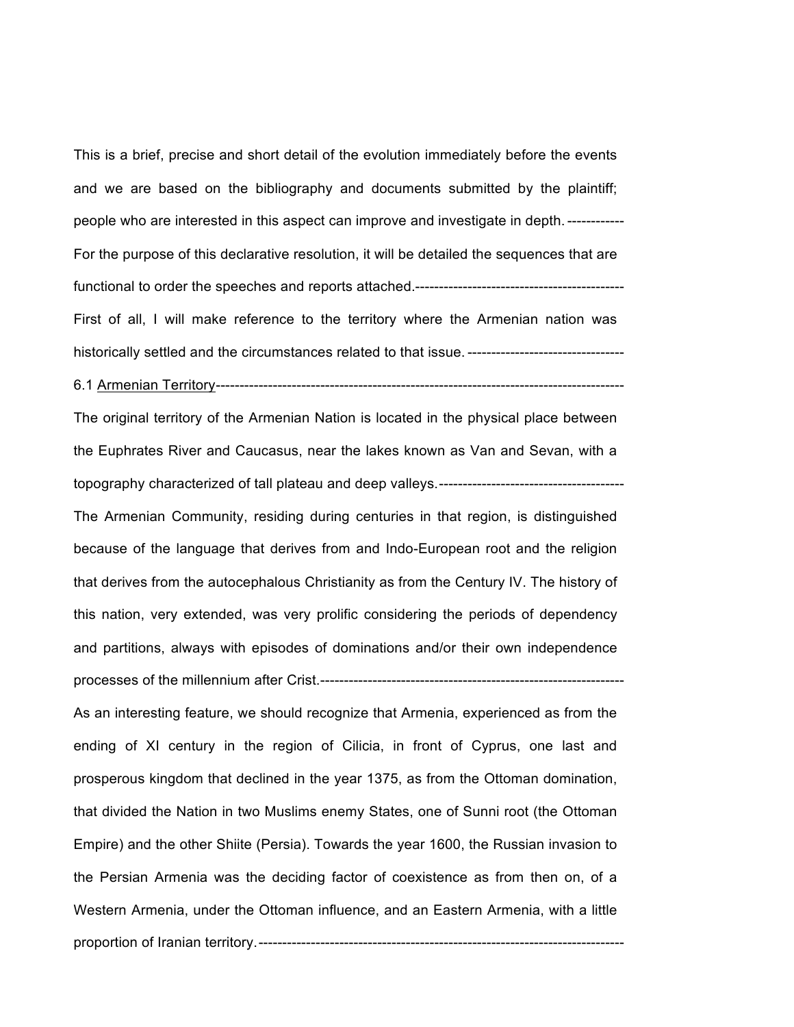This is a brief, precise and short detail of the evolution immediately before the events and we are based on the bibliography and documents submitted by the plaintiff; people who are interested in this aspect can improve and investigate in depth.------------ For the purpose of this declarative resolution, it will be detailed the sequences that are functional to order the speeches and reports attached.-------------------------------------------- First of all, I will make reference to the territory where the Armenian nation was

historically settled and the circumstances related to that issue. ----------------------------------

6.1 Armenian Territory--------------------------------------------------------------------------------------

The original territory of the Armenian Nation is located in the physical place between the Euphrates River and Caucasus, near the lakes known as Van and Sevan, with a topography characterized of tall plateau and deep valleys.---------------------------------------

The Armenian Community, residing during centuries in that region, is distinguished because of the language that derives from and Indo-European root and the religion that derives from the autocephalous Christianity as from the Century IV. The history of this nation, very extended, was very prolific considering the periods of dependency and partitions, always with episodes of dominations and/or their own independence processes of the millennium after Crist.----------------------------------------------------------------

As an interesting feature, we should recognize that Armenia, experienced as from the ending of XI century in the region of Cilicia, in front of Cyprus, one last and prosperous kingdom that declined in the year 1375, as from the Ottoman domination, that divided the Nation in two Muslims enemy States, one of Sunni root (the Ottoman Empire) and the other Shiite (Persia). Towards the year 1600, the Russian invasion to the Persian Armenia was the deciding factor of coexistence as from then on, of a Western Armenia, under the Ottoman influence, and an Eastern Armenia, with a little proportion of Iranian territory.-----------------------------------------------------------------------------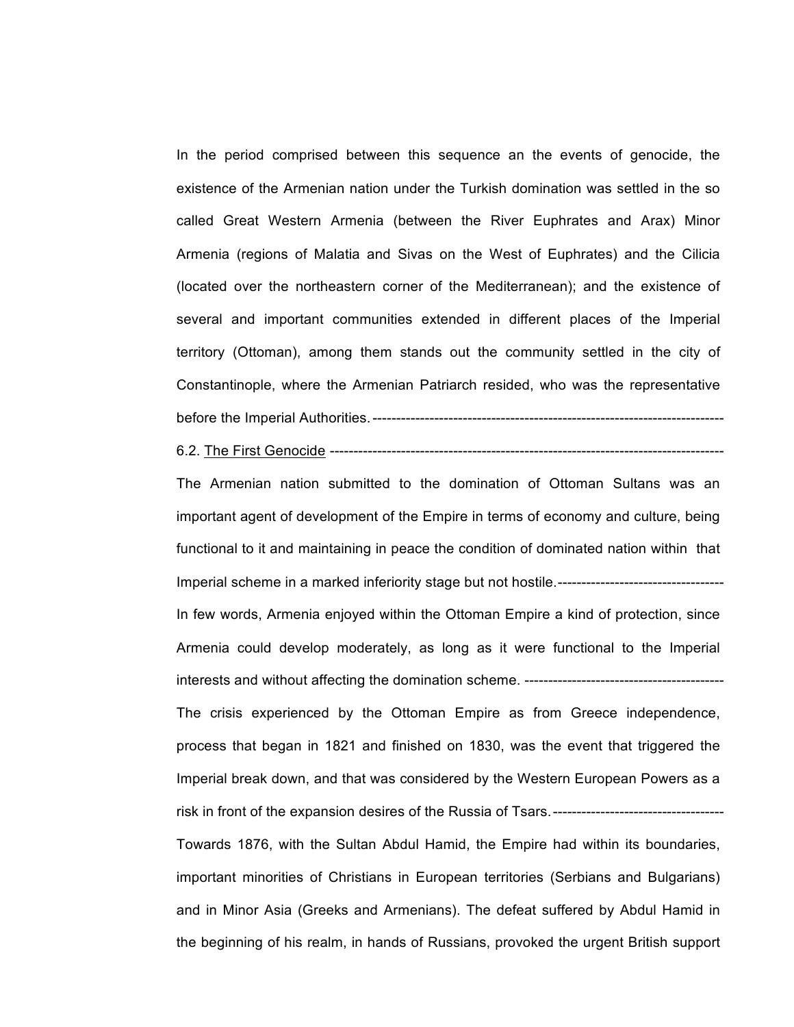In the period comprised between this sequence an the events of genocide, the existence of the Armenian nation under the Turkish domination was settled in the so called Great Western Armenia (between the River Euphrates and Arax) Minor Armenia (regions of Malatia and Sivas on the West of Euphrates) and the Cilicia (located over the northeastern corner of the Mediterranean); and the existence of several and important communities extended in different places of the Imperial territory (Ottoman), among them stands out the community settled in the city of Constantinople, where the Armenian Patriarch resided, who was the representative before the Imperial Authorities.--------------------------------------------------------------------------

6.2. The First Genocide -----------------------------------------------------------------------------------

The Armenian nation submitted to the domination of Ottoman Sultans was an important agent of development of the Empire in terms of economy and culture, being functional to it and maintaining in peace the condition of dominated nation within that Imperial scheme in a marked inferiority stage but not hostile.----------------------------------- In few words, Armenia enjoyed within the Ottoman Empire a kind of protection, since Armenia could develop moderately, as long as it were functional to the Imperial interests and without affecting the domination scheme. ------------------------------------------ The crisis experienced by the Ottoman Empire as from Greece independence, process that began in 1821 and finished on 1830, was the event that triggered the Imperial break down, and that was considered by the Western European Powers as a risk in front of the expansion desires of the Russia of Tsars.-------------------Towards 1876, with the Sultan Abdul Hamid, the Empire had within its boundaries, important minorities of Christians in European territories (Serbians and Bulgarians) and in Minor Asia (Greeks and Armenians). The defeat suffered by Abdul Hamid in the beginning of his realm, in hands of Russians, provoked the urgent British support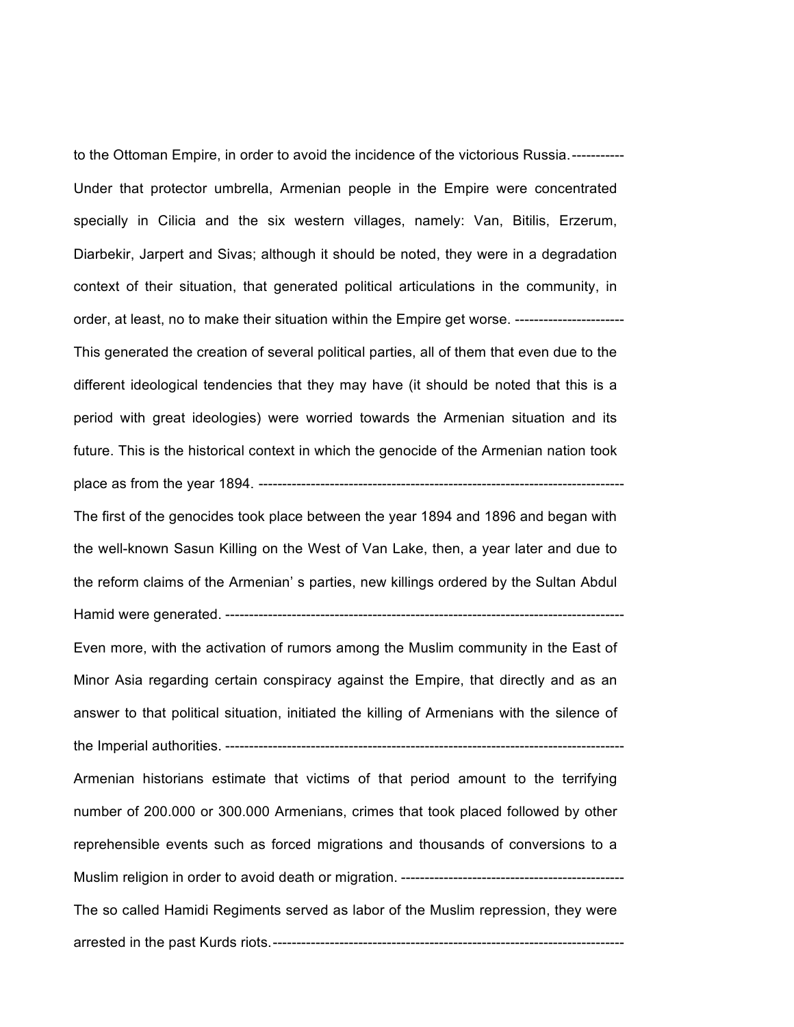to the Ottoman Empire, in order to avoid the incidence of the victorious Russia.----------- Under that protector umbrella, Armenian people in the Empire were concentrated specially in Cilicia and the six western villages, namely: Van, Bitilis, Erzerum, Diarbekir, Jarpert and Sivas; although it should be noted, they were in a degradation context of their situation, that generated political articulations in the community, in order, at least, no to make their situation within the Empire get worse. ----------------------- This generated the creation of several political parties, all of them that even due to the different ideological tendencies that they may have (it should be noted that this is a period with great ideologies) were worried towards the Armenian situation and its future. This is the historical context in which the genocide of the Armenian nation took place as from the year 1894. -----------------------------------------------------------------------------

The first of the genocides took place between the year 1894 and 1896 and began with the well-known Sasun Killing on the West of Van Lake, then, a year later and due to the reform claims of the Armenian' s parties, new killings ordered by the Sultan Abdul Hamid were generated. ------------------------------------------------------------------------------------

Even more, with the activation of rumors among the Muslim community in the East of Minor Asia regarding certain conspiracy against the Empire, that directly and as an answer to that political situation, initiated the killing of Armenians with the silence of the Imperial authorities. ------------------------------------------------------------------------------------

Armenian historians estimate that victims of that period amount to the terrifying number of 200.000 or 300.000 Armenians, crimes that took placed followed by other reprehensible events such as forced migrations and thousands of conversions to a Muslim religion in order to avoid death or migration. -----------------------------------------------

The so called Hamidi Regiments served as labor of the Muslim repression, they were arrested in the past Kurds riots.--------------------------------------------------------------------------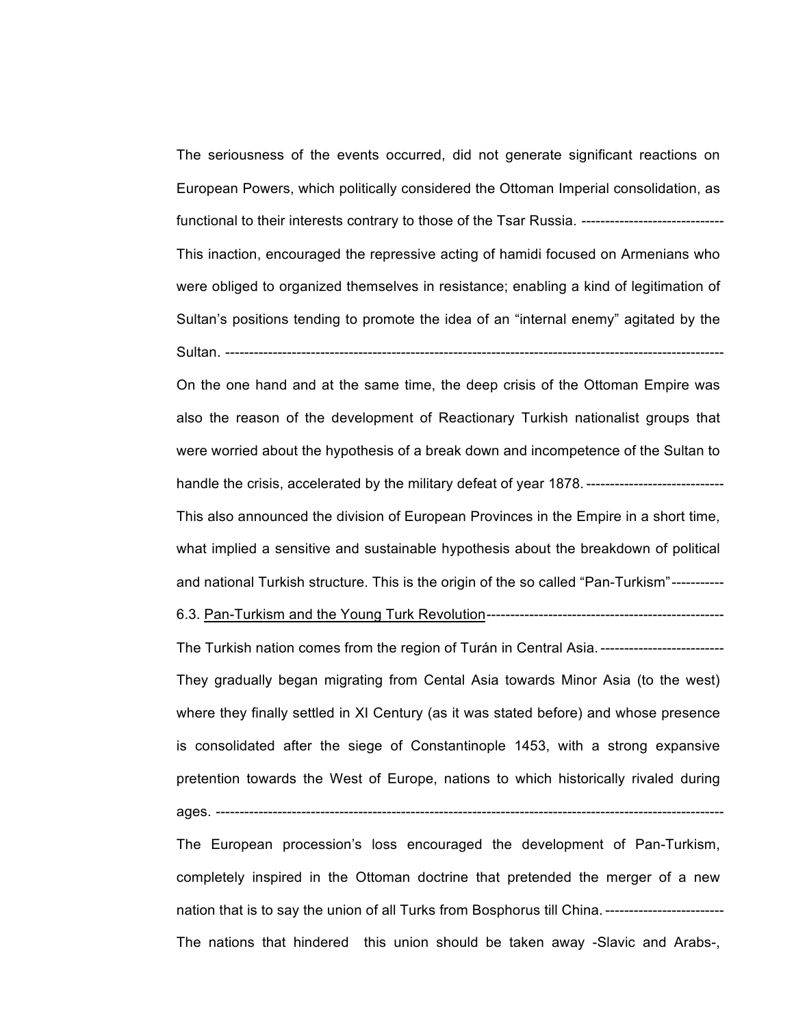The seriousness of the events occurred, did not generate significant reactions on European Powers, which politically considered the Ottoman Imperial consolidation, as functional to their interests contrary to those of the Tsar Russia. -------------------------------This inaction, encouraged the repressive acting of hamidi focused on Armenians who were obliged to organized themselves in resistance; enabling a kind of legitimation of Sultan's positions tending to promote the idea of an "internal enemy" agitated by the Sultan. ---------------------------------------------------------------------------------------------------------

On the one hand and at the same time, the deep crisis of the Ottoman Empire was also the reason of the development of Reactionary Turkish nationalist groups that were worried about the hypothesis of a break down and incompetence of the Sultan to handle the crisis, accelerated by the military defeat of year 1878. ------------------

This also announced the division of European Provinces in the Empire in a short time, what implied a sensitive and sustainable hypothesis about the breakdown of political and national Turkish structure. This is the origin of the so called "Pan-Turkism"-----------

6.3. Pan-Turkism and the Young Turk Revolution--------------------------------------------------

The Turkish nation comes from the region of Turán in Central Asia.---------------------------They gradually began migrating from Cental Asia towards Minor Asia (to the west) where they finally settled in XI Century (as it was stated before) and whose presence is consolidated after the siege of Constantinople 1453, with a strong expansive pretention towards the West of Europe, nations to which historically rivaled during ages. --------------

The European procession's loss encouraged the development of Pan-Turkism, completely inspired in the Ottoman doctrine that pretended the merger of a new nation that is to say the union of all Turks from Bosphorus till China. ---------------------------The nations that hindered this union should be taken away -Slavic and Arabs-,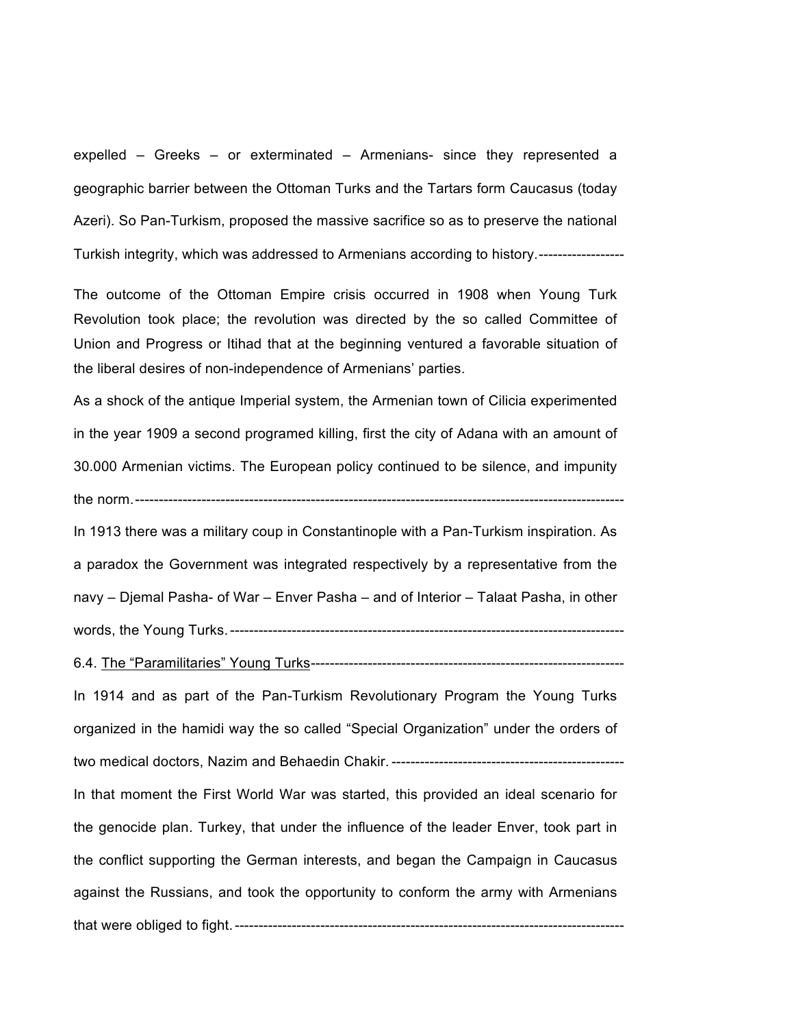expelled – Greeks – or exterminated – Armenians- since they represented a geographic barrier between the Ottoman Turks and the Tartars form Caucasus (today Azeri). So Pan-Turkism, proposed the massive sacrifice so as to preserve the national Turkish integrity, which was addressed to Armenians according to history.------------------

The outcome of the Ottoman Empire crisis occurred in 1908 when Young Turk Revolution took place; the revolution was directed by the so called Committee of Union and Progress or Itihad that at the beginning ventured a favorable situation of the liberal desires of non-independence of Armenians' parties.

As a shock of the antique Imperial system, the Armenian town of Cilicia experimented in the year 1909 a second programed killing, first the city of Adana with an amount of 30.000 Armenian victims. The European policy continued to be silence, and impunity the norm.-------------------------------------------------------------------------------------------------------

In 1913 there was a military coup in Constantinople with a Pan-Turkism inspiration. As a paradox the Government was integrated respectively by a representative from the navy – Djemal Pasha- of War – Enver Pasha – and of Interior – Talaat Pasha, in other words, the Young Turks.-----------------------------------------------------------------------------------

6.4. The "Paramilitaries" Young Turks------------------------------------------------------------------

In 1914 and as part of the Pan-Turkism Revolutionary Program the Young Turks organized in the hamidi way the so called "Special Organization" under the orders of two medical doctors, Nazim and Behaedin Chakir. -------------------------------------------------

In that moment the First World War was started, this provided an ideal scenario for the genocide plan. Turkey, that under the influence of the leader Enver, took part in the conflict supporting the German interests, and began the Campaign in Caucasus against the Russians, and took the opportunity to conform the army with Armenians that were obliged to fight.----------------------------------------------------------------------------------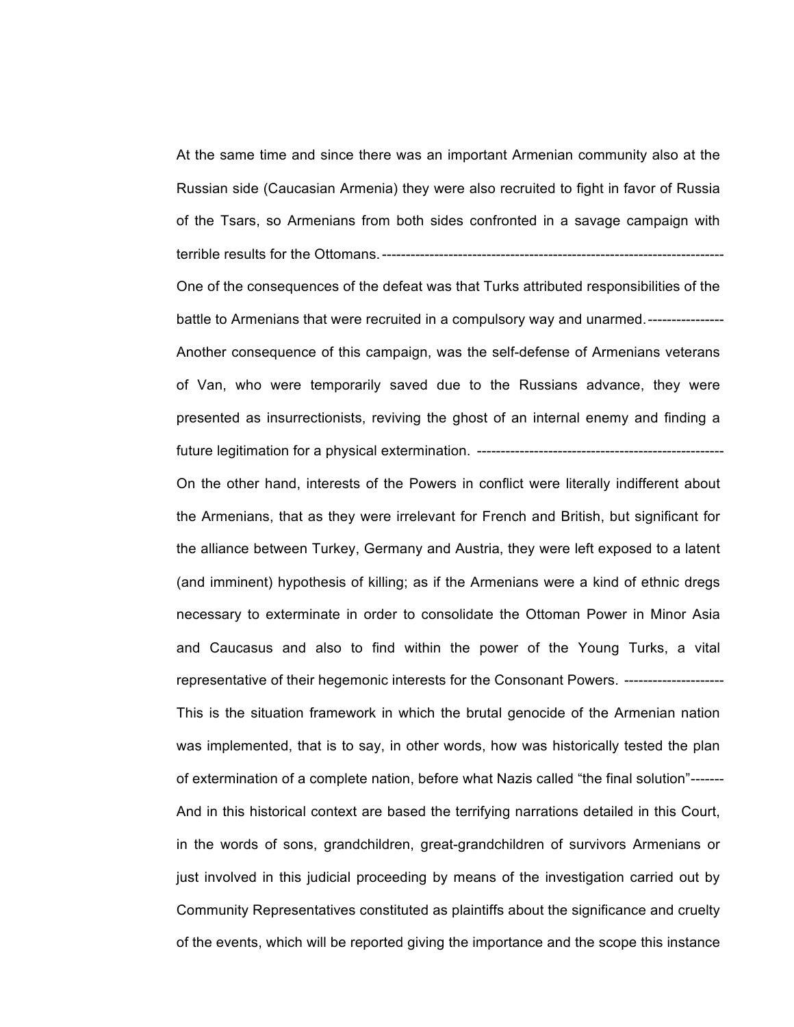At the same time and since there was an important Armenian community also at the Russian side (Caucasian Armenia) they were also recruited to fight in favor of Russia of the Tsars, so Armenians from both sides confronted in a savage campaign with terrible results for the Ottomans.------------------------------------------------------------------------

One of the consequences of the defeat was that Turks attributed responsibilities of the battle to Armenians that were recruited in a compulsory way and unarmed.---------------- Another consequence of this campaign, was the self-defense of Armenians veterans of Van, who were temporarily saved due to the Russians advance, they were presented as insurrectionists, reviving the ghost of an internal enemy and finding a future legitimation for a physical extermination. ------------------

On the other hand, interests of the Powers in conflict were literally indifferent about the Armenians, that as they were irrelevant for French and British, but significant for the alliance between Turkey, Germany and Austria, they were left exposed to a latent (and imminent) hypothesis of killing; as if the Armenians were a kind of ethnic dregs necessary to exterminate in order to consolidate the Ottoman Power in Minor Asia and Caucasus and also to find within the power of the Young Turks, a vital representative of their hegemonic interests for the Consonant Powers. ---------------------This is the situation framework in which the brutal genocide of the Armenian nation was implemented, that is to say, in other words, how was historically tested the plan of extermination of a complete nation, before what Nazis called "the final solution"------- And in this historical context are based the terrifying narrations detailed in this Court, in the words of sons, grandchildren, great-grandchildren of survivors Armenians or just involved in this judicial proceeding by means of the investigation carried out by Community Representatives constituted as plaintiffs about the significance and cruelty of the events, which will be reported giving the importance and the scope this instance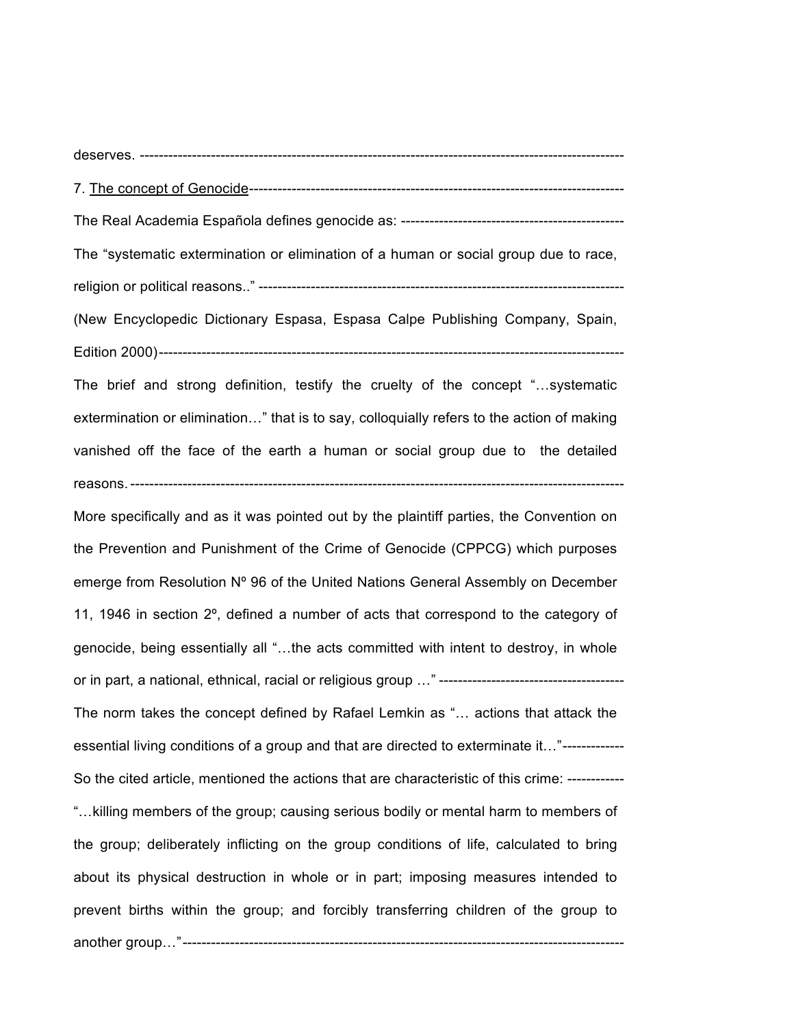deserves. ------------------------------------------------------------------------------------------------------

7. The concept of Genocide-------------------------------------------------------------------------------

The Real Academia Española defines genocide as: -----------------------------------------------

The "systematic extermination or elimination of a human or social group due to race, religion or political reasons.." -----------------------------------------------------------------------------

(New Encyclopedic Dictionary Espasa, Espasa Calpe Publishing Company, Spain, Edition 2000)--------------------------------------------------------------------------------------------------

The brief and strong definition, testify the cruelty of the concept "…systematic extermination or elimination…" that is to say, colloquially refers to the action of making vanished off the face of the earth a human or social group due to the detailed reasons.--------------------------------------------------------------------------------------------------------

More specifically and as it was pointed out by the plaintiff parties, the Convention on the Prevention and Punishment of the Crime of Genocide (CPPCG) which purposes emerge from Resolution Nº 96 of the United Nations General Assembly on December 11, 1946 in section 2º, defined a number of acts that correspond to the category of genocide, being essentially all "…the acts committed with intent to destroy, in whole or in part, a national, ethnical, racial or religious group …" --------------------------------------- The norm takes the concept defined by Rafael Lemkin as "… actions that attack the essential living conditions of a group and that are directed to exterminate it…"------------- So the cited article, mentioned the actions that are characteristic of this crime: ------------ "…killing members of the group; causing serious bodily or mental harm to members of the group; deliberately inflicting on the group conditions of life, calculated to bring about its physical destruction in whole or in part; imposing measures intended to prevent births within the group; and forcibly transferring children of the group to another group…"---------------------------------------------------------------------------------------------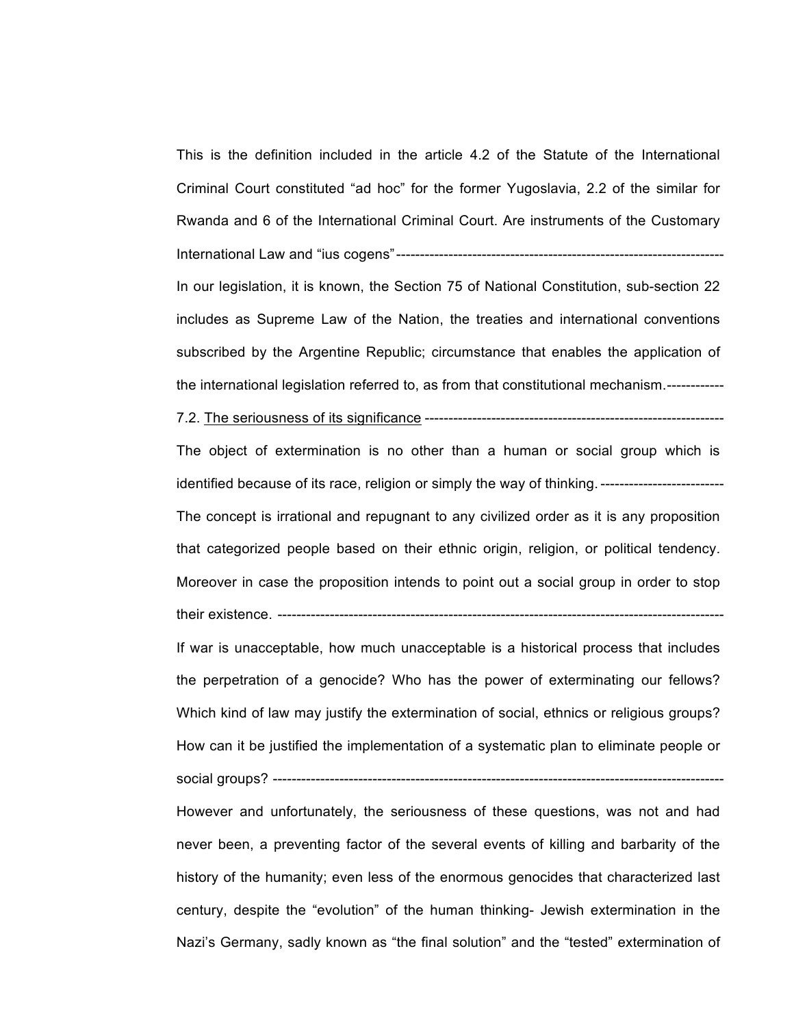This is the definition included in the article 4.2 of the Statute of the International Criminal Court constituted "ad hoc" for the former Yugoslavia, 2.2 of the similar for Rwanda and 6 of the International Criminal Court. Are instruments of the Customary International Law and "ius cogens"--------------------------------------------------------------------- In our legislation, it is known, the Section 75 of National Constitution, sub-section 22 includes as Supreme Law of the Nation, the treaties and international conventions subscribed by the Argentine Republic; circumstance that enables the application of the international legislation referred to, as from that constitutional mechanism.------------

7.2. The seriousness of its significance ---------------------------------------------------------------

The object of extermination is no other than a human or social group which is identified because of its race, religion or simply the way of thinking. ----------------------------The concept is irrational and repugnant to any civilized order as it is any proposition that categorized people based on their ethnic origin, religion, or political tendency. Moreover in case the proposition intends to point out a social group in order to stop their existence. --------------------

If war is unacceptable, how much unacceptable is a historical process that includes the perpetration of a genocide? Who has the power of exterminating our fellows? Which kind of law may justify the extermination of social, ethnics or religious groups? How can it be justified the implementation of a systematic plan to eliminate people or social groups? -----------------------------------------------------------------------------------------------

However and unfortunately, the seriousness of these questions, was not and had never been, a preventing factor of the several events of killing and barbarity of the history of the humanity; even less of the enormous genocides that characterized last century, despite the "evolution" of the human thinking- Jewish extermination in the Nazi's Germany, sadly known as "the final solution" and the "tested" extermination of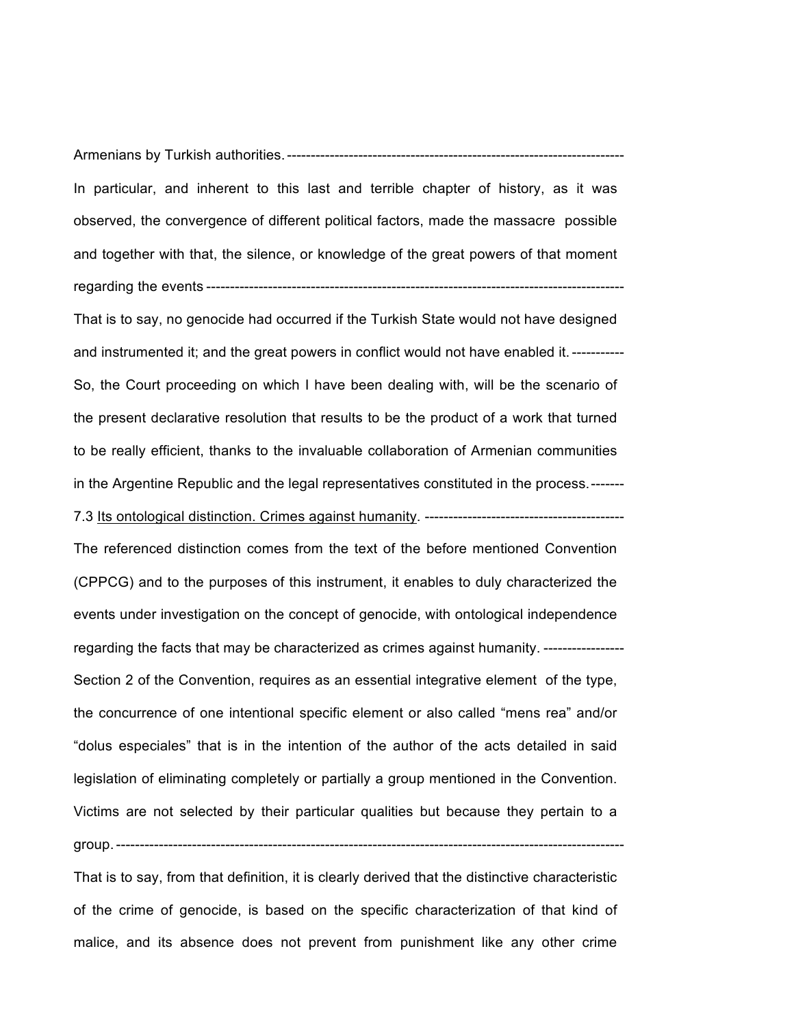Armenians by Turkish authorities.-----------------------------------------------------------------------

In particular, and inherent to this last and terrible chapter of history, as it was observed, the convergence of different political factors, made the massacre possible and together with that, the silence, or knowledge of the great powers of that moment regarding the events ----------------------------------------------------------------------------------------

That is to say, no genocide had occurred if the Turkish State would not have designed and instrumented it; and the great powers in conflict would not have enabled it.----------- So, the Court proceeding on which I have been dealing with, will be the scenario of the present declarative resolution that results to be the product of a work that turned to be really efficient, thanks to the invaluable collaboration of Armenian communities in the Argentine Republic and the legal representatives constituted in the process.-------

7.3 Its ontological distinction. Crimes against humanity. ------------------------------------------

The referenced distinction comes from the text of the before mentioned Convention (CPPCG) and to the purposes of this instrument, it enables to duly characterized the events under investigation on the concept of genocide, with ontological independence regarding the facts that may be characterized as crimes against humanity. ----------------- Section 2 of the Convention, requires as an essential integrative element of the type, the concurrence of one intentional specific element or also called "mens rea" and/or "dolus especiales" that is in the intention of the author of the acts detailed in said legislation of eliminating completely or partially a group mentioned in the Convention. Victims are not selected by their particular qualities but because they pertain to a group.-----------------------------------------------------------------------------------------------------------

That is to say, from that definition, it is clearly derived that the distinctive characteristic of the crime of genocide, is based on the specific characterization of that kind of malice, and its absence does not prevent from punishment like any other crime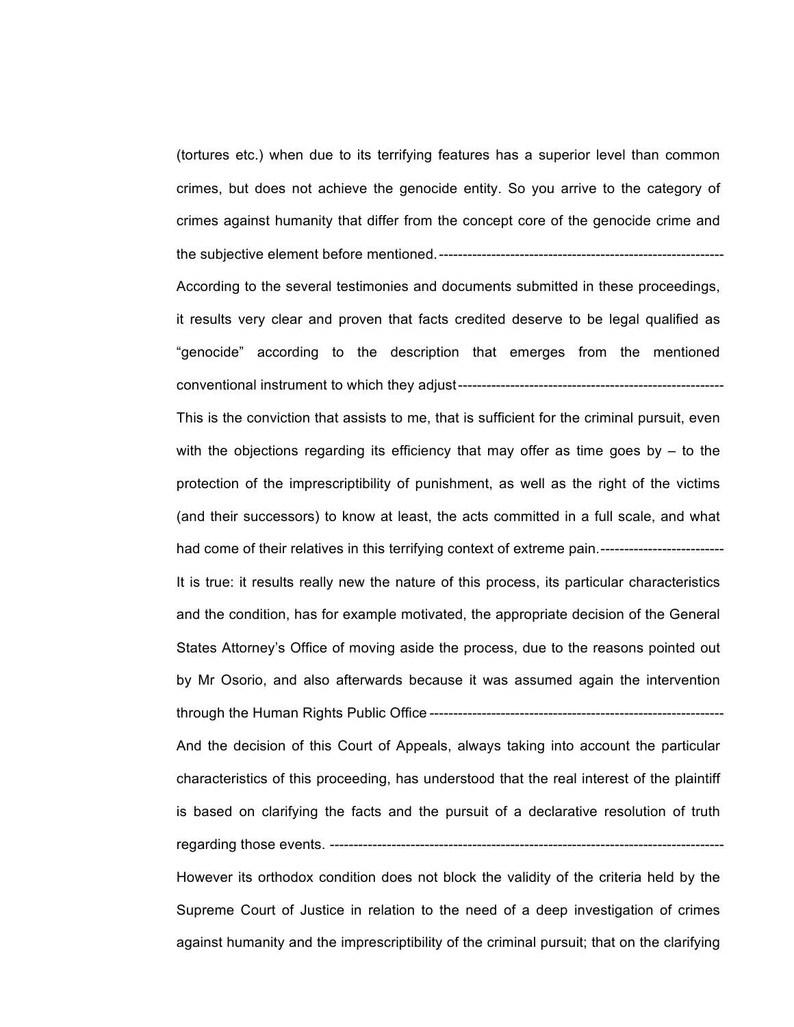(tortures etc.) when due to its terrifying features has a superior level than common crimes, but does not achieve the genocide entity. So you arrive to the category of crimes against humanity that differ from the concept core of the genocide crime and the subjective element before mentioned.------------------------------------------------------------ According to the several testimonies and documents submitted in these proceedings, it results very clear and proven that facts credited deserve to be legal qualified as "genocide" according to the description that emerges from the mentioned conventional instrument to which they adjust-------------------------------------------------------- This is the conviction that assists to me, that is sufficient for the criminal pursuit, even with the objections regarding its efficiency that may offer as time goes by  $-$  to the protection of the imprescriptibility of punishment, as well as the right of the victims (and their successors) to know at least, the acts committed in a full scale, and what had come of their relatives in this terrifying context of extreme pain.--------------------------It is true: it results really new the nature of this process, its particular characteristics and the condition, has for example motivated, the appropriate decision of the General States Attorney's Office of moving aside the process, due to the reasons pointed out by Mr Osorio, and also afterwards because it was assumed again the intervention through the Human Rights Public Office -------------------------------------------------------------- And the decision of this Court of Appeals, always taking into account the particular characteristics of this proceeding, has understood that the real interest of the plaintiff is based on clarifying the facts and the pursuit of a declarative resolution of truth regarding those events. ----------------------------------------------------------------------------------- However its orthodox condition does not block the validity of the criteria held by the Supreme Court of Justice in relation to the need of a deep investigation of crimes against humanity and the imprescriptibility of the criminal pursuit; that on the clarifying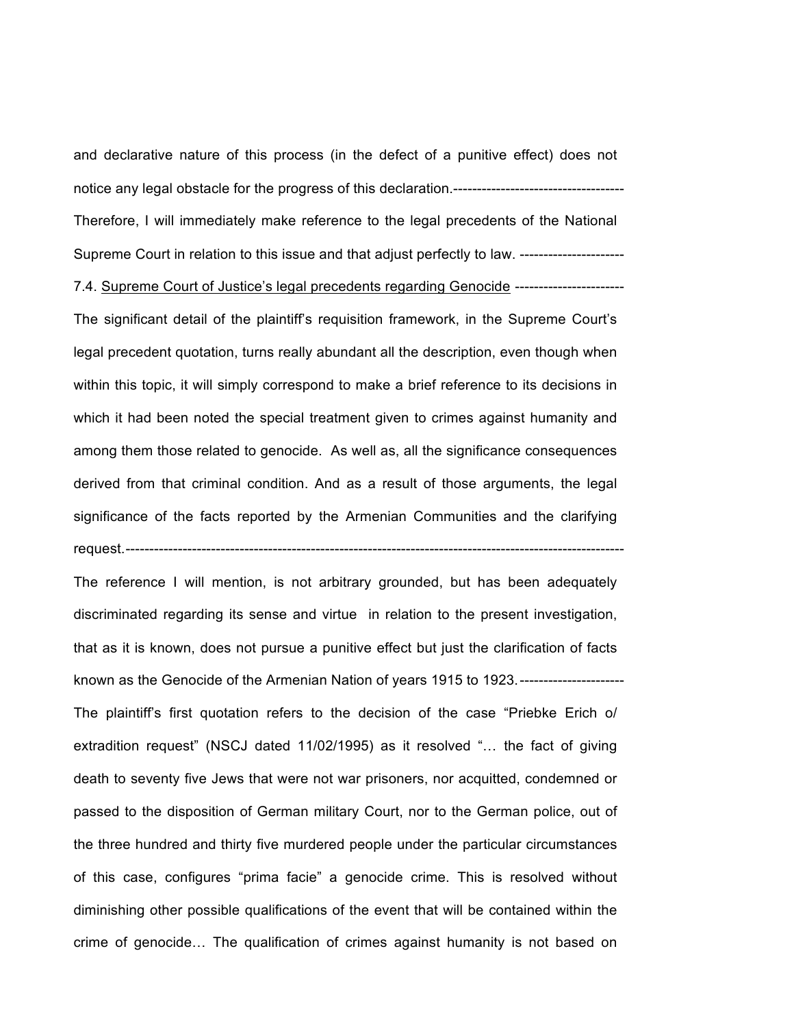and declarative nature of this process (in the defect of a punitive effect) does not notice any legal obstacle for the progress of this declaration.------------------------------------ Therefore, I will immediately make reference to the legal precedents of the National Supreme Court in relation to this issue and that adjust perfectly to law. ----------------------

7.4. Supreme Court of Justice's legal precedents regarding Genocide -----------------------

The significant detail of the plaintiff's requisition framework, in the Supreme Court's legal precedent quotation, turns really abundant all the description, even though when within this topic, it will simply correspond to make a brief reference to its decisions in which it had been noted the special treatment given to crimes against humanity and among them those related to genocide. As well as, all the significance consequences derived from that criminal condition. And as a result of those arguments, the legal significance of the facts reported by the Armenian Communities and the clarifying request.---------------------------------------------------------------------------------------------------------

The reference I will mention, is not arbitrary grounded, but has been adequately discriminated regarding its sense and virtue in relation to the present investigation, that as it is known, does not pursue a punitive effect but just the clarification of facts known as the Genocide of the Armenian Nation of years 1915 to 1923.---------------------- The plaintiff's first quotation refers to the decision of the case "Priebke Erich o/ extradition request" (NSCJ dated 11/02/1995) as it resolved "… the fact of giving death to seventy five Jews that were not war prisoners, nor acquitted, condemned or passed to the disposition of German military Court, nor to the German police, out of the three hundred and thirty five murdered people under the particular circumstances of this case, configures "prima facie" a genocide crime. This is resolved without diminishing other possible qualifications of the event that will be contained within the crime of genocide… The qualification of crimes against humanity is not based on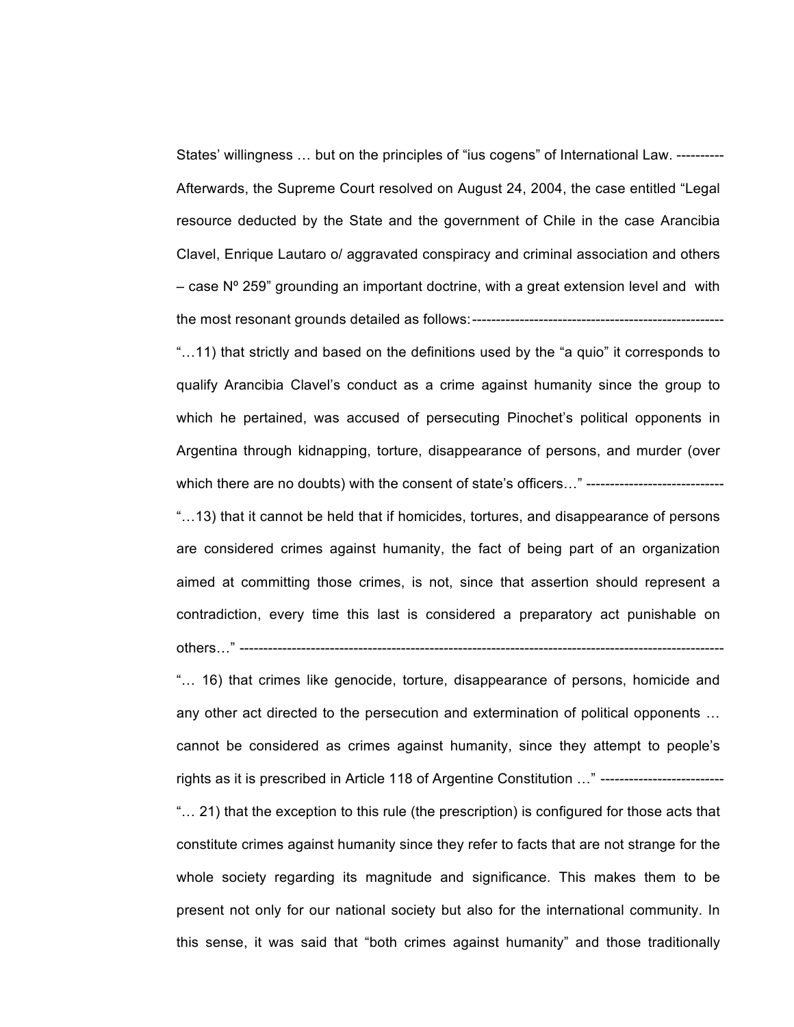States' willingness … but on the principles of "ius cogens" of International Law. ---------- Afterwards, the Supreme Court resolved on August 24, 2004, the case entitled "Legal resource deducted by the State and the government of Chile in the case Arancibia Clavel, Enrique Lautaro o/ aggravated conspiracy and criminal association and others  $-$  case N° 259" grounding an important doctrine, with a great extension level and with the most resonant grounds detailed as follows:-----------------------------------------------------

"…11) that strictly and based on the definitions used by the "a quio" it corresponds to qualify Arancibia Clavel's conduct as a crime against humanity since the group to which he pertained, was accused of persecuting Pinochet's political opponents in Argentina through kidnapping, torture, disappearance of persons, and murder (over which there are no doubts) with the consent of state's officers..." --------------------------------

"…13) that it cannot be held that if homicides, tortures, and disappearance of persons are considered crimes against humanity, the fact of being part of an organization aimed at committing those crimes, is not, since that assertion should represent a contradiction, every time this last is considered a preparatory act punishable on others…" ------------------------------------------------------------------------------------------------------

"… 16) that crimes like genocide, torture, disappearance of persons, homicide and any other act directed to the persecution and extermination of political opponents … cannot be considered as crimes against humanity, since they attempt to people's rights as it is prescribed in Article 118 of Argentine Constitution ..." --------------------------

"… 21) that the exception to this rule (the prescription) is configured for those acts that constitute crimes against humanity since they refer to facts that are not strange for the whole society regarding its magnitude and significance. This makes them to be present not only for our national society but also for the international community. In this sense, it was said that "both crimes against humanity" and those traditionally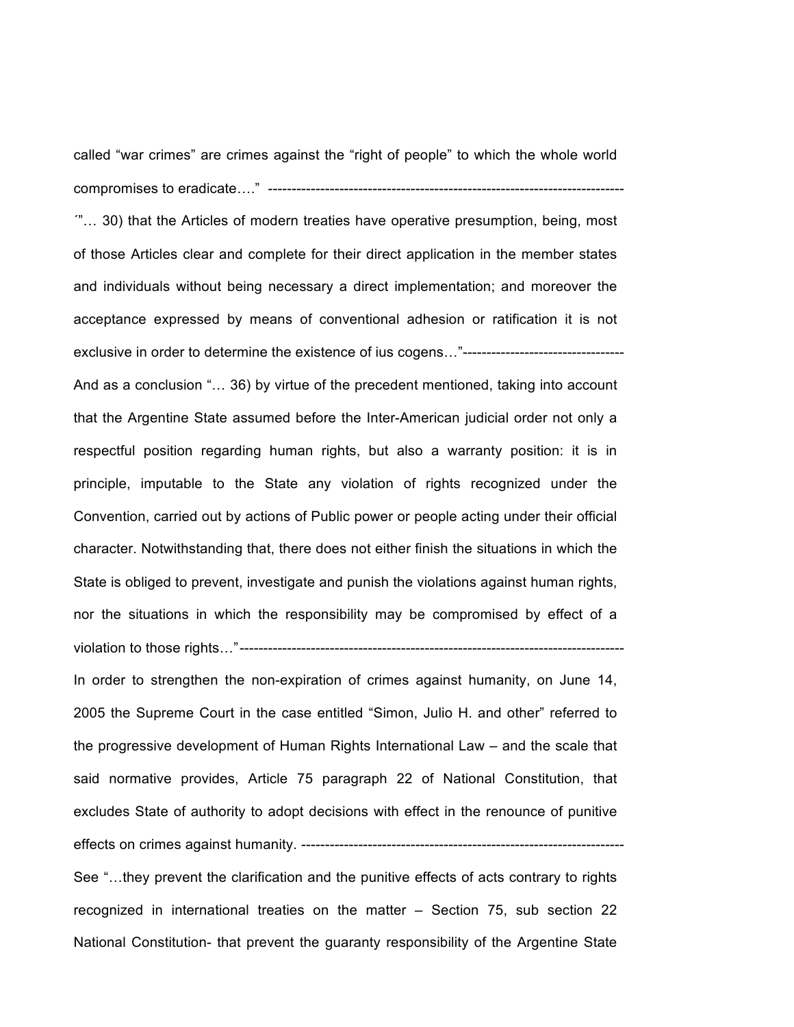called "war crimes" are crimes against the "right of people" to which the whole world compromises to eradicate…." ---------------------------------------------------------------------------

´"… 30) that the Articles of modern treaties have operative presumption, being, most of those Articles clear and complete for their direct application in the member states and individuals without being necessary a direct implementation; and moreover the acceptance expressed by means of conventional adhesion or ratification it is not exclusive in order to determine the existence of ius cogens…"----------------------------------

And as a conclusion "… 36) by virtue of the precedent mentioned, taking into account that the Argentine State assumed before the Inter-American judicial order not only a respectful position regarding human rights, but also a warranty position: it is in principle, imputable to the State any violation of rights recognized under the Convention, carried out by actions of Public power or people acting under their official character. Notwithstanding that, there does not either finish the situations in which the State is obliged to prevent, investigate and punish the violations against human rights, nor the situations in which the responsibility may be compromised by effect of a violation to those rights…"---------------------------------------------------------------------------------

In order to strengthen the non-expiration of crimes against humanity, on June 14, 2005 the Supreme Court in the case entitled "Simon, Julio H. and other" referred to the progressive development of Human Rights International Law – and the scale that said normative provides, Article 75 paragraph 22 of National Constitution, that excludes State of authority to adopt decisions with effect in the renounce of punitive effects on crimes against humanity. --------------------------------------------------------------------

See "…they prevent the clarification and the punitive effects of acts contrary to rights recognized in international treaties on the matter – Section 75, sub section 22 National Constitution- that prevent the guaranty responsibility of the Argentine State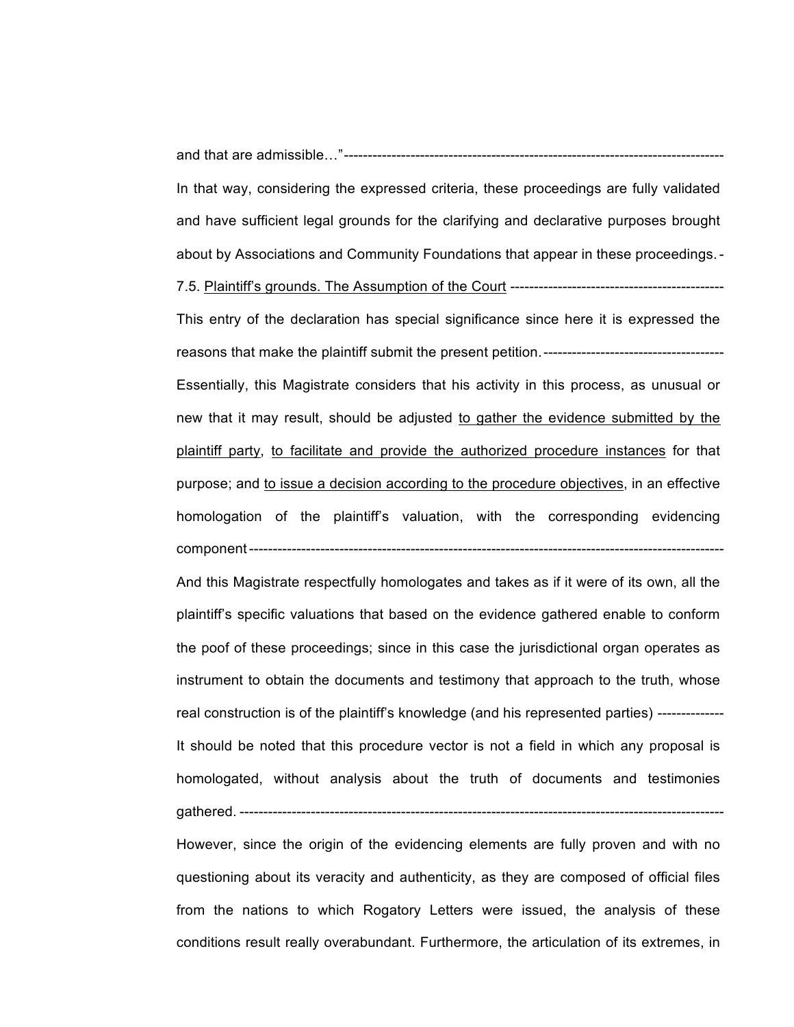and that are admissible…"--------------------------------------------------------------------------------

In that way, considering the expressed criteria, these proceedings are fully validated and have sufficient legal grounds for the clarifying and declarative purposes brought about by Associations and Community Foundations that appear in these proceedings.-

7.5. Plaintiff's grounds. The Assumption of the Court ---------------------------------------------

This entry of the declaration has special significance since here it is expressed the reasons that make the plaintiff submit the present petition.-------------------------------------- Essentially, this Magistrate considers that his activity in this process, as unusual or new that it may result, should be adjusted to gather the evidence submitted by the plaintiff party, to facilitate and provide the authorized procedure instances for that purpose; and to issue a decision according to the procedure objectives, in an effective homologation of the plaintiff's valuation, with the corresponding evidencing component----------------------------------------------------------------------------------------------------

And this Magistrate respectfully homologates and takes as if it were of its own, all the plaintiff's specific valuations that based on the evidence gathered enable to conform the poof of these proceedings; since in this case the jurisdictional organ operates as instrument to obtain the documents and testimony that approach to the truth, whose real construction is of the plaintiff's knowledge (and his represented parties) -------------- It should be noted that this procedure vector is not a field in which any proposal is homologated, without analysis about the truth of documents and testimonies gathered. ------------------------------------------------------------------------------------------------------

However, since the origin of the evidencing elements are fully proven and with no questioning about its veracity and authenticity, as they are composed of official files from the nations to which Rogatory Letters were issued, the analysis of these conditions result really overabundant. Furthermore, the articulation of its extremes, in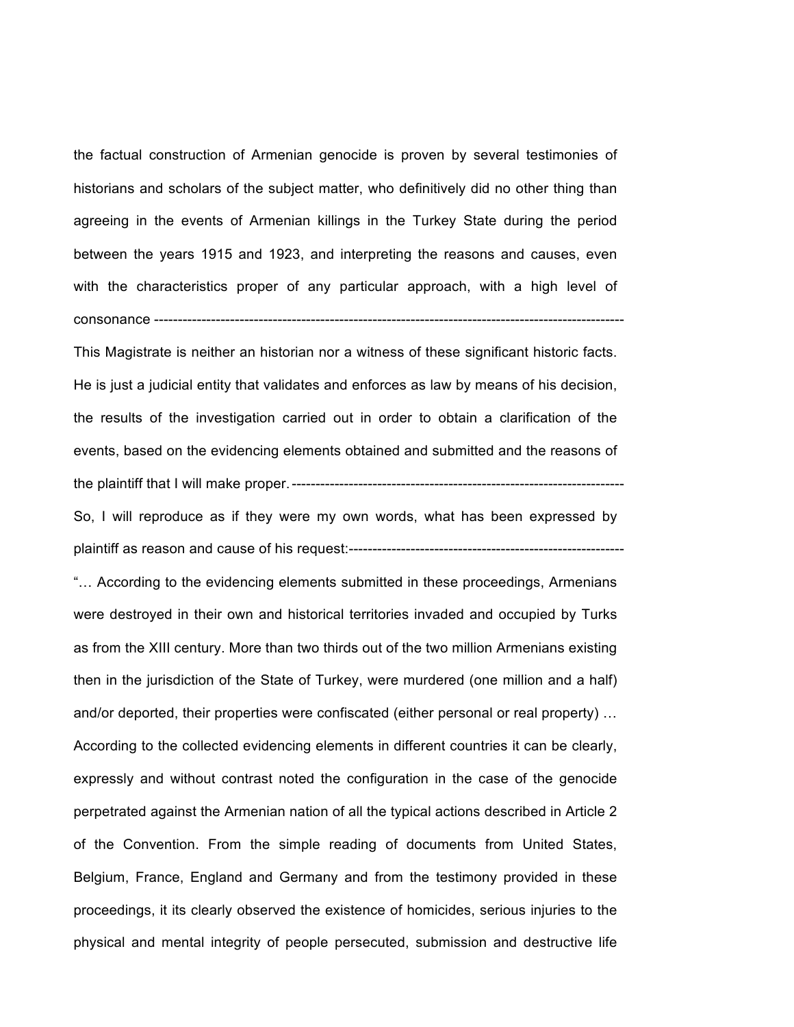the factual construction of Armenian genocide is proven by several testimonies of historians and scholars of the subject matter, who definitively did no other thing than agreeing in the events of Armenian killings in the Turkey State during the period between the years 1915 and 1923, and interpreting the reasons and causes, even with the characteristics proper of any particular approach, with a high level of consonance ---------------------------------------------------------------------------------------------------

This Magistrate is neither an historian nor a witness of these significant historic facts. He is just a judicial entity that validates and enforces as law by means of his decision, the results of the investigation carried out in order to obtain a clarification of the events, based on the evidencing elements obtained and submitted and the reasons of the plaintiff that I will make proper.----------------------------------------------------------------------

So, I will reproduce as if they were my own words, what has been expressed by plaintiff as reason and cause of his request:----------------------------------------------------------

"… According to the evidencing elements submitted in these proceedings, Armenians were destroyed in their own and historical territories invaded and occupied by Turks as from the XIII century. More than two thirds out of the two million Armenians existing then in the jurisdiction of the State of Turkey, were murdered (one million and a half) and/or deported, their properties were confiscated (either personal or real property) … According to the collected evidencing elements in different countries it can be clearly, expressly and without contrast noted the configuration in the case of the genocide perpetrated against the Armenian nation of all the typical actions described in Article 2 of the Convention. From the simple reading of documents from United States, Belgium, France, England and Germany and from the testimony provided in these proceedings, it its clearly observed the existence of homicides, serious injuries to the physical and mental integrity of people persecuted, submission and destructive life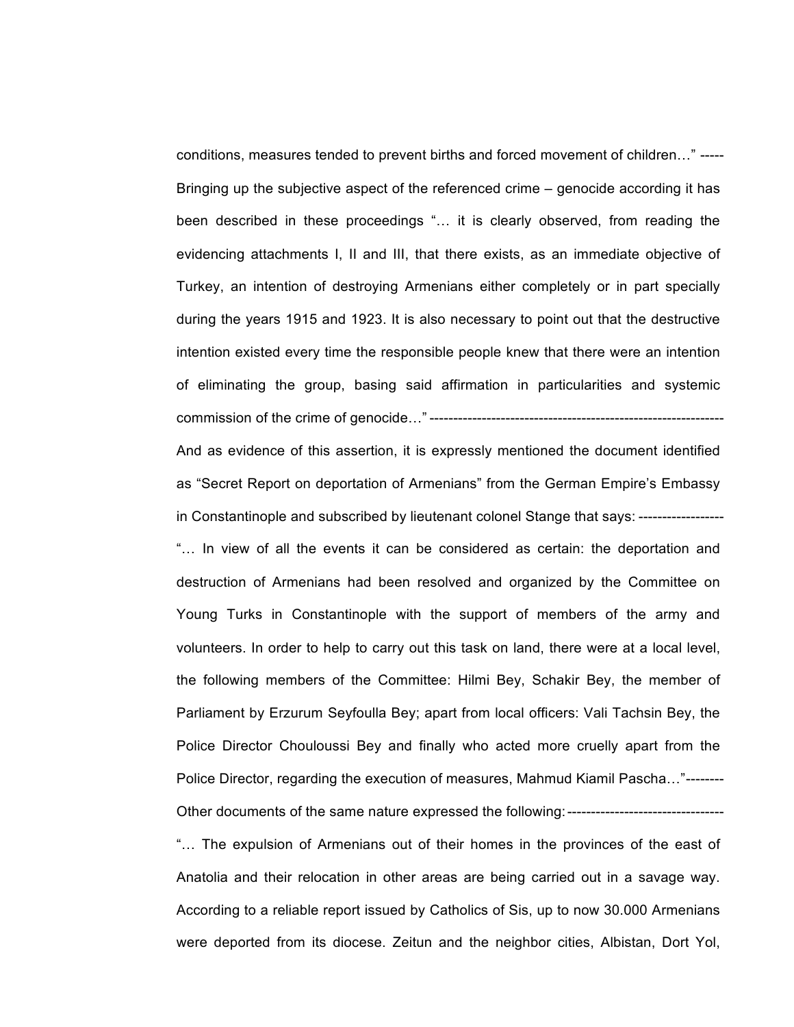conditions, measures tended to prevent births and forced movement of children…" ----- Bringing up the subjective aspect of the referenced crime – genocide according it has been described in these proceedings "… it is clearly observed, from reading the evidencing attachments I, II and III, that there exists, as an immediate objective of Turkey, an intention of destroying Armenians either completely or in part specially during the years 1915 and 1923. It is also necessary to point out that the destructive intention existed every time the responsible people knew that there were an intention of eliminating the group, basing said affirmation in particularities and systemic commission of the crime of genocide…" --------------------------------------------------------------

And as evidence of this assertion, it is expressly mentioned the document identified as "Secret Report on deportation of Armenians" from the German Empire's Embassy in Constantinople and subscribed by lieutenant colonel Stange that says: ------------------

"… In view of all the events it can be considered as certain: the deportation and destruction of Armenians had been resolved and organized by the Committee on Young Turks in Constantinople with the support of members of the army and volunteers. In order to help to carry out this task on land, there were at a local level, the following members of the Committee: Hilmi Bey, Schakir Bey, the member of Parliament by Erzurum Seyfoulla Bey; apart from local officers: Vali Tachsin Bey, the Police Director Chouloussi Bey and finally who acted more cruelly apart from the Police Director, regarding the execution of measures, Mahmud Kiamil Pascha…"--------

"… The expulsion of Armenians out of their homes in the provinces of the east of Anatolia and their relocation in other areas are being carried out in a savage way. According to a reliable report issued by Catholics of Sis, up to now 30.000 Armenians were deported from its diocese. Zeitun and the neighbor cities, Albistan, Dort Yol,

Other documents of the same nature expressed the following:---------------------------------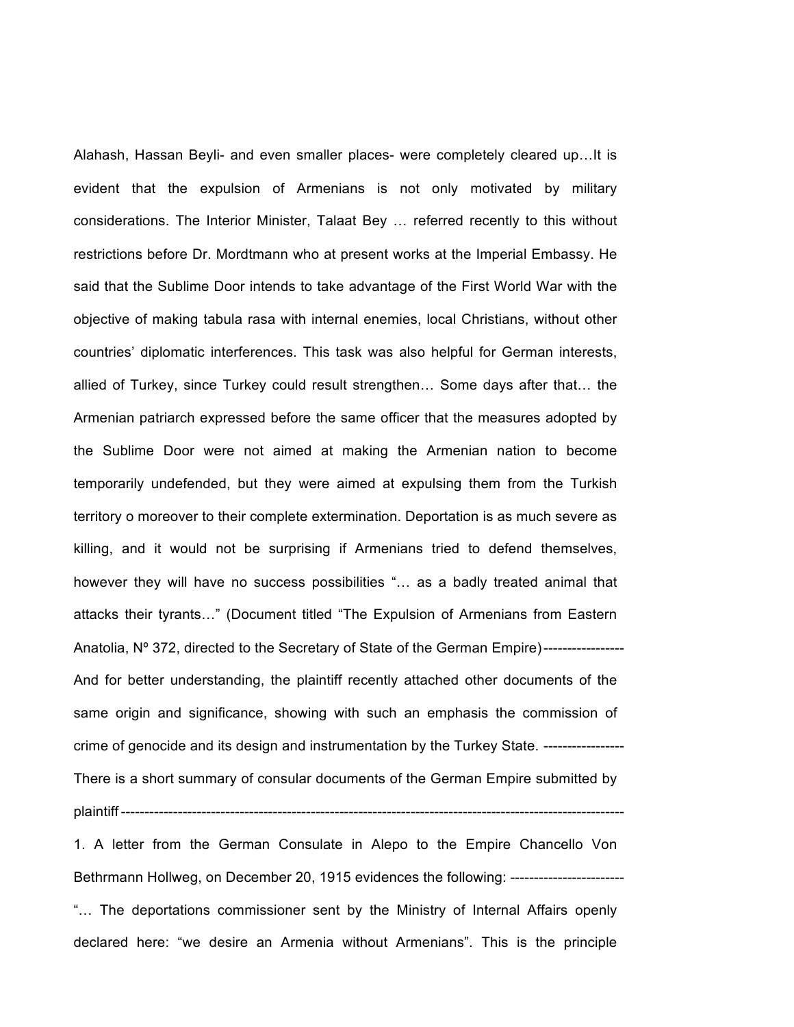Alahash, Hassan Beyli- and even smaller places- were completely cleared up…It is evident that the expulsion of Armenians is not only motivated by military considerations. The Interior Minister, Talaat Bey … referred recently to this without restrictions before Dr. Mordtmann who at present works at the Imperial Embassy. He said that the Sublime Door intends to take advantage of the First World War with the objective of making tabula rasa with internal enemies, local Christians, without other countries' diplomatic interferences. This task was also helpful for German interests, allied of Turkey, since Turkey could result strengthen… Some days after that… the Armenian patriarch expressed before the same officer that the measures adopted by the Sublime Door were not aimed at making the Armenian nation to become temporarily undefended, but they were aimed at expulsing them from the Turkish territory o moreover to their complete extermination. Deportation is as much severe as killing, and it would not be surprising if Armenians tried to defend themselves, however they will have no success possibilities "… as a badly treated animal that attacks their tyrants…" (Document titled "The Expulsion of Armenians from Eastern Anatolia, N° 372, directed to the Secretary of State of the German Empire)----------------And for better understanding, the plaintiff recently attached other documents of the same origin and significance, showing with such an emphasis the commission of crime of genocide and its design and instrumentation by the Turkey State. ----------------- There is a short summary of consular documents of the German Empire submitted by plaintiff ---------------------

1. A letter from the German Consulate in Alepo to the Empire Chancello Von Bethrmann Hollweg, on December 20, 1915 evidences the following: ----------------------"… The deportations commissioner sent by the Ministry of Internal Affairs openly declared here: "we desire an Armenia without Armenians". This is the principle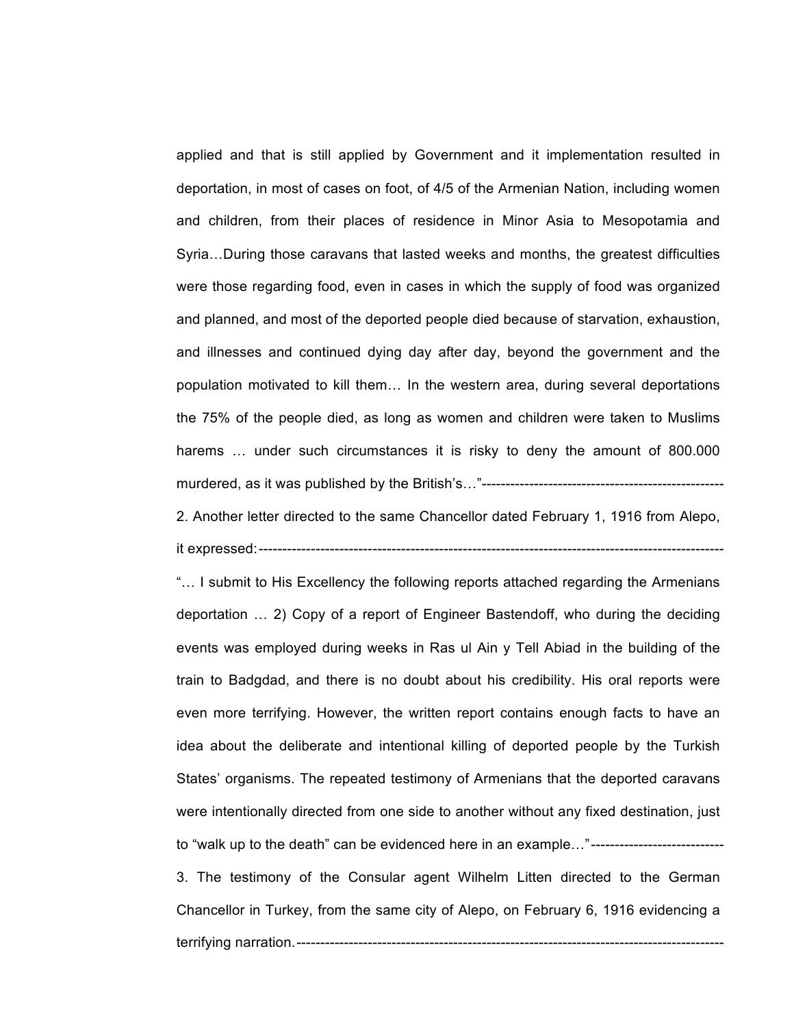applied and that is still applied by Government and it implementation resulted in deportation, in most of cases on foot, of 4/5 of the Armenian Nation, including women and children, from their places of residence in Minor Asia to Mesopotamia and Syria…During those caravans that lasted weeks and months, the greatest difficulties were those regarding food, even in cases in which the supply of food was organized and planned, and most of the deported people died because of starvation, exhaustion, and illnesses and continued dying day after day, beyond the government and the population motivated to kill them… In the western area, during several deportations the 75% of the people died, as long as women and children were taken to Muslims harems ... under such circumstances it is risky to deny the amount of 800.000 murdered, as it was published by the British's…"---------------------------------------------------

2. Another letter directed to the same Chancellor dated February 1, 1916 from Alepo, it expressed:--------------------------------------------------------------------------------------------------

"… I submit to His Excellency the following reports attached regarding the Armenians deportation … 2) Copy of a report of Engineer Bastendoff, who during the deciding events was employed during weeks in Ras ul Ain y Tell Abiad in the building of the train to Badgdad, and there is no doubt about his credibility. His oral reports were even more terrifying. However, the written report contains enough facts to have an idea about the deliberate and intentional killing of deported people by the Turkish States' organisms. The repeated testimony of Armenians that the deported caravans were intentionally directed from one side to another without any fixed destination, just to "walk up to the death" can be evidenced here in an example..."----------------------------

3. The testimony of the Consular agent Wilhelm Litten directed to the German Chancellor in Turkey, from the same city of Alepo, on February 6, 1916 evidencing a terrifying narration.------------------------------------------------------------------------------------------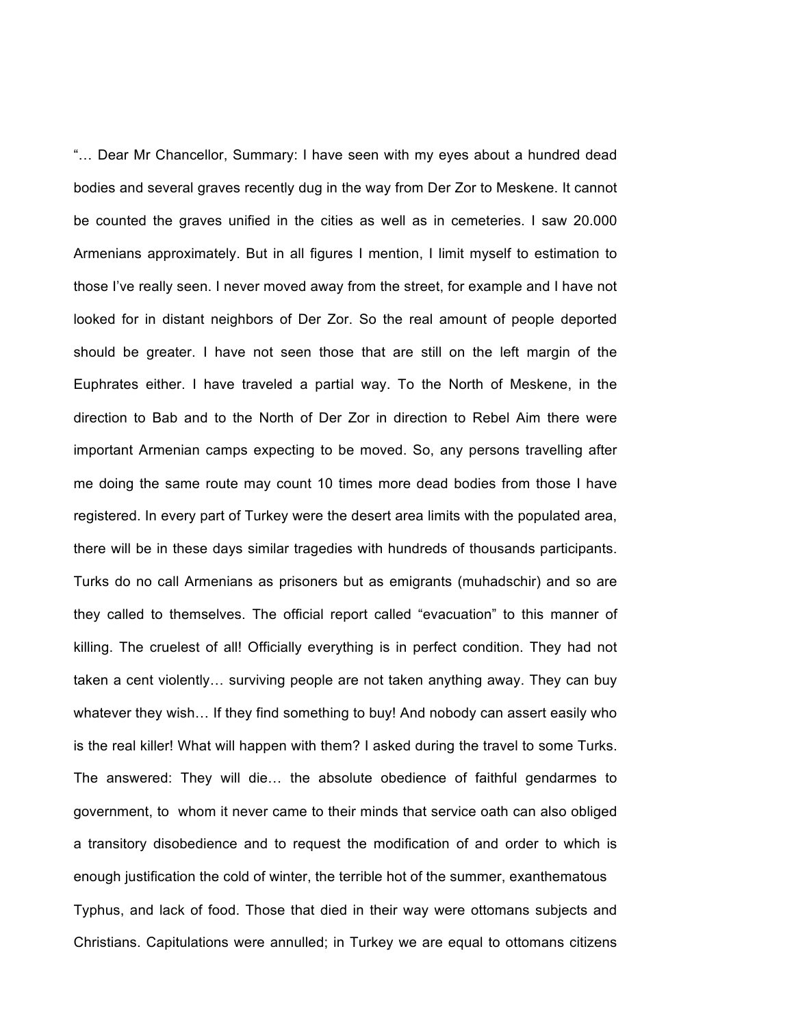"… Dear Mr Chancellor, Summary: I have seen with my eyes about a hundred dead bodies and several graves recently dug in the way from Der Zor to Meskene. It cannot be counted the graves unified in the cities as well as in cemeteries. I saw 20.000 Armenians approximately. But in all figures I mention, I limit myself to estimation to those I've really seen. I never moved away from the street, for example and I have not looked for in distant neighbors of Der Zor. So the real amount of people deported should be greater. I have not seen those that are still on the left margin of the Euphrates either. I have traveled a partial way. To the North of Meskene, in the direction to Bab and to the North of Der Zor in direction to Rebel Aim there were important Armenian camps expecting to be moved. So, any persons travelling after me doing the same route may count 10 times more dead bodies from those I have registered. In every part of Turkey were the desert area limits with the populated area, there will be in these days similar tragedies with hundreds of thousands participants. Turks do no call Armenians as prisoners but as emigrants (muhadschir) and so are they called to themselves. The official report called "evacuation" to this manner of killing. The cruelest of all! Officially everything is in perfect condition. They had not taken a cent violently… surviving people are not taken anything away. They can buy whatever they wish… If they find something to buy! And nobody can assert easily who is the real killer! What will happen with them? I asked during the travel to some Turks. The answered: They will die… the absolute obedience of faithful gendarmes to government, to whom it never came to their minds that service oath can also obliged a transitory disobedience and to request the modification of and order to which is enough justification the cold of winter, the terrible hot of the summer, exanthematous Typhus, and lack of food. Those that died in their way were ottomans subjects and Christians. Capitulations were annulled; in Turkey we are equal to ottomans citizens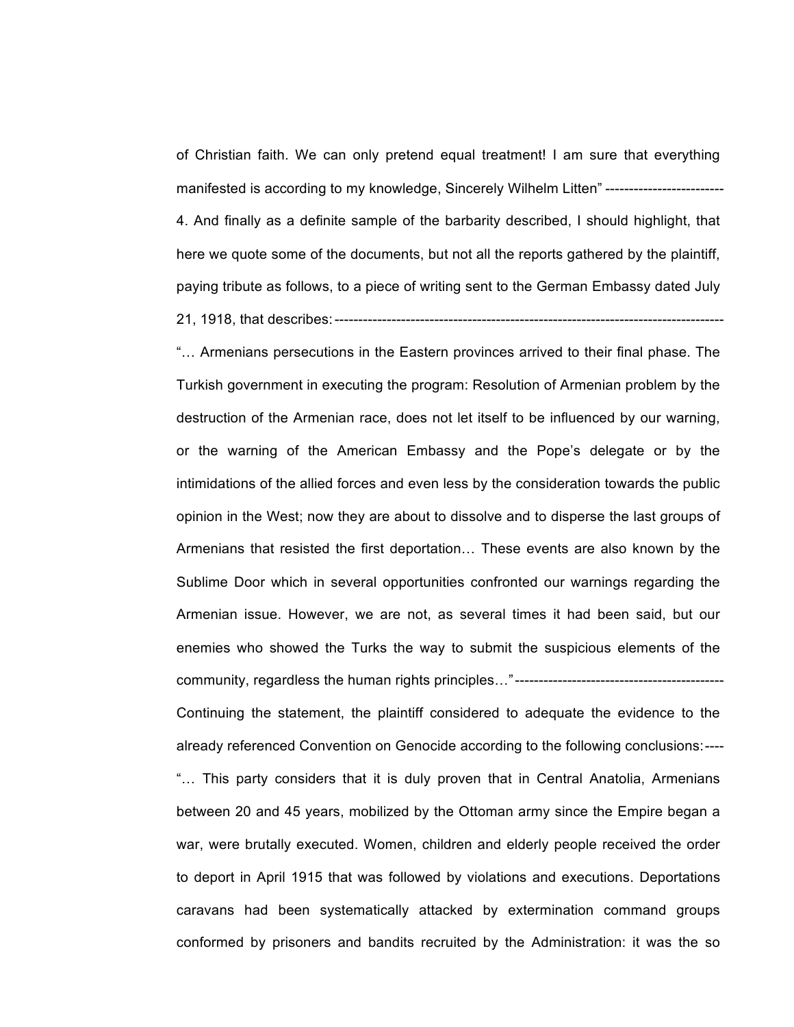of Christian faith. We can only pretend equal treatment! I am sure that everything manifested is according to my knowledge, Sincerely Wilhelm Litten" --------------------------4. And finally as a definite sample of the barbarity described, I should highlight, that here we quote some of the documents, but not all the reports gathered by the plaintiff, paying tribute as follows, to a piece of writing sent to the German Embassy dated July 21, 1918, that describes:----------------------------------------------------------------------------------

"… Armenians persecutions in the Eastern provinces arrived to their final phase. The Turkish government in executing the program: Resolution of Armenian problem by the destruction of the Armenian race, does not let itself to be influenced by our warning, or the warning of the American Embassy and the Pope's delegate or by the intimidations of the allied forces and even less by the consideration towards the public opinion in the West; now they are about to dissolve and to disperse the last groups of Armenians that resisted the first deportation… These events are also known by the Sublime Door which in several opportunities confronted our warnings regarding the Armenian issue. However, we are not, as several times it had been said, but our enemies who showed the Turks the way to submit the suspicious elements of the community, regardless the human rights principles…"-------------------------------------------- Continuing the statement, the plaintiff considered to adequate the evidence to the already referenced Convention on Genocide according to the following conclusions:---- "… This party considers that it is duly proven that in Central Anatolia, Armenians between 20 and 45 years, mobilized by the Ottoman army since the Empire began a war, were brutally executed. Women, children and elderly people received the order to deport in April 1915 that was followed by violations and executions. Deportations caravans had been systematically attacked by extermination command groups conformed by prisoners and bandits recruited by the Administration: it was the so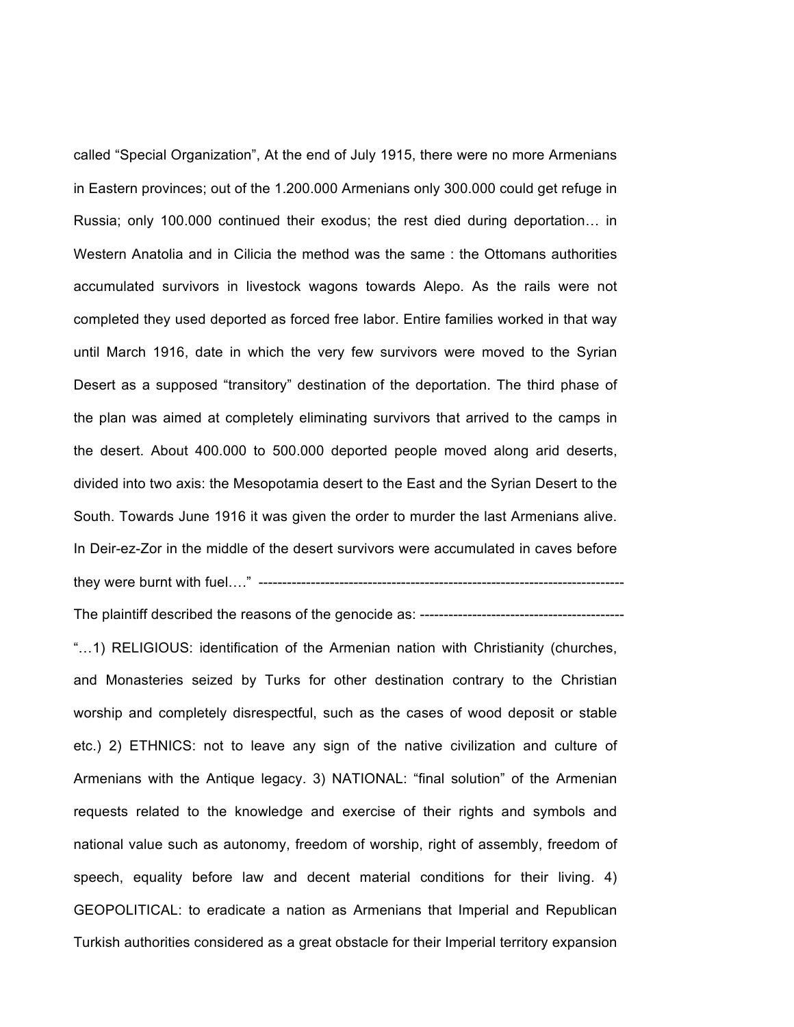called "Special Organization", At the end of July 1915, there were no more Armenians in Eastern provinces; out of the 1.200.000 Armenians only 300.000 could get refuge in Russia; only 100.000 continued their exodus; the rest died during deportation… in Western Anatolia and in Cilicia the method was the same : the Ottomans authorities accumulated survivors in livestock wagons towards Alepo. As the rails were not completed they used deported as forced free labor. Entire families worked in that way until March 1916, date in which the very few survivors were moved to the Syrian Desert as a supposed "transitory" destination of the deportation. The third phase of the plan was aimed at completely eliminating survivors that arrived to the camps in the desert. About 400.000 to 500.000 deported people moved along arid deserts, divided into two axis: the Mesopotamia desert to the East and the Syrian Desert to the South. Towards June 1916 it was given the order to murder the last Armenians alive. In Deir-ez-Zor in the middle of the desert survivors were accumulated in caves before they were burnt with fuel…." -----------------------------------------------------------------------------

The plaintiff described the reasons of the genocide as: -------------------------------------------

"…1) RELIGIOUS: identification of the Armenian nation with Christianity (churches, and Monasteries seized by Turks for other destination contrary to the Christian worship and completely disrespectful, such as the cases of wood deposit or stable etc.) 2) ETHNICS: not to leave any sign of the native civilization and culture of Armenians with the Antique legacy. 3) NATIONAL: "final solution" of the Armenian requests related to the knowledge and exercise of their rights and symbols and national value such as autonomy, freedom of worship, right of assembly, freedom of speech, equality before law and decent material conditions for their living. 4) GEOPOLITICAL: to eradicate a nation as Armenians that Imperial and Republican Turkish authorities considered as a great obstacle for their Imperial territory expansion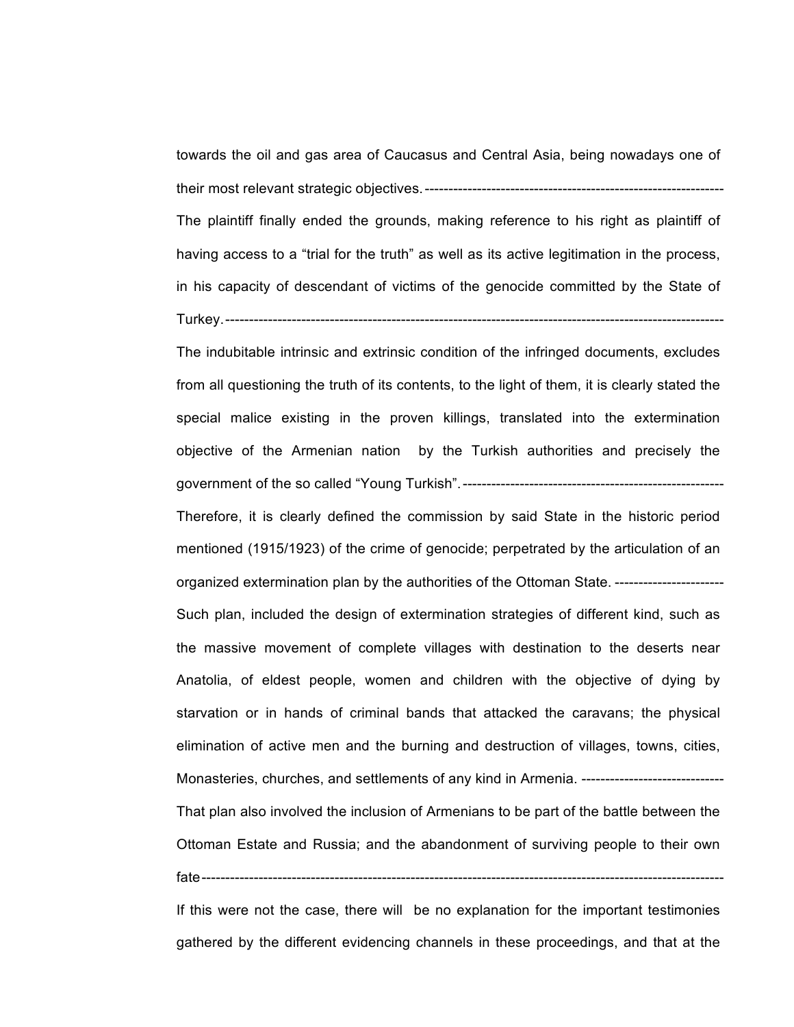towards the oil and gas area of Caucasus and Central Asia, being nowadays one of their most relevant strategic objectives.---------------------------------------------------------------

The plaintiff finally ended the grounds, making reference to his right as plaintiff of having access to a "trial for the truth" as well as its active legitimation in the process, in his capacity of descendant of victims of the genocide committed by the State of Turkey.---------------------------------------------------------------------------------------------------------

The indubitable intrinsic and extrinsic condition of the infringed documents, excludes from all questioning the truth of its contents, to the light of them, it is clearly stated the special malice existing in the proven killings, translated into the extermination objective of the Armenian nation by the Turkish authorities and precisely the government of the so called "Young Turkish".-------------------------------------------------------

Therefore, it is clearly defined the commission by said State in the historic period mentioned (1915/1923) of the crime of genocide; perpetrated by the articulation of an organized extermination plan by the authorities of the Ottoman State. ----------------------- Such plan, included the design of extermination strategies of different kind, such as the massive movement of complete villages with destination to the deserts near Anatolia, of eldest people, women and children with the objective of dying by starvation or in hands of criminal bands that attacked the caravans; the physical elimination of active men and the burning and destruction of villages, towns, cities, Monasteries, churches, and settlements of any kind in Armenia. -----------------

That plan also involved the inclusion of Armenians to be part of the battle between the Ottoman Estate and Russia; and the abandonment of surviving people to their own fate--------------------------------------------------------------------------------------------------------------

If this were not the case, there will be no explanation for the important testimonies gathered by the different evidencing channels in these proceedings, and that at the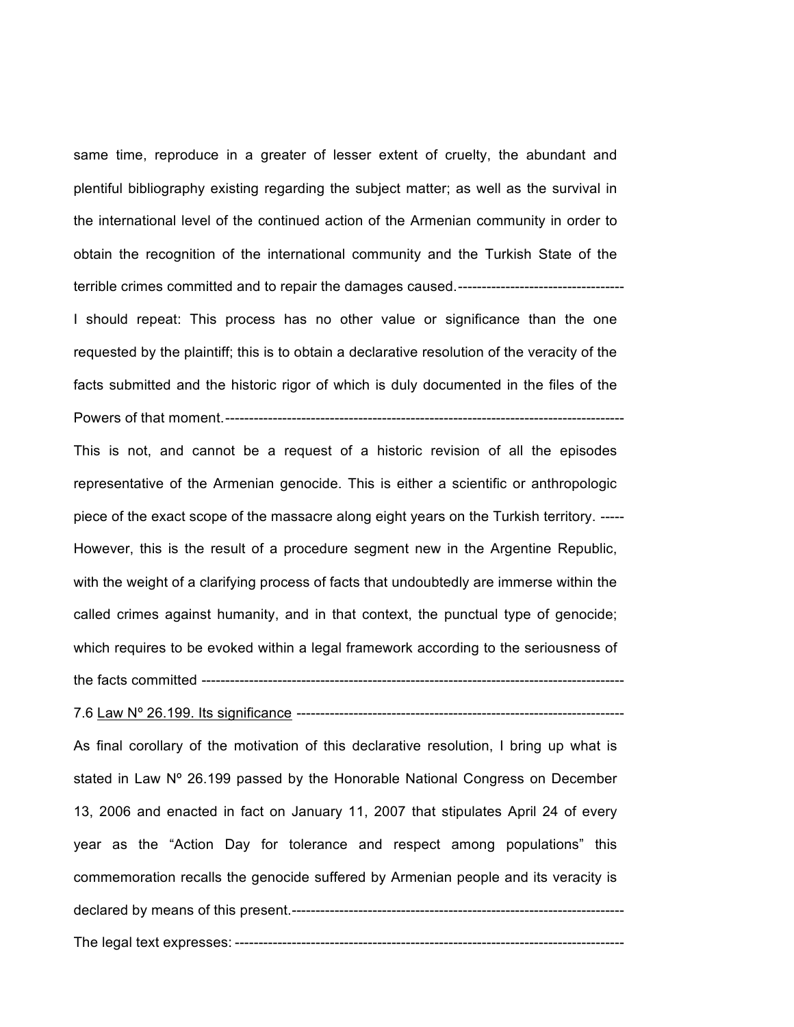same time, reproduce in a greater of lesser extent of cruelty, the abundant and plentiful bibliography existing regarding the subject matter; as well as the survival in the international level of the continued action of the Armenian community in order to obtain the recognition of the international community and the Turkish State of the terrible crimes committed and to repair the damages caused.-----------------------------------

I should repeat: This process has no other value or significance than the one requested by the plaintiff; this is to obtain a declarative resolution of the veracity of the facts submitted and the historic rigor of which is duly documented in the files of the Powers of that moment.------------------------------------------------------------------------------------

This is not, and cannot be a request of a historic revision of all the episodes representative of the Armenian genocide. This is either a scientific or anthropologic piece of the exact scope of the massacre along eight years on the Turkish territory. ----- However, this is the result of a procedure segment new in the Argentine Republic, with the weight of a clarifying process of facts that undoubtedly are immerse within the called crimes against humanity, and in that context, the punctual type of genocide; which requires to be evoked within a legal framework according to the seriousness of the facts committed -----------------------------------------------------------------------------------------

7.6 Law Nº 26.199. Its significance ---------------------------------------------------------------------

As final corollary of the motivation of this declarative resolution, I bring up what is stated in Law N° 26.199 passed by the Honorable National Congress on December 13, 2006 and enacted in fact on January 11, 2007 that stipulates April 24 of every year as the "Action Day for tolerance and respect among populations" this commemoration recalls the genocide suffered by Armenian people and its veracity is declared by means of this present.----------------------------------------------------------------------

The legal text expresses: ----------------------------------------------------------------------------------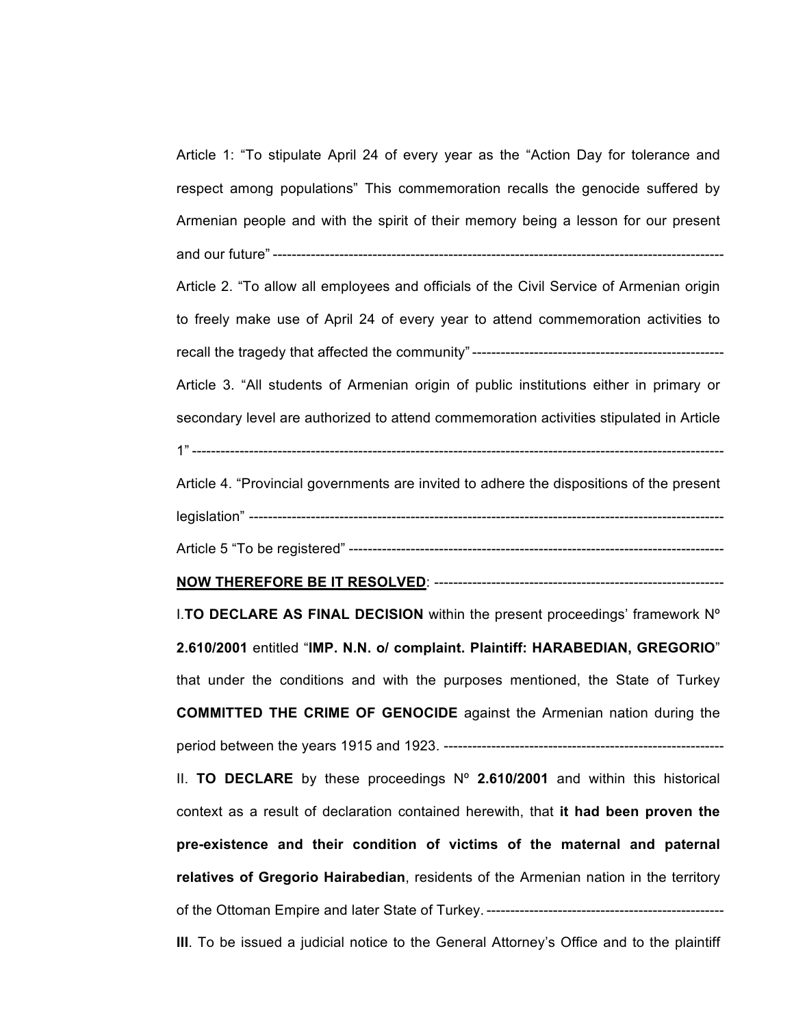Article 1: "To stipulate April 24 of every year as the "Action Day for tolerance and respect among populations" This commemoration recalls the genocide suffered by Armenian people and with the spirit of their memory being a lesson for our present and our future" ----------------------------------------------------------------------------------------------- Article 2. "To allow all employees and officials of the Civil Service of Armenian origin to freely make use of April 24 of every year to attend commemoration activities to recall the tragedy that affected the community" ----------------------------------------------------- Article 3. "All students of Armenian origin of public institutions either in primary or secondary level are authorized to attend commemoration activities stipulated in Article 1" ------------------Article 4. "Provincial governments are invited to adhere the dispositions of the present legislation" ---------------------------------------------------------------------------------------------------- Article 5 "To be registered" ------------------------------------------------------------------------------- **NOW THEREFORE BE IT RESOLVED**: ------------------------------------------------------------- I.**TO DECLARE AS FINAL DECISION** within the present proceedings' framework Nº **2.610/2001** entitled "**IMP. N.N. o/ complaint. Plaintiff: HARABEDIAN, GREGORIO**" that under the conditions and with the purposes mentioned, the State of Turkey **COMMITTED THE CRIME OF GENOCIDE** against the Armenian nation during the period between the years 1915 and 1923. ----------------------------------------------------------- II. **TO DECLARE** by these proceedings Nº **2.610/2001** and within this historical context as a result of declaration contained herewith, that **it had been proven the pre-existence and their condition of victims of the maternal and paternal relatives of Gregorio Hairabedian**, residents of the Armenian nation in the territory of the Ottoman Empire and later State of Turkey. -------------------------------------------------- **III**. To be issued a judicial notice to the General Attorney's Office and to the plaintiff